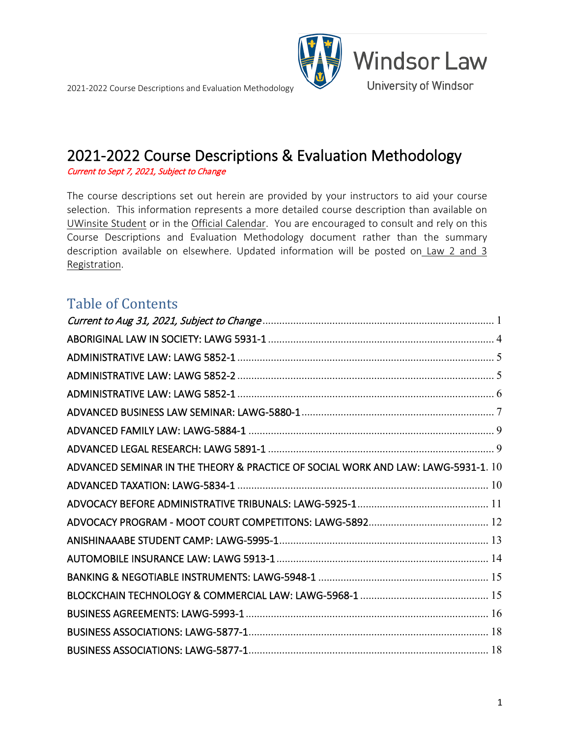



<span id="page-0-0"></span>Current to Sept 7, 2021, Subject to Change

The course descriptions set out herein are provided by your instructors to aid your course selection. This information represents a more detailed course description than available on [UWinsite Student](https://www.uwindsor.ca/registrar/uwinsite-student) or in the [Official Calendar.](https://www.uwindsor.ca/law/1066/academic-calendar) You are encouraged to consult and rely on this Course Descriptions and Evaluation Methodology document rather than the summary description available on elsewhere. Updated information will be posted on [Law 2 and 3](https://www.uwindsor.ca/law/academic-coordinator/35/law-2-and-3-registration)  [Registration.](https://www.uwindsor.ca/law/academic-coordinator/35/law-2-and-3-registration)

### Table of Contents

| ADVANCED SEMINAR IN THE THEORY & PRACTICE OF SOCIAL WORK AND LAW: LAWG-5931-1. 10 |
|-----------------------------------------------------------------------------------|
|                                                                                   |
|                                                                                   |
|                                                                                   |
|                                                                                   |
|                                                                                   |
|                                                                                   |
|                                                                                   |
|                                                                                   |
|                                                                                   |
|                                                                                   |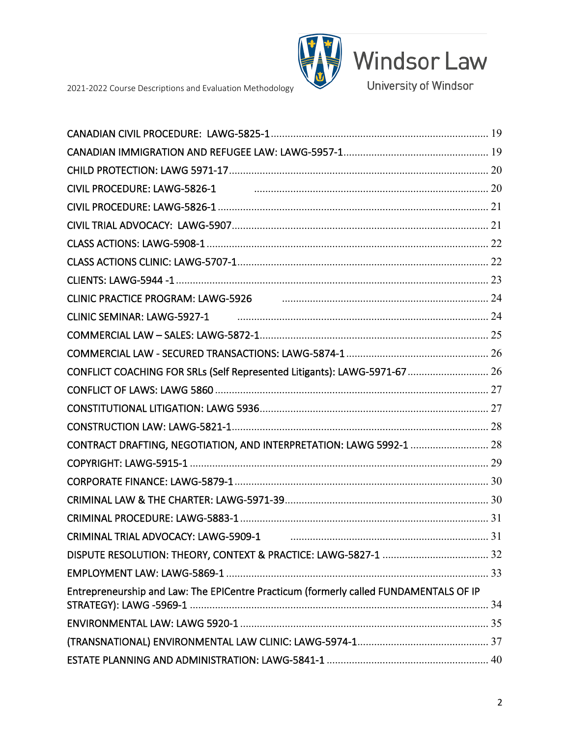

Windsor Law

University of Windsor

2021-2022 Course Descriptions and Evaluation Methodology

| CLINIC PRACTICE PROGRAM: LAWG-5926 [2010] [24] [24] CLINIC PRACTICE PROGRAM: LAWG-5926 |  |
|----------------------------------------------------------------------------------------|--|
|                                                                                        |  |
|                                                                                        |  |
|                                                                                        |  |
| CONFLICT COACHING FOR SRLs (Self Represented Litigants): LAWG-5971-67  26              |  |
|                                                                                        |  |
|                                                                                        |  |
|                                                                                        |  |
| CONTRACT DRAFTING, NEGOTIATION, AND INTERPRETATION: LAWG 5992-1  28                    |  |
|                                                                                        |  |
|                                                                                        |  |
|                                                                                        |  |
|                                                                                        |  |
| CRIMINAL TRIAL ADVOCACY: LAWG-5909-1                                                   |  |
|                                                                                        |  |
|                                                                                        |  |
| Entrepreneurship and Law: The EPICentre Practicum (formerly called FUNDAMENTALS OF IP  |  |
|                                                                                        |  |
|                                                                                        |  |
|                                                                                        |  |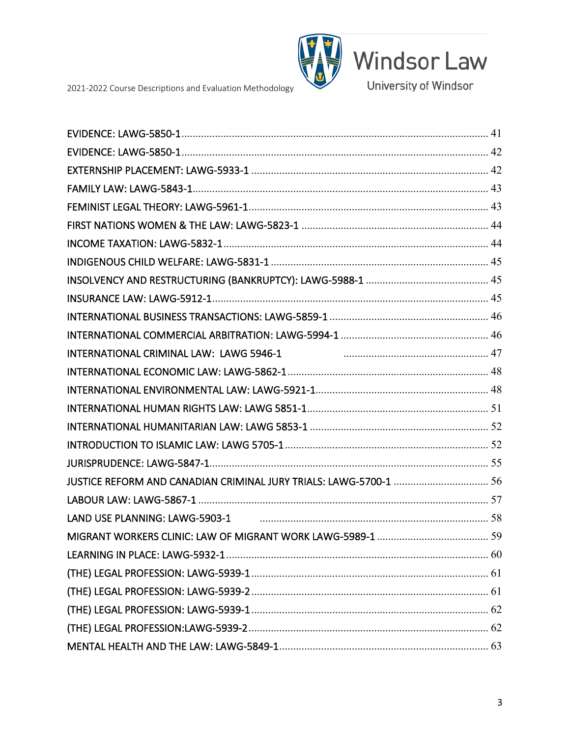

Windsor Law

University of Windsor

2021-2022 Course Descriptions and Evaluation Methodology

| LAND USE PLANNING: LAWG-5903-1 <b>CONSERVERSION</b> 28 <b>CONSERVERSION</b> 28 |
|--------------------------------------------------------------------------------|
|                                                                                |
|                                                                                |
|                                                                                |
|                                                                                |
|                                                                                |
|                                                                                |
|                                                                                |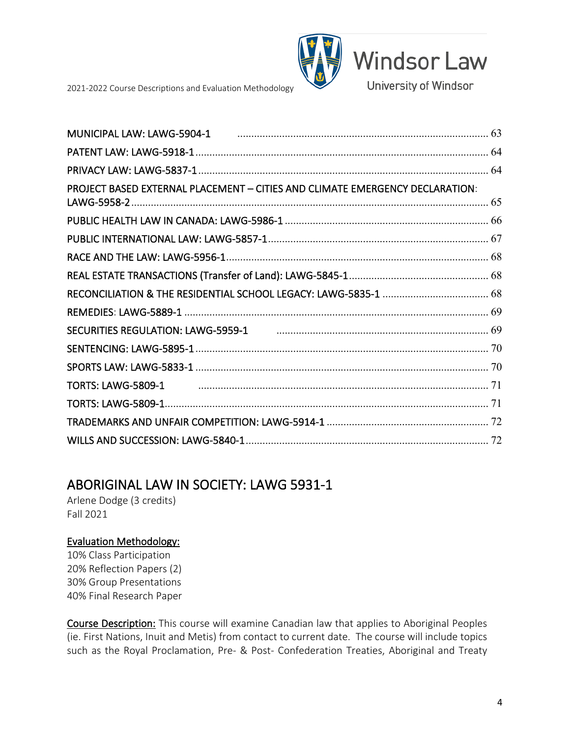

**Windsor Law** 

University of Windsor

2021-2022 Course Descriptions and Evaluation Methodology



## <span id="page-3-0"></span>ABORIGINAL LAW IN SOCIETY: LAWG 5931-1<br>Arlene Dodge (3 credits)

Fall 2021

### Evaluation Methodology:

10% Class Participation 20% Reflection Papers (2) 30% Group Presentations 40% Final Research Paper

Course Description: This course will examine Canadian law that applies to Aboriginal Peoples (ie. First Nations, Inuit and Metis) from contact to current date. The course will include topics such as the Royal Proclamation, Pre- & Post- Confederation Treaties, Aboriginal and Treaty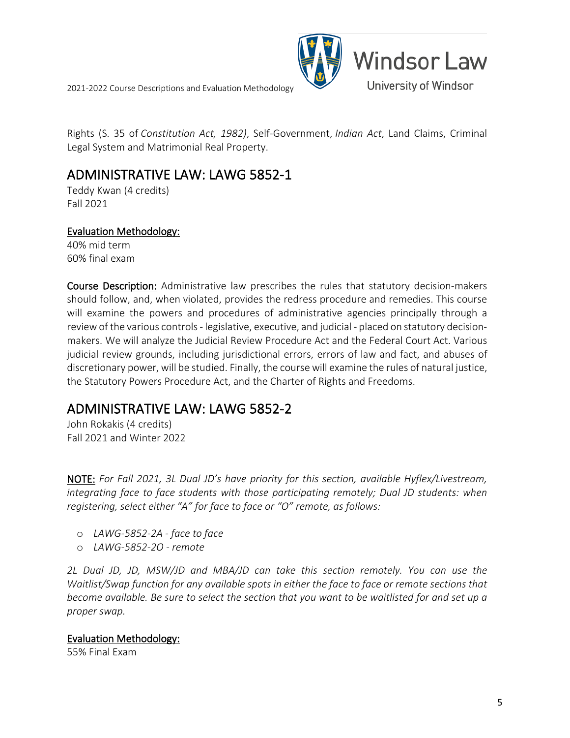

Rights (S. 35 of *Constitution Act, 1982)*, Self-Government, *Indian Act*, Land Claims, Criminal Legal System and Matrimonial Real Property.

### <span id="page-4-0"></span>ADMINISTRATIVE LAW: LAWG 5852-1<br>Teddy Kwan (4 credits)

Fall 2021

#### Evaluation Methodology:

40% mid term 60% final exam

Course Description: Administrative law prescribes the rules that statutory decision-makers should follow, and, when violated, provides the redress procedure and remedies. This course will examine the powers and procedures of administrative agencies principally through a review of the various controls - legislative, executive, and judicial - placed on statutory decisionmakers. We will analyze the Judicial Review Procedure Act and the Federal Court Act. Various judicial review grounds, including jurisdictional errors, errors of law and fact, and abuses of discretionary power, will be studied. Finally, the course will examine the rules of natural justice, the Statutory Powers Procedure Act, and the Charter of Rights and Freedoms.

### <span id="page-4-1"></span>ADMINISTRATIVE LAW: LAWG 5852-2<br>John Rokakis (4 credits)

Fall 2021 and Winter 2022

NOTE: *For Fall 2021, 3L Dual JD's have priority for this section, available Hyflex/Livestream, integrating face to face students with those participating remotely; Dual JD students: when registering, select either "A" for face to face or "O" remote, as follows:*

- o *LAWG-5852-2A - face to face*
- o *LAWG-5852-2O - remote*

*2L Dual JD, JD, MSW/JD and MBA/JD can take this section remotely. You can use the Waitlist/Swap function for any available spots in either the face to face or remote sections that become available. Be sure to select the section that you want to be waitlisted for and set up a proper swap.*

#### Evaluation Methodology:

55% Final Exam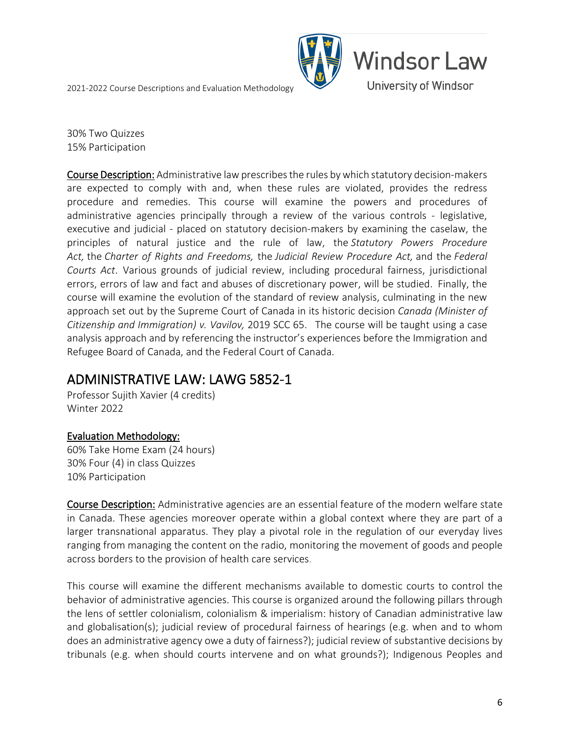

30% Two Quizzes 15% Participation

Course Description: Administrative law prescribes the rules by which statutory decision-makers are expected to comply with and, when these rules are violated, provides the redress procedure and remedies. This course will examine the powers and procedures of administrative agencies principally through a review of the various controls - legislative, executive and judicial - placed on statutory decision-makers by examining the caselaw, the principles of natural justice and the rule of law, the *Statutory Powers Procedure Act,* the *Charter of Rights and Freedoms,* the *Judicial Review Procedure Act,* and the *Federal Courts Act*. Various grounds of judicial review, including procedural fairness, jurisdictional errors, errors of law and fact and abuses of discretionary power, will be studied. Finally, the course will examine the evolution of the standard of review analysis, culminating in the new approach set out by the Supreme Court of Canada in its historic decision *Canada (Minister of Citizenship and Immigration) v. Vavilov,* 2019 SCC 65. The course will be taught using a case analysis approach and by referencing the instructor's experiences before the Immigration and Refugee Board of Canada, and the Federal Court of Canada.

## <span id="page-5-0"></span>ADMINISTRATIVE LAW: LAWG 5852-1 Professor Sujith Xavier (4 credits)

Winter 2022

### Evaluation Methodology:

60% Take Home Exam (24 hours) 30% Four (4) in class Quizzes 10% Participation

Course Description: Administrative agencies are an essential feature of the modern welfare state in Canada. These agencies moreover operate within a global context where they are part of a larger transnational apparatus. They play a pivotal role in the regulation of our everyday lives ranging from managing the content on the radio, monitoring the movement of goods and people across borders to the provision of health care services.

This course will examine the different mechanisms available to domestic courts to control the behavior of administrative agencies. This course is organized around the following pillars through the lens of settler colonialism, colonialism & imperialism: history of Canadian administrative law and globalisation(s); judicial review of procedural fairness of hearings (e.g. when and to whom does an administrative agency owe a duty of fairness?); judicial review of substantive decisions by tribunals (e.g. when should courts intervene and on what grounds?); Indigenous Peoples and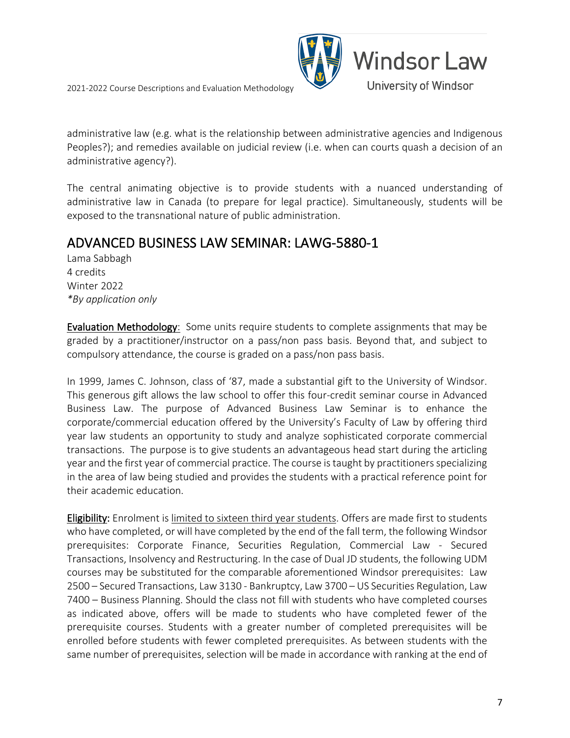



administrative law (e.g. what is the relationship between administrative agencies and Indigenous Peoples?); and remedies available on judicial review (i.e. when can courts quash a decision of an administrative agency?).

The central animating objective is to provide students with a nuanced understanding of administrative law in Canada (to prepare for legal practice). Simultaneously, students will be exposed to the transnational nature of public administration.

### <span id="page-6-0"></span>ADVANCED BUSINESS LAW SEMINAR: LAWG-5880-1

Lama Sabbagh 4 credits Winter 2022 *\*By application only*

Evaluation Methodology: Some units require students to complete assignments that may be graded by a practitioner/instructor on a pass/non pass basis. Beyond that, and subject to compulsory attendance, the course is graded on a pass/non pass basis.

In 1999, James C. Johnson, class of '87, made a substantial gift to the University of Windsor. This generous gift allows the law school to offer this four-credit seminar course in Advanced Business Law. The purpose of Advanced Business Law Seminar is to enhance the corporate/commercial education offered by the University's Faculty of Law by offering third year law students an opportunity to study and analyze sophisticated corporate commercial transactions. The purpose is to give students an advantageous head start during the articling year and the first year of commercial practice. The course is taught by practitioners specializing in the area of law being studied and provides the students with a practical reference point for their academic education.

Eligibility: Enrolment is limited to sixteen third year students. Offers are made first to students who have completed, or will have completed by the end of the fall term, the following Windsor prerequisites: Corporate Finance, Securities Regulation, Commercial Law - Secured Transactions, Insolvency and Restructuring. In the case of Dual JD students, the following UDM courses may be substituted for the comparable aforementioned Windsor prerequisites: Law 2500 – Secured Transactions, Law 3130 - Bankruptcy, Law 3700 – US Securities Regulation, Law 7400 – Business Planning. Should the class not fill with students who have completed courses as indicated above, offers will be made to students who have completed fewer of the prerequisite courses. Students with a greater number of completed prerequisites will be enrolled before students with fewer completed prerequisites. As between students with the same number of prerequisites, selection will be made in accordance with ranking at the end of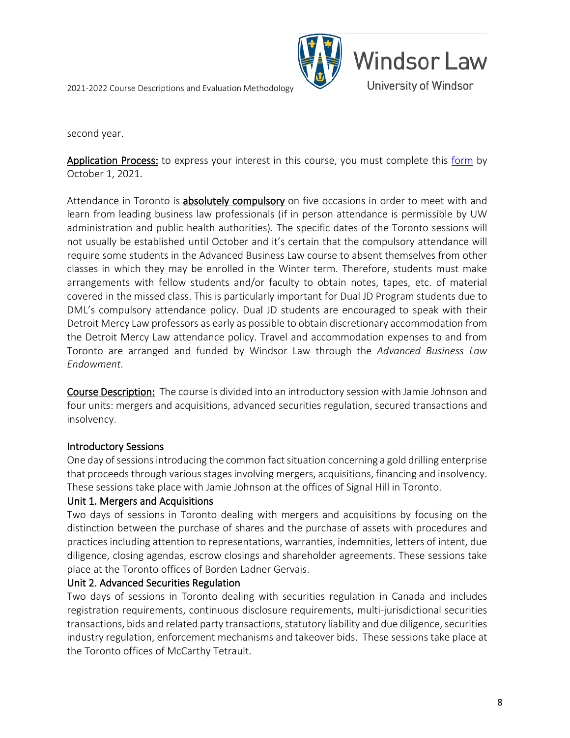

second year.

Application Process: to express your interest in this course, you must complete this [form](https://uwindsor.ca1.qualtrics.com/jfe/form/SV_5vGRNH4xLVaWdoi) by October 1, 2021.

Attendance in Toronto is **absolutely compulsory** on five occasions in order to meet with and learn from leading business law professionals (if in person attendance is permissible by UW administration and public health authorities). The specific dates of the Toronto sessions will not usually be established until October and it's certain that the compulsory attendance will require some students in the Advanced Business Law course to absent themselves from other classes in which they may be enrolled in the Winter term. Therefore, students must make arrangements with fellow students and/or faculty to obtain notes, tapes, etc. of material covered in the missed class. This is particularly important for Dual JD Program students due to DML's compulsory attendance policy. Dual JD students are encouraged to speak with their Detroit Mercy Law professors as early as possible to obtain discretionary accommodation from the Detroit Mercy Law attendance policy. Travel and accommodation expenses to and from Toronto are arranged and funded by Windsor Law through the *Advanced Business Law Endowment*.

Course Description: The course is divided into an introductory session with Jamie Johnson and four units: mergers and acquisitions, advanced securities regulation, secured transactions and insolvency.

#### Introductory Sessions

One day of sessions introducing the common fact situation concerning a gold drilling enterprise that proceeds through various stages involving mergers, acquisitions, financing and insolvency. These sessions take place with Jamie Johnson at the offices of Signal Hill in Toronto.

#### Unit 1. Mergers and Acquisitions

Two days of sessions in Toronto dealing with mergers and acquisitions by focusing on the distinction between the purchase of shares and the purchase of assets with procedures and practices including attention to representations, warranties, indemnities, letters of intent, due diligence, closing agendas, escrow closings and shareholder agreements. These sessions take place at the Toronto offices of Borden Ladner Gervais.

#### Unit 2. Advanced Securities Regulation

Two days of sessions in Toronto dealing with securities regulation in Canada and includes registration requirements, continuous disclosure requirements, multi-jurisdictional securities transactions, bids and related party transactions, statutory liability and due diligence, securities industry regulation, enforcement mechanisms and takeover bids. These sessions take place at the Toronto offices of McCarthy Tetrault.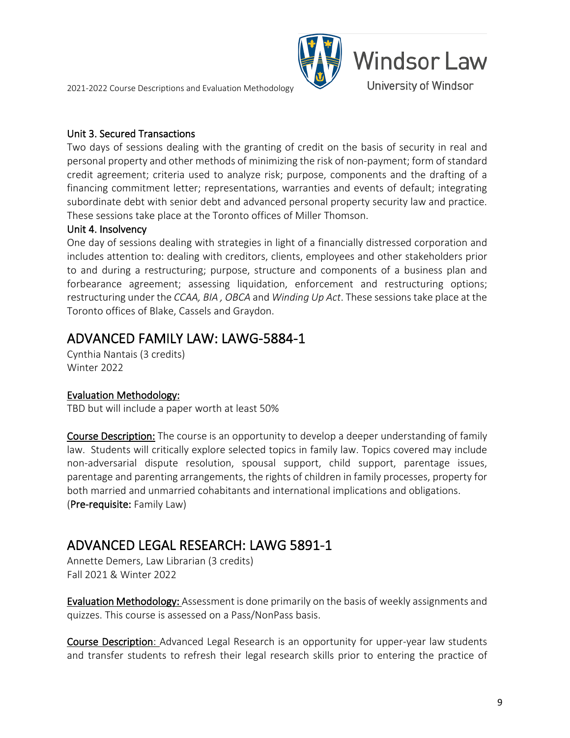#### Unit 3. Secured Transactions

Two days of sessions dealing with the granting of credit on the basis of security in real and personal property and other methods of minimizing the risk of non-payment; form of standard credit agreement; criteria used to analyze risk; purpose, components and the drafting of a financing commitment letter; representations, warranties and events of default; integrating subordinate debt with senior debt and advanced personal property security law and practice. These sessions take place at the Toronto offices of Miller Thomson.

**Windsor Law** 

University of Windsor

#### Unit 4. Insolvency

One day of sessions dealing with strategies in light of a financially distressed corporation and includes attention to: dealing with creditors, clients, employees and other stakeholders prior to and during a restructuring; purpose, structure and components of a business plan and forbearance agreement; assessing liquidation, enforcement and restructuring options; restructuring under the *CCAA, BIA , OBCA* and *Winding Up Act*. These sessions take place at the Toronto offices of Blake, Cassels and Graydon.

## <span id="page-8-0"></span>ADVANCED FAMILY LAW: LAWG-5884-1<br>Cynthia Nantais (3 credits)

Winter 2022

#### Evaluation Methodology:

TBD but will include a paper worth at least 50%

Course Description: The course is an opportunity to develop a deeper understanding of family law. Students will critically explore selected topics in family law. Topics covered may include non-adversarial dispute resolution, spousal support, child support, parentage issues, parentage and parenting arrangements, the rights of children in family processes, property for both married and unmarried cohabitants and international implications and obligations. (Pre-requisite: Family Law)

# <span id="page-8-1"></span>ADVANCED LEGAL RESEARCH: LAWG 5891-1 Annette Demers, Law Librarian (3 credits)

Fall 2021 & Winter 2022

Evaluation Methodology: Assessment is done primarily on the basis of weekly assignments and quizzes. This course is assessed on a Pass/NonPass basis.

Course Description: Advanced Legal Research is an opportunity for upper-year law students and transfer students to refresh their legal research skills prior to entering the practice of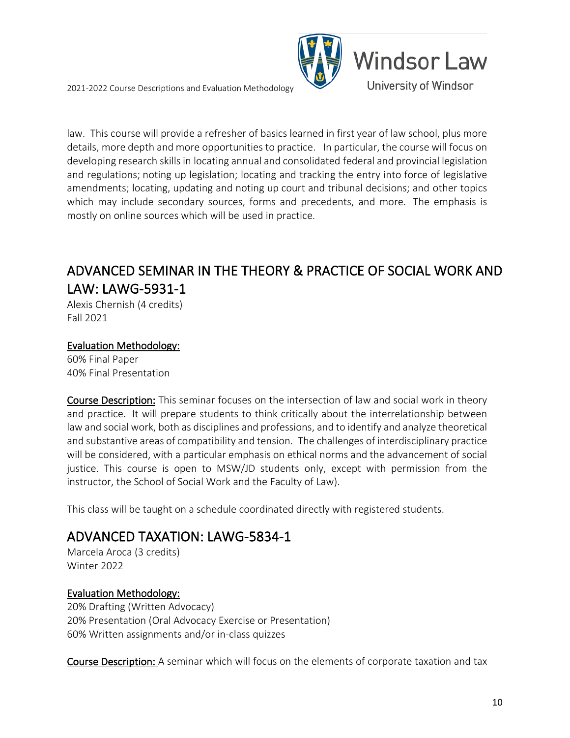

law. This course will provide a refresher of basics learned in first year of law school, plus more details, more depth and more opportunities to practice. In particular, the course will focus on developing research skills in locating annual and consolidated federal and provincial legislation and regulations; noting up legislation; locating and tracking the entry into force of legislative amendments; locating, updating and noting up court and tribunal decisions; and other topics which may include secondary sources, forms and precedents, and more. The emphasis is mostly on online sources which will be used in practice.

### <span id="page-9-0"></span>ADVANCED SEMINAR IN THE THEORY & PRACTICE OF SOCIAL WORK AND LAW: LAWG-5931-1<br>Alexis Chernish (4 credits)

Fall 2021

#### Evaluation Methodology:

60% Final Paper 40% Final Presentation

Course Description: This seminar focuses on the intersection of law and social work in theory and practice. It will prepare students to think critically about the interrelationship between law and social work, both as disciplines and professions, and to identify and analyze theoretical and substantive areas of compatibility and tension. The challenges of interdisciplinary practice will be considered, with a particular emphasis on ethical norms and the advancement of social justice. This course is open to MSW/JD students only, except with permission from the instructor, the School of Social Work and the Faculty of Law).

<span id="page-9-1"></span>This class will be taught on a schedule coordinated directly with registered students.

### ADVANCED TAXATION: LAWG-5834-1<br>Marcela Aroca (3 credits)

Winter 2022

### Evaluation Methodology:

20% Drafting (Written Advocacy) 20% Presentation (Oral Advocacy Exercise or Presentation) 60% Written assignments and/or in-class quizzes

Course Description: A seminar which will focus on the elements of corporate taxation and tax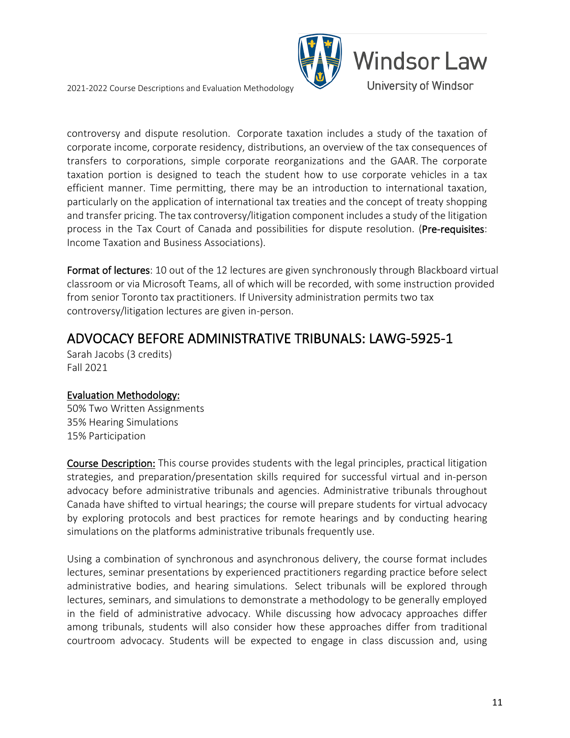

controversy and dispute resolution. Corporate taxation includes a study of the taxation of corporate income, corporate residency, distributions, an overview of the tax consequences of transfers to corporations, simple corporate reorganizations and the GAAR. The corporate taxation portion is designed to teach the student how to use corporate vehicles in a tax efficient manner. Time permitting, there may be an introduction to international taxation, particularly on the application of international tax treaties and the concept of treaty shopping and transfer pricing. The tax controversy/litigation component includes a study of the litigation process in the Tax Court of Canada and possibilities for dispute resolution. (Pre-requisites: Income Taxation and Business Associations).

Format of lectures: 10 out of the 12 lectures are given synchronously through Blackboard virtual classroom or via Microsoft Teams, all of which will be recorded, with some instruction provided from senior Toronto tax practitioners. If University administration permits two tax controversy/litigation lectures are given in-person.

## <span id="page-10-0"></span>ADVOCACY BEFORE ADMINISTRATIVE TRIBUNALS: LAWG-5925-1 Sarah Jacobs (3 credits)

Fall 2021

### Evaluation Methodology:

50% Two Written Assignments 35% Hearing Simulations 15% Participation

Course Description: This course provides students with the legal principles, practical litigation strategies, and preparation/presentation skills required for successful virtual and in-person advocacy before administrative tribunals and agencies. Administrative tribunals throughout Canada have shifted to virtual hearings; the course will prepare students for virtual advocacy by exploring protocols and best practices for remote hearings and by conducting hearing simulations on the platforms administrative tribunals frequently use.

Using a combination of synchronous and asynchronous delivery, the course format includes lectures, seminar presentations by experienced practitioners regarding practice before select administrative bodies, and hearing simulations. Select tribunals will be explored through lectures, seminars, and simulations to demonstrate a methodology to be generally employed in the field of administrative advocacy. While discussing how advocacy approaches differ among tribunals, students will also consider how these approaches differ from traditional courtroom advocacy. Students will be expected to engage in class discussion and, using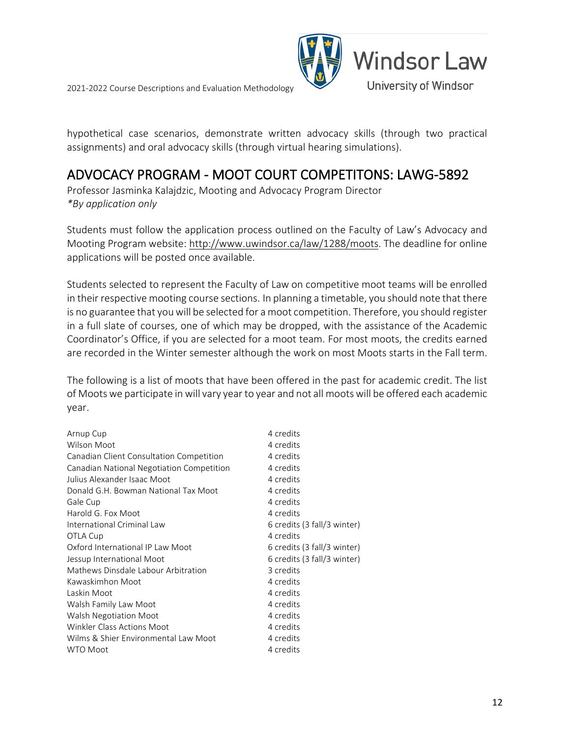



hypothetical case scenarios, demonstrate written advocacy skills (through two practical assignments) and oral advocacy skills (through virtual hearing simulations).

## <span id="page-11-0"></span>ADVOCACY PROGRAM - MOOT COURT COMPETITONS: LAWG-5892 Professor Jasminka Kalajdzic, Mooting and Advocacy Program Director

*\*By application only*

Students must follow the application process outlined on the Faculty of Law's Advocacy and Mooting Program website: [http://www.uwindsor.ca/law/1288/moots.](http://www.uwindsor.ca/law/1288/moots) The deadline for online applications will be posted once available.

Students selected to represent the Faculty of Law on competitive moot teams will be enrolled in their respective mooting course sections. In planning a timetable, you should note that there is no guarantee that youwill be selected for a moot competition. Therefore, you should register in a full slate of courses, one of which may be dropped, with the assistance of the Academic Coordinator's Office, if you are selected for a moot team. For most moots, the credits earned are recorded in the Winter semester although the work on most Moots starts in the Fall term.

The following is a list of moots that have been offered in the past for academic credit. The list of Moots we participate in will vary year to year and not all moots will be offered each academic year.

| Arnup Cup                                 | 4 credits                   |
|-------------------------------------------|-----------------------------|
| <b>Wilson Moot</b>                        | 4 credits                   |
| Canadian Client Consultation Competition  | 4 credits                   |
| Canadian National Negotiation Competition | 4 credits                   |
| Julius Alexander Isaac Moot               | 4 credits                   |
| Donald G.H. Bowman National Tax Moot      | 4 credits                   |
| Gale Cup                                  | 4 credits                   |
| Harold G. Fox Moot                        | 4 credits                   |
| International Criminal Law                | 6 credits (3 fall/3 winter) |
| OTLA Cup                                  | 4 credits                   |
| Oxford International IP Law Moot          | 6 credits (3 fall/3 winter) |
| Jessup International Moot                 | 6 credits (3 fall/3 winter) |
| Mathews Dinsdale Labour Arbitration       | 3 credits                   |
| Kawaskimhon Moot                          | 4 credits                   |
| Laskin Moot                               | 4 credits                   |
| Walsh Family Law Moot                     | 4 credits                   |
| Walsh Negotiation Moot                    | 4 credits                   |
| <b>Winkler Class Actions Moot</b>         | 4 credits                   |
| Wilms & Shier Environmental Law Moot      | 4 credits                   |
| <b>WTO Moot</b>                           | 4 credits                   |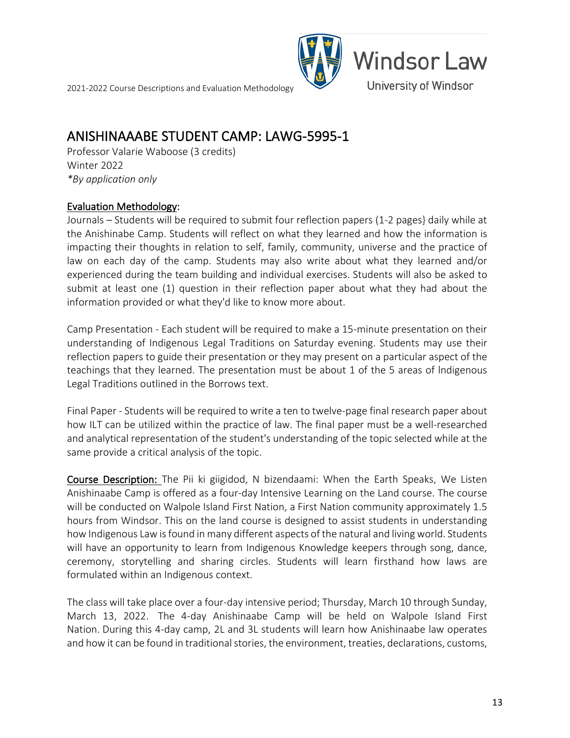

## <span id="page-12-0"></span>ANISHINAAABE STUDENT CAMP: LAWG-5995-1 Professor Valarie Waboose (3 credits)

Winter 2022 *\*By application only*

#### Evaluation Methodology:

Journals – Students will be required to submit four reflection papers (1-2 pages} daily while at the Anishinabe Camp. Students will reflect on what they learned and how the information is impacting their thoughts in relation to self, family, community, universe and the practice of law on each day of the camp. Students may also write about what they learned and/or experienced during the team building and individual exercises. Students will also be asked to submit at least one (1) question in their reflection paper about what they had about the information provided or what they'd like to know more about.

Camp Presentation - Each student will be required to make a 15-minute presentation on their understanding of Indigenous Legal Traditions on Saturday evening. Students may use their reflection papers to guide their presentation or they may present on a particular aspect of the teachings that they learned. The presentation must be about 1 of the 5 areas of lndigenous Legal Traditions outlined in the Borrows text.

Final Paper - Students will be required to write a ten to twelve-page final research paper about how ILT can be utilized within the practice of law. The final paper must be a well-researched and analytical representation of the student's understanding of the topic selected while at the same provide a critical analysis of the topic.

Course Description: The Pii ki giigidod, N bizendaami: When the Earth Speaks, We Listen Anishinaabe Camp is offered as a four-day Intensive Learning on the Land course. The course will be conducted on Walpole Island First Nation, a First Nation community approximately 1.5 hours from Windsor. This on the land course is designed to assist students in understanding how Indigenous Law is found in many different aspects of the natural and living world. Students will have an opportunity to learn from Indigenous Knowledge keepers through song, dance, ceremony, storytelling and sharing circles. Students will learn firsthand how laws are formulated within an Indigenous context.

The class will take place over a four-day intensive period; Thursday, March 10 through Sunday, March 13, 2022. The 4-day Anishinaabe Camp will be held on Walpole Island First Nation. During this 4-day camp, 2L and 3L students will learn how Anishinaabe law operates and how it can be found in traditional stories, the environment, treaties, declarations, customs,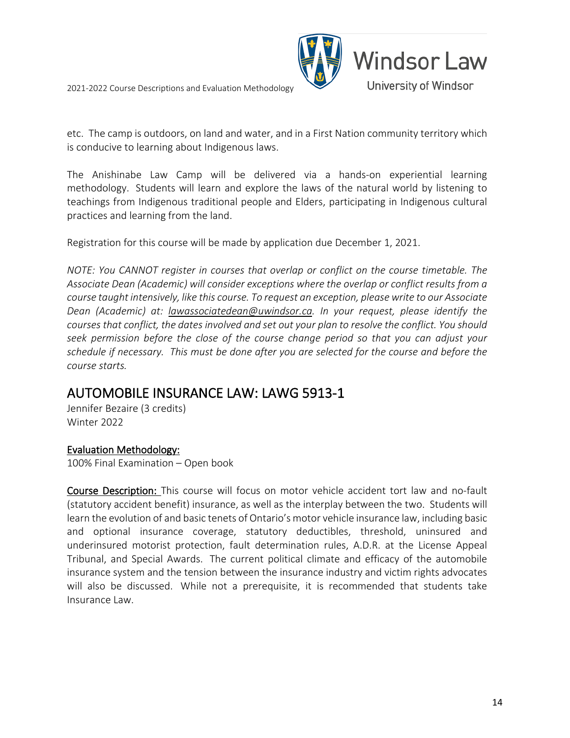

etc. The camp is outdoors, on land and water, and in a First Nation community territory which is conducive to learning about Indigenous laws.

The Anishinabe Law Camp will be delivered via a hands-on experiential learning methodology. Students will learn and explore the laws of the natural world by listening to teachings from Indigenous traditional people and Elders, participating in Indigenous cultural practices and learning from the land.

Registration for this course will be made by application due December 1, 2021.

*NOTE: You CANNOT register in courses that overlap or conflict on the course timetable. The Associate Dean (Academic) will consider exceptions where the overlap or conflict results from a course taught intensively, like this course. To request an exception, please write to our Associate Dean (Academic) at: [lawassociatedean@uwindsor.ca.](mailto:lawassociatedean@uwindsor.ca) In your request, please identify the courses that conflict, the dates involved and set out your plan to resolve the conflict. You should seek permission before the close of the course change period so that you can adjust your schedule if necessary. This must be done after you are selected for the course and before the course starts.*

## <span id="page-13-0"></span>AUTOMOBILE INSURANCE LAW: LAWG 5913-1 Jennifer Bezaire (3 credits)

Winter 2022

### Evaluation Methodology:

100% Final Examination – Open book

Course Description: This course will focus on motor vehicle accident tort law and no-fault (statutory accident benefit) insurance, as well as the interplay between the two. Students will learn the evolution of and basic tenets of Ontario's motor vehicle insurance law, including basic and optional insurance coverage, statutory deductibles, threshold, uninsured and underinsured motorist protection, fault determination rules, A.D.R. at the License Appeal Tribunal, and Special Awards. The current political climate and efficacy of the automobile insurance system and the tension between the insurance industry and victim rights advocates will also be discussed. While not a prerequisite, it is recommended that students take Insurance Law.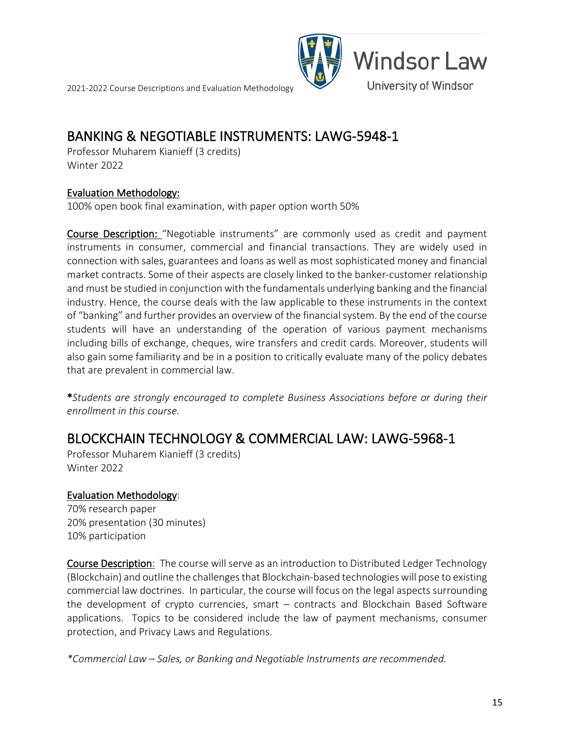

### <span id="page-14-0"></span>BANKING & NEGOTIABLE INSTRUMENTS: LAWG-5948-1<br>Professor Muharem Kianieff (3 credits)

Winter 2022

#### Evaluation Methodology:

100% open book final examination, with paper option worth 50%

Course Description: "Negotiable instruments" are commonly used as credit and payment instruments in consumer, commercial and financial transactions. They are widely used in connection with sales, guarantees and loans as well as most sophisticated money and financial market contracts. Some of their aspects are closely linked to the banker-customer relationship and must be studied in conjunction with the fundamentals underlying banking and the financial industry. Hence, the course deals with the law applicable to these instruments in the context of "banking" and further provides an overview of the financial system. By the end of the course students will have an understanding of the operation of various payment mechanisms including bills of exchange, cheques, wire transfers and credit cards. Moreover, students will also gain some familiarity and be in a position to critically evaluate many of the policy debates that are prevalent in commercial law.

\**Students are strongly encouraged to complete Business Associations before or during their enrollment in this course.*

### <span id="page-14-1"></span>BLOCKCHAIN TECHNOLOGY & COMMERCIAL LAW: LAWG-5968-1<br>Professor Muharem Kianieff (3 credits)

Winter 2022

#### Evaluation Methodology:

70% research paper 20% presentation (30 minutes) 10% participation

Course Description: The course will serve as an introduction to Distributed Ledger Technology (Blockchain) and outline the challenges that Blockchain-based technologies will pose to existing commercial law doctrines. In particular, the course will focus on the legal aspects surrounding the development of crypto currencies, smart – contracts and Blockchain Based Software applications. Topics to be considered include the law of payment mechanisms, consumer protection, and Privacy Laws and Regulations.

*\*Commercial Law – Sales, or Banking and Negotiable Instruments are recommended.*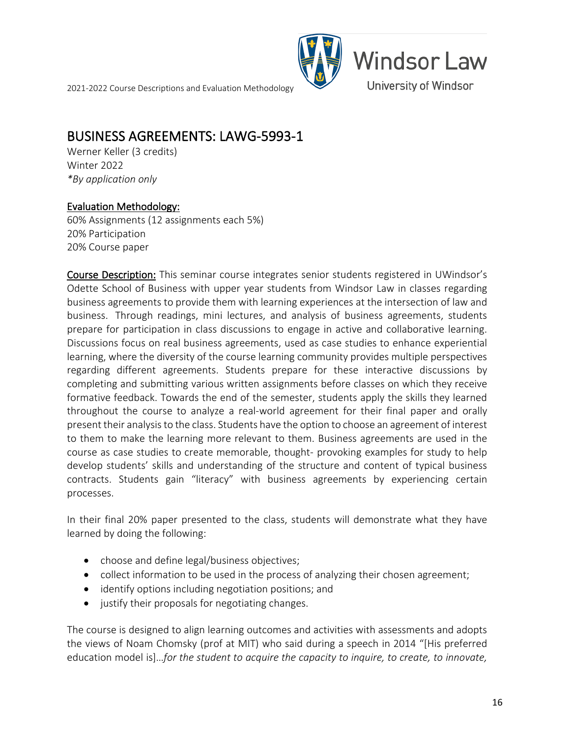

### <span id="page-15-0"></span>BUSINESS AGREEMENTS: LAWG-5993-1<br>Werner Keller (3 credits)

Winter 2022 *\*By application only*

#### Evaluation Methodology:

60% Assignments (12 assignments each 5%) 20% Participation 20% Course paper

Course Description: This seminar course integrates senior students registered in UWindsor's Odette School of Business with upper year students from Windsor Law in classes regarding business agreements to provide them with learning experiences at the intersection of law and business. Through readings, mini lectures, and analysis of business agreements, students prepare for participation in class discussions to engage in active and collaborative learning. Discussions focus on real business agreements, used as case studies to enhance experiential learning, where the diversity of the course learning community provides multiple perspectives regarding different agreements. Students prepare for these interactive discussions by completing and submitting various written assignments before classes on which they receive formative feedback. Towards the end of the semester, students apply the skills they learned throughout the course to analyze a real-world agreement for their final paper and orally present their analysis to the class. Students have the option to choose an agreement of interest to them to make the learning more relevant to them. Business agreements are used in the course as case studies to create memorable, thought- provoking examples for study to help develop students' skills and understanding of the structure and content of typical business contracts. Students gain "literacy" with business agreements by experiencing certain processes.

In their final 20% paper presented to the class, students will demonstrate what they have learned by doing the following:

- choose and define legal/business objectives;
- collect information to be used in the process of analyzing their chosen agreement;
- identify options including negotiation positions; and
- justify their proposals for negotiating changes.

The course is designed to align learning outcomes and activities with assessments and adopts the views of Noam Chomsky (prof at MIT) who said during a speech in 2014 "[His preferred education model is]…*for the student to acquire the capacity to inquire, to create, to innovate,*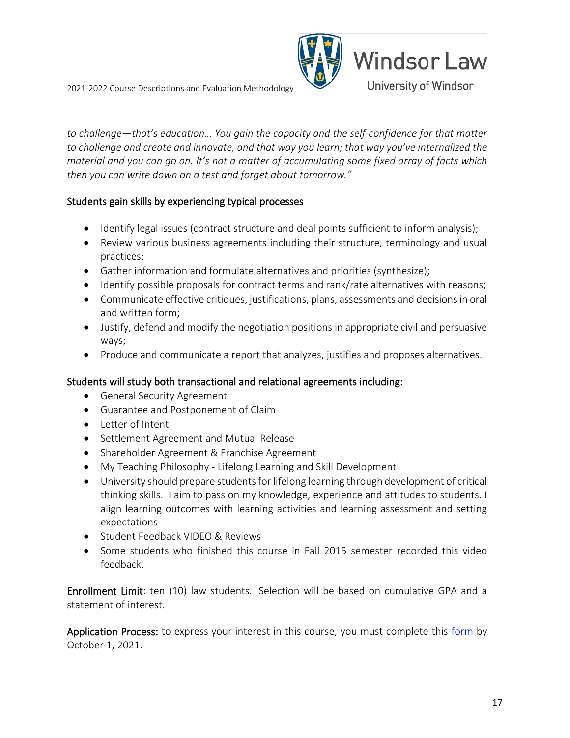

*to challenge—that's education… You gain the capacity and the self-confidence for that matter to challenge and create and innovate, and that way you learn; that way you've internalized the material and you can go on. It's not a matter of accumulating some fixed array of facts which then you can write down on a test and forget about tomorrow."*

### Students gain skills by experiencing typical processes

- Identify legal issues (contract structure and deal points sufficient to inform analysis);
- Review various business agreements including their structure, terminology and usual practices;
- Gather information and formulate alternatives and priorities (synthesize);
- Identify possible proposals for contract terms and rank/rate alternatives with reasons;
- Communicate effective critiques, justifications, plans, assessments and decisions in oral and written form;
- Justify, defend and modify the negotiation positions in appropriate civil and persuasive ways;
- Produce and communicate a report that analyzes, justifies and proposes alternatives.

### Students will study both transactional and relational agreements including:

- General Security Agreement
- Guarantee and Postponement of Claim
- Letter of Intent
- Settlement Agreement and Mutual Release
- Shareholder Agreement & Franchise Agreement
- My Teaching Philosophy Lifelong Learning and Skill Development
- University should prepare students for lifelong learning through development of critical thinking skills. I aim to pass on my knowledge, experience and attitudes to students. I align learning outcomes with learning activities and learning assessment and setting expectations
- Student Feedback VIDEO & Reviews
- Some students who finished this course in Fall 2015 semester recorded this video feedback.

Enrollment Limit: ten (10) law students. Selection will be based on cumulative GPA and a statement of interest.

Application Process: to express your interest in this course, you must complete this [form](https://uwindsor.ca1.qualtrics.com/jfe/form/SV_5vGRNH4xLVaWdoi) by October 1, 2021.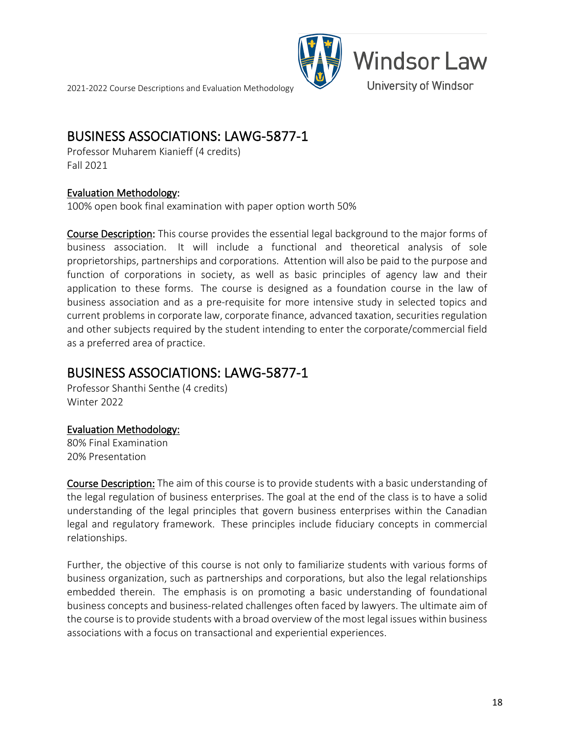

### <span id="page-17-0"></span>**BUSINESS ASSOCIATIONS: LAWG-5877-1**<br>Professor Muharem Kianieff (4 credits)

Fall 2021

#### Evaluation Methodology:

100% open book final examination with paper option worth 50%

Course Description: This course provides the essential legal background to the major forms of business association. It will include a functional and theoretical analysis of sole proprietorships, partnerships and corporations. Attention will also be paid to the purpose and function of corporations in society, as well as basic principles of agency law and their application to these forms. The course is designed as a foundation course in the law of business association and as a pre-requisite for more intensive study in selected topics and current problems in corporate law, corporate finance, advanced taxation, securities regulation and other subjects required by the student intending to enter the corporate/commercial field as a preferred area of practice.

## <span id="page-17-1"></span>BUSINESS ASSOCIATIONS: LAWG-5877-1 Professor Shanthi Senthe (4 credits)

Winter 2022

#### Evaluation Methodology:

80% Final Examination 20% Presentation

Course Description: The aim of this course is to provide students with a basic understanding of the legal regulation of business enterprises. The goal at the end of the class is to have a solid understanding of the legal principles that govern business enterprises within the Canadian legal and regulatory framework. These principles include fiduciary concepts in commercial relationships.

Further, the objective of this course is not only to familiarize students with various forms of business organization, such as partnerships and corporations, but also the legal relationships embedded therein. The emphasis is on promoting a basic understanding of foundational business concepts and business-related challenges often faced by lawyers. The ultimate aim of the course is to provide students with a broad overview of the most legal issues within business associations with a focus on transactional and experiential experiences.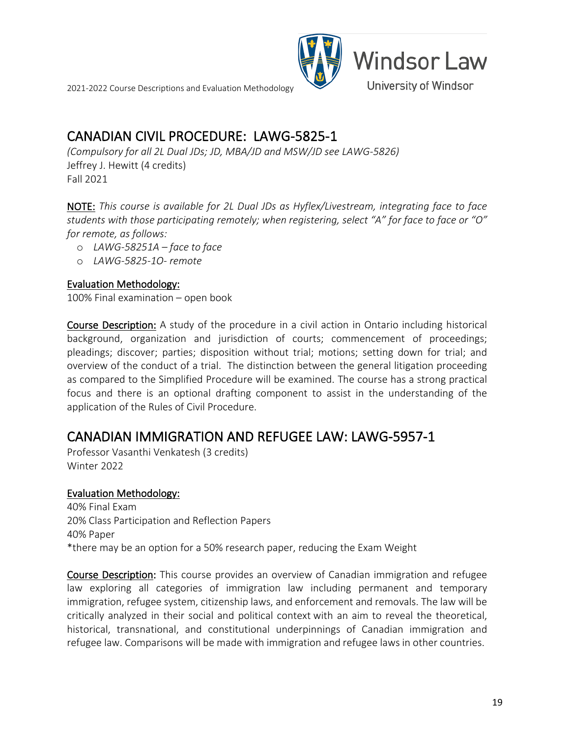

### <span id="page-18-0"></span>CANADIAN CIVIL PROCEDURE: LAWG-5825-1

*(Compulsory for all 2L Dual JDs; JD, MBA/JD and MSW/JD see LAWG-5826)* Jeffrey J. Hewitt (4 credits) Fall 2021

NOTE: *This course is available for 2L Dual JDs as Hyflex/Livestream, integrating face to face students with those participating remotely; when registering, select "A" for face to face or "O" for remote, as follows:*

- o *LAWG-58251A – face to face*
- o *LAWG-5825-1O- remote*

#### Evaluation Methodology:

100% Final examination – open book

Course Description: A study of the procedure in a civil action in Ontario including historical background, organization and jurisdiction of courts; commencement of proceedings; pleadings; discover; parties; disposition without trial; motions; setting down for trial; and overview of the conduct of a trial. The distinction between the general litigation proceeding as compared to the Simplified Procedure will be examined. The course has a strong practical focus and there is an optional drafting component to assist in the understanding of the application of the Rules of Civil Procedure.

### <span id="page-18-1"></span>CANADIAN IMMIGRATION AND REFUGEE LAW: LAWG-5957-1 Professor Vasanthi Venkatesh (3 credits)

Winter 2022

#### Evaluation Methodology:

40% Final Exam 20% Class Participation and Reflection Papers 40% Paper \*there may be an option for a 50% research paper, reducing the Exam Weight

Course Description: This course provides an overview of Canadian immigration and refugee law exploring all categories of immigration law including permanent and temporary immigration, refugee system, citizenship laws, and enforcement and removals. The law will be critically analyzed in their social and political context with an aim to reveal the theoretical, historical, transnational, and constitutional underpinnings of Canadian immigration and refugee law. Comparisons will be made with immigration and refugee laws in other countries.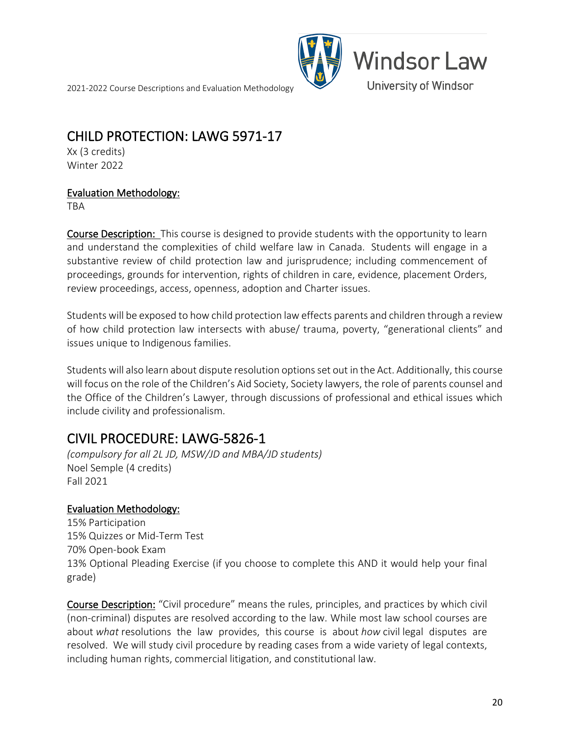

### <span id="page-19-0"></span>CHILD PROTECTION: LAWG 5971-17<br>Xx (3 credits)

Winter 2022

#### Evaluation Methodology:

TBA

**Course Description:** This course is designed to provide students with the opportunity to learn and understand the complexities of child welfare law in Canada. Students will engage in a substantive review of child protection law and jurisprudence; including commencement of proceedings, grounds for intervention, rights of children in care, evidence, placement Orders, review proceedings, access, openness, adoption and Charter issues.

Students will be exposed to how child protection law effects parents and children through a review of how child protection law intersects with abuse/ trauma, poverty, "generational clients" and issues unique to Indigenous families.

Students will also learn about dispute resolution options set out in the Act. Additionally, this course will focus on the role of the Children's Aid Society, Society lawyers, the role of parents counsel and the Office of the Children's Lawyer, through discussions of professional and ethical issues which include civility and professionalism.

### <span id="page-19-1"></span>CIVIL PROCEDURE: LAWG-5826-1

*(compulsory for all 2L JD, MSW/JD and MBA/JD students)* Noel Semple (4 credits) Fall 2021

#### Evaluation Methodology:

15% Participation 15% Quizzes or Mid-Term Test 70% Open-book Exam 13% Optional Pleading Exercise (if you choose to complete this AND it would help your final grade)

Course Description: "Civil procedure" means the rules, principles, and practices by which civil (non-criminal) disputes are resolved according to the law. While most law school courses are about *what* resolutions the law provides, this course is about *how* civil legal disputes are resolved. We will study civil procedure by reading cases from a wide variety of legal contexts, including human rights, commercial litigation, and constitutional law.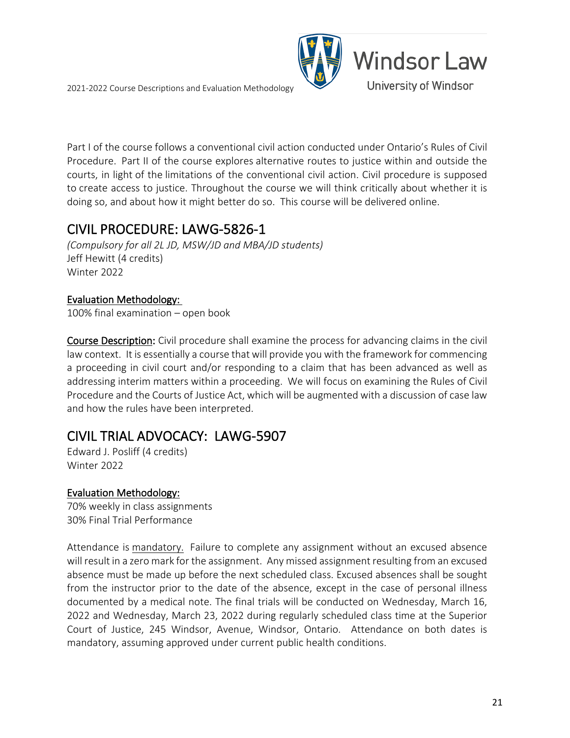

Part I of the course follows a conventional civil action conducted under Ontario's Rules of Civil Procedure. Part II of the course explores alternative routes to justice within and outside the courts, in light of the limitations of the conventional civil action. Civil procedure is supposed to create access to justice. Throughout the course we will think critically about whether it is doing so, and about how it might better do so. This course will be delivered online.

### <span id="page-20-0"></span>CIVIL PROCEDURE: LAWG-5826-1

*(Compulsory for all 2L JD, MSW/JD and MBA/JD students)* Jeff Hewitt (4 credits) Winter 2022

### Evaluation Methodology:

100% final examination – open book

Course Description: Civil procedure shall examine the process for advancing claims in the civil law context. It is essentially a course that will provide you with the framework for commencing a proceeding in civil court and/or responding to a claim that has been advanced as well as addressing interim matters within a proceeding. We will focus on examining the Rules of Civil Procedure and the Courts of Justice Act, which will be augmented with a discussion of case law and how the rules have been interpreted.

# <span id="page-20-1"></span>CIVIL TRIAL ADVOCACY: LAWG-5907 Edward J. Posliff (4 credits)

Winter 2022

### Evaluation Methodology:

70% weekly in class assignments 30% Final Trial Performance

Attendance is mandatory. Failure to complete any assignment without an excused absence will result in a zero mark for the assignment. Any missed assignment resulting from an excused absence must be made up before the next scheduled class. Excused absences shall be sought from the instructor prior to the date of the absence, except in the case of personal illness documented by a medical note. The final trials will be conducted on Wednesday, March 16, 2022 and Wednesday, March 23, 2022 during regularly scheduled class time at the Superior Court of Justice, 245 Windsor, Avenue, Windsor, Ontario. Attendance on both dates is mandatory, assuming approved under current public health conditions.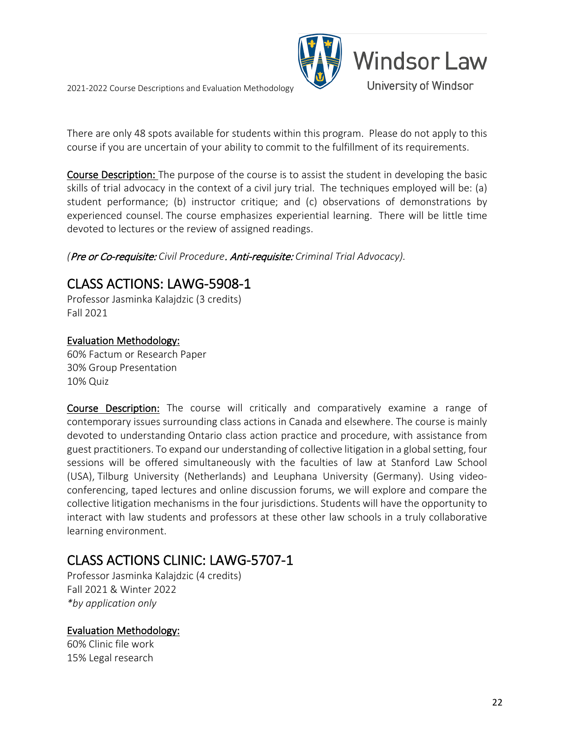

There are only 48 spots available for students within this program. Please do not apply to this course if you are uncertain of your ability to commit to the fulfillment of its requirements.

Course Description: The purpose of the course is to assist the student in developing the basic skills of trial advocacy in the context of a civil jury trial. The techniques employed will be: (a) student performance; (b) instructor critique; and (c) observations of demonstrations by experienced counsel. The course emphasizes experiential learning. There will be little time devoted to lectures or the review of assigned readings.

<span id="page-21-0"></span>*(*Pre or Co-requisite: *Civil Procedure*. Anti-requisite: *Criminal Trial Advocacy).*

# CLASS ACTIONS: LAWG-5908-1 Professor Jasminka Kalajdzic (3 credits)

Fall 2021

### Evaluation Methodology:

60% Factum or Research Paper 30% Group Presentation 10% Quiz

Course Description: The course will critically and comparatively examine a range of contemporary issues surrounding class actions in Canada and elsewhere. The course is mainly devoted to understanding Ontario class action practice and procedure, with assistance from guest practitioners. To expand our understanding of collective litigation in a global setting, four sessions will be offered simultaneously with the faculties of law at Stanford Law School (USA), Tilburg University (Netherlands) and Leuphana University (Germany). Using videoconferencing, taped lectures and online discussion forums, we will explore and compare the collective litigation mechanisms in the four jurisdictions. Students will have the opportunity to interact with law students and professors at these other law schools in a truly collaborative learning environment.

### <span id="page-21-1"></span>CLASS ACTIONS CLINIC: LAWG-5707-1

Professor Jasminka Kalajdzic (4 credits) Fall 2021 & Winter 2022 *\*by application only*

### Evaluation Methodology:

60% Clinic file work 15% Legal research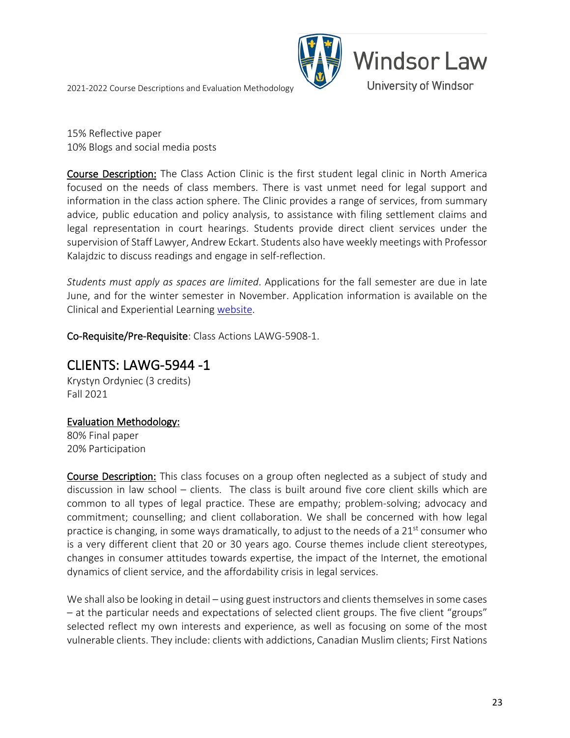

15% Reflective paper 10% Blogs and social media posts

Course Description: The Class Action Clinic is the first student legal clinic in North America focused on the needs of class members. There is vast unmet need for legal support and information in the class action sphere. The Clinic provides a range of services, from summary advice, public education and policy analysis, to assistance with filing settlement claims and legal representation in court hearings. Students provide direct client services under the supervision of Staff Lawyer, Andrew Eckart. Students also have weekly meetings with Professor Kalajdzic to discuss readings and engage in self-reflection.

*Students must apply as spaces are limited*. Applications for the fall semester are due in late June, and for the winter semester in November. Application information is available on the Clinical and Experiential Learning [website.](https://www.uwindsor.ca/law/341/clinical-and-experiential-learning)

Co-Requisite/Pre-Requisite: Class Actions LAWG-5908-1.

### <span id="page-22-0"></span>CLIENTS: LAWG-5944 -1

Krystyn Ordyniec (3 credits) Fall 2021

### Evaluation Methodology:

80% Final paper 20% Participation

Course Description: This class focuses on a group often neglected as a subject of study and discussion in law school – clients. The class is built around five core client skills which are common to all types of legal practice. These are empathy; problem-solving; advocacy and commitment; counselling; and client collaboration. We shall be concerned with how legal practice is changing, in some ways dramatically, to adjust to the needs of a  $21<sup>st</sup>$  consumer who is a very different client that 20 or 30 years ago. Course themes include client stereotypes, changes in consumer attitudes towards expertise, the impact of the Internet, the emotional dynamics of client service, and the affordability crisis in legal services.

We shall also be looking in detail – using guest instructors and clients themselves in some cases – at the particular needs and expectations of selected client groups. The five client "groups" selected reflect my own interests and experience, as well as focusing on some of the most vulnerable clients. They include: clients with addictions, Canadian Muslim clients; First Nations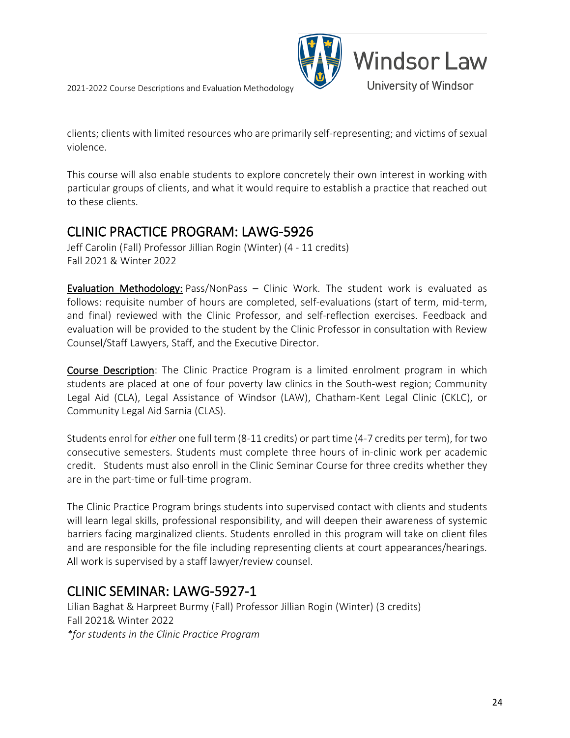



clients; clients with limited resources who are primarily self-representing; and victims of sexual violence.

This course will also enable students to explore concretely their own interest in working with particular groups of clients, and what it would require to establish a practice that reached out to these clients.

### <span id="page-23-0"></span>CLINIC PRACTICE PROGRAM: LAWG-5926

Jeff Carolin (Fall) Professor Jillian Rogin (Winter) (4 - 11 credits) Fall 2021 & Winter 2022

Evaluation Methodology: Pass/NonPass – Clinic Work. The student work is evaluated as follows: requisite number of hours are completed, self-evaluations (start of term, mid-term, and final) reviewed with the Clinic Professor, and self-reflection exercises. Feedback and evaluation will be provided to the student by the Clinic Professor in consultation with Review Counsel/Staff Lawyers, Staff, and the Executive Director.

Course Description: The Clinic Practice Program is a limited enrolment program in which students are placed at one of four poverty law clinics in the South-west region; Community Legal Aid (CLA), Legal Assistance of Windsor (LAW), Chatham-Kent Legal Clinic (CKLC), or Community Legal Aid Sarnia (CLAS).

Students enrol for *either* one full term (8-11 credits) or part time (4-7 credits per term), for two consecutive semesters. Students must complete three hours of in-clinic work per academic credit. Students must also enroll in the Clinic Seminar Course for three credits whether they are in the part-time or full-time program.

The Clinic Practice Program brings students into supervised contact with clients and students will learn legal skills, professional responsibility, and will deepen their awareness of systemic barriers facing marginalized clients. Students enrolled in this program will take on client files and are responsible for the file including representing clients at court appearances/hearings. All work is supervised by a staff lawyer/review counsel.

### <span id="page-23-1"></span>CLINIC SEMINAR: LAWG-5927-1

Lilian Baghat & Harpreet Burmy (Fall) Professor Jillian Rogin (Winter) (3 credits) Fall 2021& Winter 2022 *\*for students in the Clinic Practice Program*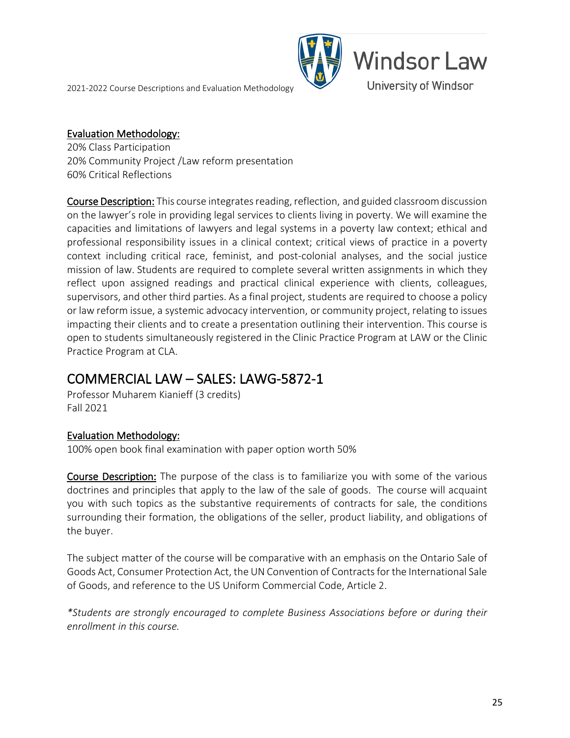

#### Evaluation Methodology:

20% Class Participation 20% Community Project /Law reform presentation 60% Critical Reflections

Course Description: This course integrates reading, reflection, and guided classroom discussion on the lawyer's role in providing legal services to clients living in poverty. We will examine the capacities and limitations of lawyers and legal systems in a poverty law context; ethical and professional responsibility issues in a clinical context; critical views of practice in a poverty context including critical race, feminist, and post-colonial analyses, and the social justice mission of law. Students are required to complete several written assignments in which they reflect upon assigned readings and practical clinical experience with clients, colleagues, supervisors, and other third parties. As a final project, students are required to choose a policy or law reform issue, a systemic advocacy intervention, or community project, relating to issues impacting their clients and to create a presentation outlining their intervention. This course is open to students simultaneously registered in the Clinic Practice Program at LAW or the Clinic Practice Program at CLA.

# <span id="page-24-0"></span>COMMERCIAL LAW – SALES: LAWG-5872-1 Professor Muharem Kianieff (3 credits)

Fall 2021

### Evaluation Methodology:

100% open book final examination with paper option worth 50%

Course Description: The purpose of the class is to familiarize you with some of the various doctrines and principles that apply to the law of the sale of goods. The course will acquaint you with such topics as the substantive requirements of contracts for sale, the conditions surrounding their formation, the obligations of the seller, product liability, and obligations of the buyer.

The subject matter of the course will be comparative with an emphasis on the Ontario Sale of Goods Act, Consumer Protection Act, the UN Convention of Contracts for the International Sale of Goods, and reference to the US Uniform Commercial Code, Article 2.

*\*Students are strongly encouraged to complete Business Associations before or during their enrollment in this course.*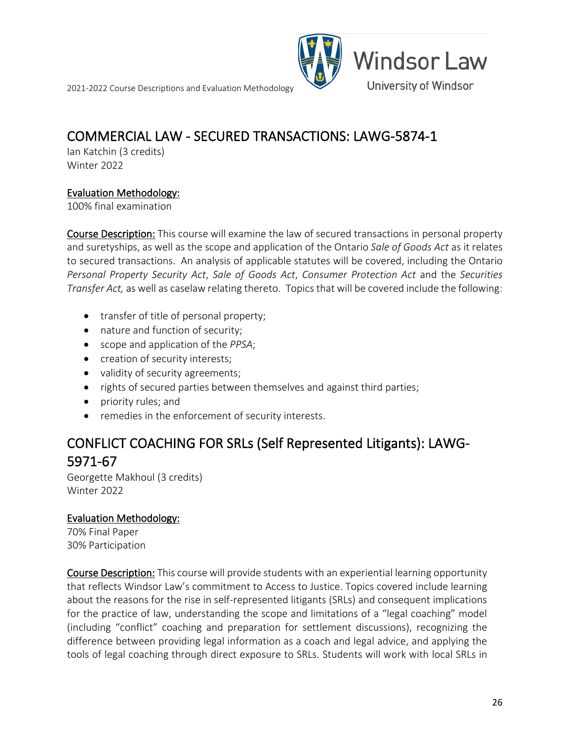

# <span id="page-25-0"></span>**COMMERCIAL LAW - SECURED TRANSACTIONS: LAWG-5874-1**<br>Ian Katchin (3 credits)

Winter 2022

#### Evaluation Methodology:

100% final examination

Course Description: This course will examine the law of secured transactions in personal property and suretyships, as well as the scope and application of the Ontario *Sale of Goods Act* as it relates to secured transactions. An analysis of applicable statutes will be covered, including the Ontario *Personal Property Security Act*, *Sale of Goods Act*, *Consumer Protection Act* and the *Securities Transfer Act,* as well as caselaw relating thereto. Topics that will be covered include the following:

- transfer of title of personal property;
- nature and function of security;
- scope and application of the *PPSA*;
- creation of security interests;
- validity of security agreements;
- rights of secured parties between themselves and against third parties;
- priority rules; and
- remedies in the enforcement of security interests.

### <span id="page-25-1"></span>CONFLICT COACHING FOR SRLs (Self Represented Litigants): LAWG-5971-67<br>Georgette Makhoul (3 credits)

Winter 2022

### Evaluation Methodology:

70% Final Paper 30% Participation

Course Description: This course will provide students with an experiential learning opportunity that reflects Windsor Law's commitment to Access to Justice. Topics covered include learning about the reasons for the rise in self-represented litigants (SRLs) and consequent implications for the practice of law, understanding the scope and limitations of a "legal coaching" model (including "conflict" coaching and preparation for settlement discussions), recognizing the difference between providing legal information as a coach and legal advice, and applying the tools of legal coaching through direct exposure to SRLs. Students will work with local SRLs in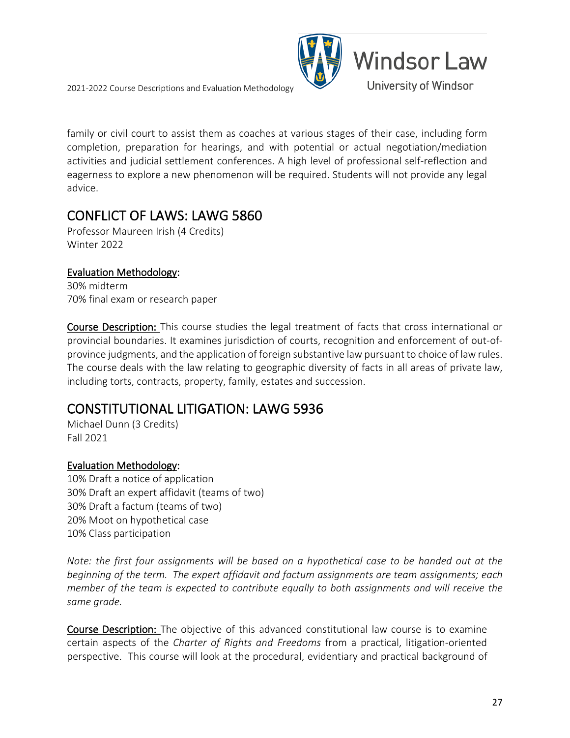

family or civil court to assist them as coaches at various stages of their case, including form completion, preparation for hearings, and with potential or actual negotiation/mediation activities and judicial settlement conferences. A high level of professional self-reflection and eagerness to explore a new phenomenon will be required. Students will not provide any legal advice.

# <span id="page-26-0"></span>CONFLICT OF LAWS: LAWG 5860 Professor Maureen Irish (4 Credits)

Winter 2022

### Evaluation Methodology:

30% midterm 70% final exam or research paper

Course Description: This course studies the legal treatment of facts that cross international or provincial boundaries. It examines jurisdiction of courts, recognition and enforcement of out-ofprovince judgments, and the application of foreign substantive law pursuant to choice of law rules. The course deals with the law relating to geographic diversity of facts in all areas of private law, including torts, contracts, property, family, estates and succession.

### <span id="page-26-1"></span>CONSTITUTIONAL LITIGATION: LAWG 5936 Michael Dunn (3 Credits)

Fall 2021

### Evaluation Methodology:

10% Draft a notice of application 30% Draft an expert affidavit (teams of two) 30% Draft a factum (teams of two) 20% Moot on hypothetical case 10% Class participation

*Note: the first four assignments will be based on a hypothetical case to be handed out at the beginning of the term. The expert affidavit and factum assignments are team assignments; each member of the team is expected to contribute equally to both assignments and will receive the same grade.*

Course Description: The objective of this advanced constitutional law course is to examine certain aspects of the *Charter of Rights and Freedoms* from a practical, litigation-oriented perspective. This course will look at the procedural, evidentiary and practical background of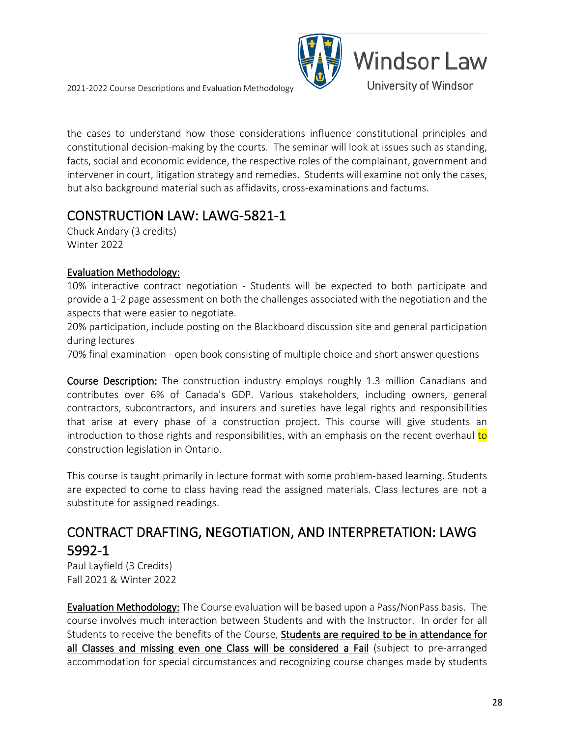

the cases to understand how those considerations influence constitutional principles and constitutional decision-making by the courts. The seminar will look at issues such as standing, facts, social and economic evidence, the respective roles of the complainant, government and intervener in court, litigation strategy and remedies. Students will examine not only the cases, but also background material such as affidavits, cross-examinations and factums.

# <span id="page-27-0"></span>CONSTRUCTION LAW: LAWG-5821-1 Chuck Andary (3 credits)

Winter 2022

### Evaluation Methodology:

10% interactive contract negotiation - Students will be expected to both participate and provide a 1-2 page assessment on both the challenges associated with the negotiation and the aspects that were easier to negotiate.

20% participation, include posting on the Blackboard discussion site and general participation during lectures

70% final examination - open book consisting of multiple choice and short answer questions

Course Description: The construction industry employs roughly 1.3 million Canadians and contributes over 6% of Canada's GDP. Various stakeholders, including owners, general contractors, subcontractors, and insurers and sureties have legal rights and responsibilities that arise at every phase of a construction project. This course will give students an introduction to those rights and responsibilities, with an emphasis on the recent overhaul to construction legislation in Ontario.

This course is taught primarily in lecture format with some problem-based learning. Students are expected to come to class having read the assigned materials. Class lectures are not a substitute for assigned readings.

### <span id="page-27-1"></span>CONTRACT DRAFTING, NEGOTIATION, AND INTERPRETATION: LAWG **5992-1**<br>Paul Layfield (3 Credits)

Fall 2021 & Winter 2022

Evaluation Methodology: The Course evaluation will be based upon a Pass/NonPass basis. The course involves much interaction between Students and with the Instructor. In order for all Students to receive the benefits of the Course, Students are required to be in attendance for all Classes and missing even one Class will be considered a Fail (subject to pre-arranged accommodation for special circumstances and recognizing course changes made by students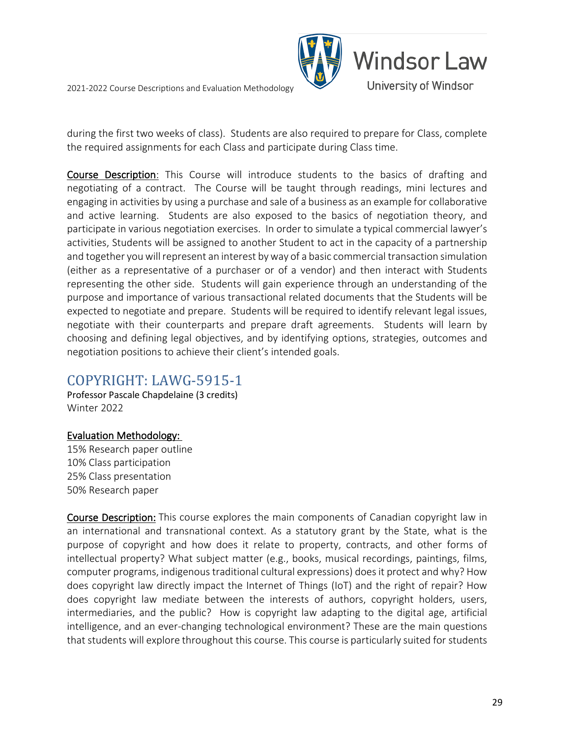

during the first two weeks of class). Students are also required to prepare for Class, complete the required assignments for each Class and participate during Class time.

Course Description: This Course will introduce students to the basics of drafting and negotiating of a contract. The Course will be taught through readings, mini lectures and engaging in activities by using a purchase and sale of a business as an example for collaborative and active learning. Students are also exposed to the basics of negotiation theory, and participate in various negotiation exercises. In order to simulate a typical commercial lawyer's activities, Students will be assigned to another Student to act in the capacity of a partnership and together you will represent an interest by way of a basic commercial transaction simulation (either as a representative of a purchaser or of a vendor) and then interact with Students representing the other side. Students will gain experience through an understanding of the purpose and importance of various transactional related documents that the Students will be expected to negotiate and prepare. Students will be required to identify relevant legal issues, negotiate with their counterparts and prepare draft agreements. Students will learn by choosing and defining legal objectives, and by identifying options, strategies, outcomes and negotiation positions to achieve their client's intended goals.

### <span id="page-28-0"></span>COPYRIGHT: LAWG-5915-1 Professor Pascale Chapdelaine (3 credits)

Winter 2022

#### Evaluation Methodology:

15% Research paper outline 10% Class participation 25% Class presentation 50% Research paper

Course Description: This course explores the main components of Canadian copyright law in an international and transnational context. As a statutory grant by the State, what is the purpose of copyright and how does it relate to property, contracts, and other forms of intellectual property? What subject matter (e.g., books, musical recordings, paintings, films, computer programs, indigenous traditional cultural expressions) does it protect and why? How does copyright law directly impact the Internet of Things (IoT) and the right of repair? How does copyright law mediate between the interests of authors, copyright holders, users, intermediaries, and the public? How is copyright law adapting to the digital age, artificial intelligence, and an ever-changing technological environment? These are the main questions that students will explore throughout this course. This course is particularly suited for students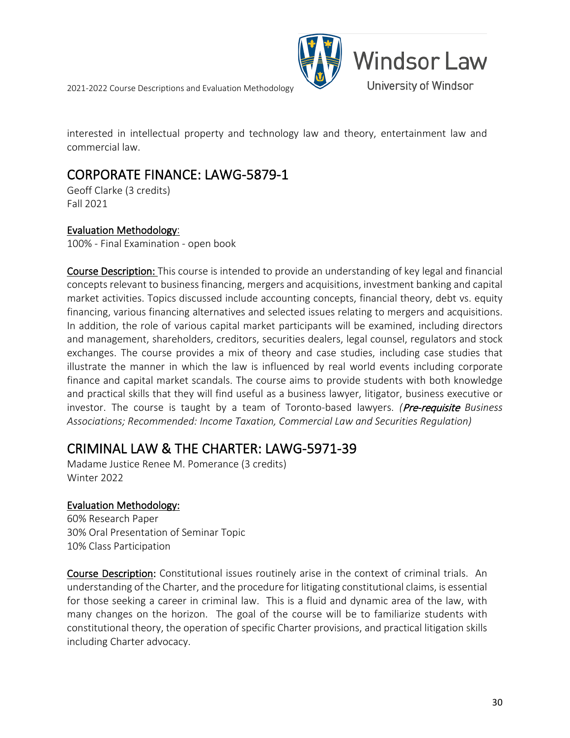

interested in intellectual property and technology law and theory, entertainment law and commercial law.

### <span id="page-29-0"></span>CORPORATE FINANCE: LAWG-5879-1 Geoff Clarke (3 credits)

Fall 2021

#### Evaluation Methodology:

100% - Final Examination - open book

Course Description: This course is intended to provide an understanding of key legal and financial concepts relevant to business financing, mergers and acquisitions, investment banking and capital market activities. Topics discussed include accounting concepts, financial theory, debt vs. equity financing, various financing alternatives and selected issues relating to mergers and acquisitions. In addition, the role of various capital market participants will be examined, including directors and management, shareholders, creditors, securities dealers, legal counsel, regulators and stock exchanges. The course provides a mix of theory and case studies, including case studies that illustrate the manner in which the law is influenced by real world events including corporate finance and capital market scandals. The course aims to provide students with both knowledge and practical skills that they will find useful as a business lawyer, litigator, business executive or investor. The course is taught by a team of Toronto-based lawyers. *(*Pre-requisite *Business Associations; Recommended: Income Taxation, Commercial Law and Securities Regulation)*

### <span id="page-29-1"></span>CRIMINAL LAW & THE CHARTER: LAWG-5971-39 Madame Justice Renee M. Pomerance (3 credits)

Winter 2022

#### Evaluation Methodology:

60% Research Paper 30% Oral Presentation of Seminar Topic 10% Class Participation

Course Description: Constitutional issues routinely arise in the context of criminal trials. An understanding of the Charter, and the procedure for litigating constitutional claims, is essential for those seeking a career in criminal law. This is a fluid and dynamic area of the law, with many changes on the horizon. The goal of the course will be to familiarize students with constitutional theory, the operation of specific Charter provisions, and practical litigation skills including Charter advocacy.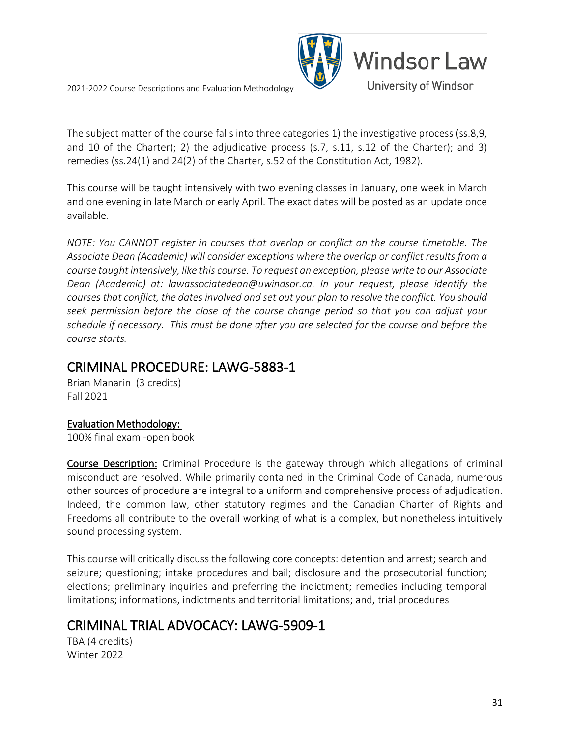

The subject matter of the course falls into three categories 1) the investigative process (ss.8,9, and 10 of the Charter); 2) the adjudicative process (s.7, s.11, s.12 of the Charter); and 3) remedies (ss.24(1) and 24(2) of the Charter, s.52 of the Constitution Act, 1982).

This course will be taught intensively with two evening classes in January, one week in March and one evening in late March or early April. The exact dates will be posted as an update once available.

*NOTE: You CANNOT register in courses that overlap or conflict on the course timetable. The Associate Dean (Academic) will consider exceptions where the overlap or conflict results from a course taught intensively, like this course. To request an exception, please write to our Associate Dean (Academic) at: [lawassociatedean@uwindsor.ca.](mailto:lawassociatedean@uwindsor.ca) In your request, please identify the courses that conflict, the dates involved and set out your plan to resolve the conflict. You should seek permission before the close of the course change period so that you can adjust your schedule if necessary. This must be done after you are selected for the course and before the course starts.*

## <span id="page-30-0"></span>CRIMINAL PROCEDURE: LAWG-5883-1 Brian Manarin (3 credits)

Fall 2021

### Evaluation Methodology:

100% final exam -open book

Course Description: Criminal Procedure is the gateway through which allegations of criminal misconduct are resolved. While primarily contained in the Criminal Code of Canada, numerous other sources of procedure are integral to a uniform and comprehensive process of adjudication. Indeed, the common law, other statutory regimes and the Canadian Charter of Rights and Freedoms all contribute to the overall working of what is a complex, but nonetheless intuitively sound processing system.

This course will critically discuss the following core concepts: detention and arrest; search and seizure; questioning; intake procedures and bail; disclosure and the prosecutorial function; elections; preliminary inquiries and preferring the indictment; remedies including temporal limitations; informations, indictments and territorial limitations; and, trial procedures

### <span id="page-30-1"></span>CRIMINAL TRIAL ADVOCACY: LAWG-5909-1

TBA (4 credits) Winter 2022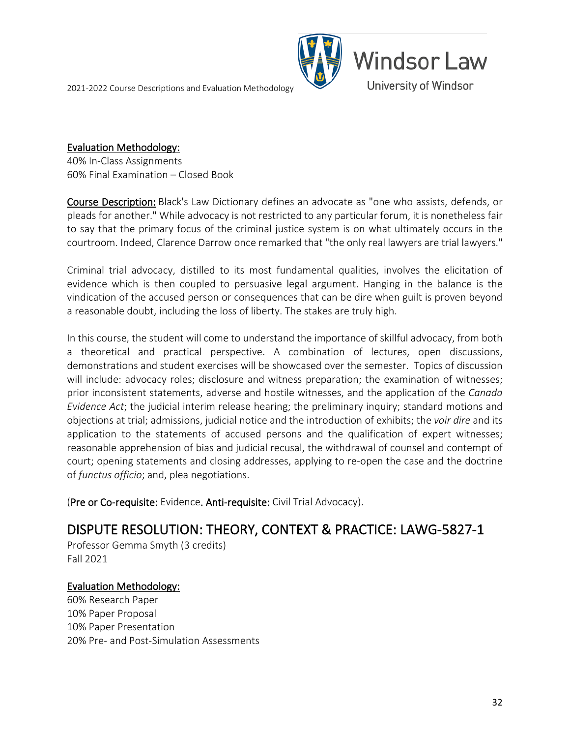

#### Evaluation Methodology:

40% In-Class Assignments 60% Final Examination – Closed Book

Course Description: Black's Law Dictionary defines an advocate as "one who assists, defends, or pleads for another." While advocacy is not restricted to any particular forum, it is nonetheless fair to say that the primary focus of the criminal justice system is on what ultimately occurs in the courtroom. Indeed, Clarence Darrow once remarked that "the only real lawyers are trial lawyers."

Criminal trial advocacy, distilled to its most fundamental qualities, involves the elicitation of evidence which is then coupled to persuasive legal argument. Hanging in the balance is the vindication of the accused person or consequences that can be dire when guilt is proven beyond a reasonable doubt, including the loss of liberty. The stakes are truly high.

In this course, the student will come to understand the importance of skillful advocacy, from both a theoretical and practical perspective. A combination of lectures, open discussions, demonstrations and student exercises will be showcased over the semester. Topics of discussion will include: advocacy roles; disclosure and witness preparation; the examination of witnesses; prior inconsistent statements, adverse and hostile witnesses, and the application of the *Canada Evidence Act*; the judicial interim release hearing; the preliminary inquiry; standard motions and objections at trial; admissions, judicial notice and the introduction of exhibits; the *voir dire* and its application to the statements of accused persons and the qualification of expert witnesses; reasonable apprehension of bias and judicial recusal, the withdrawal of counsel and contempt of court; opening statements and closing addresses, applying to re-open the case and the doctrine of *functus officio*; and, plea negotiations.

(Pre or Co-requisite: Evidence. Anti-requisite: Civil Trial Advocacy).

## <span id="page-31-0"></span>DISPUTE RESOLUTION: THEORY, CONTEXT & PRACTICE: LAWG-5827-1 Professor Gemma Smyth (3 credits)

Fall 2021

### Evaluation Methodology:

60% Research Paper 10% Paper Proposal 10% Paper Presentation 20% Pre- and Post-Simulation Assessments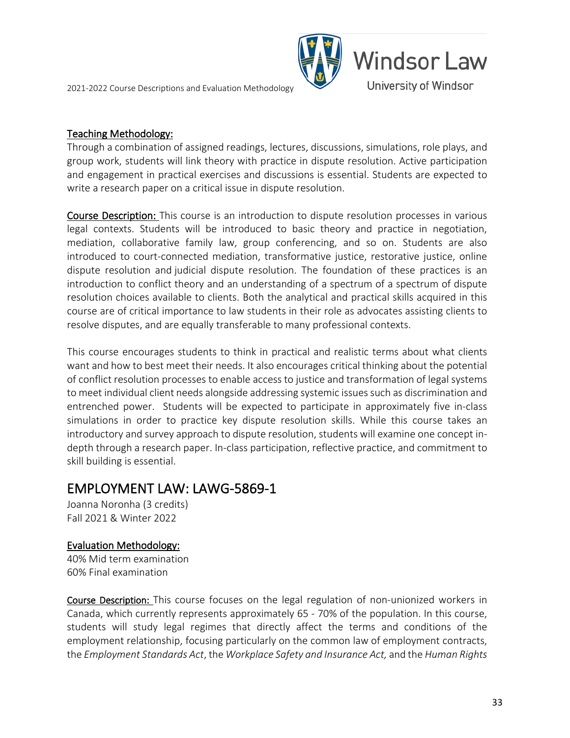# **Windsor Law** University of Windsor

#### Teaching Methodology:

Through a combination of assigned readings, lectures, discussions, simulations, role plays, and group work, students will link theory with practice in dispute resolution. Active participation and engagement in practical exercises and discussions is essential. Students are expected to write a research paper on a critical issue in dispute resolution.

Course Description: This course is an introduction to dispute resolution processes in various legal contexts. Students will be introduced to basic theory and practice in negotiation, mediation, collaborative family law, group conferencing, and so on. Students are also introduced to court-connected mediation, transformative justice, restorative justice, online dispute resolution and judicial dispute resolution. The foundation of these practices is an introduction to conflict theory and an understanding of a spectrum of a spectrum of dispute resolution choices available to clients. Both the analytical and practical skills acquired in this course are of critical importance to law students in their role as advocates assisting clients to resolve disputes, and are equally transferable to many professional contexts.

This course encourages students to think in practical and realistic terms about what clients want and how to best meet their needs. It also encourages critical thinking about the potential of conflict resolution processes to enable access to justice and transformation of legal systems to meet individual client needs alongside addressing systemic issues such as discrimination and entrenched power. Students will be expected to participate in approximately five in-class simulations in order to practice key dispute resolution skills. While this course takes an introductory and survey approach to dispute resolution, students will examine one concept indepth through a research paper. In-class participation, reflective practice, and commitment to skill building is essential.

### <span id="page-32-0"></span>EMPLOYMENT LAW: LAWG-5869-1 Joanna Noronha (3 credits)

Fall 2021 & Winter 2022

#### Evaluation Methodology:

40% Mid term examination 60% Final examination

Course Description: This course focuses on the legal regulation of non-unionized workers in Canada, which currently represents approximately 65 - 70% of the population. In this course, students will study legal regimes that directly affect the terms and conditions of the employment relationship, focusing particularly on the common law of employment contracts, the *Employment Standards Act*, the *Workplace Safety and Insurance Act,* and the *Human Rights*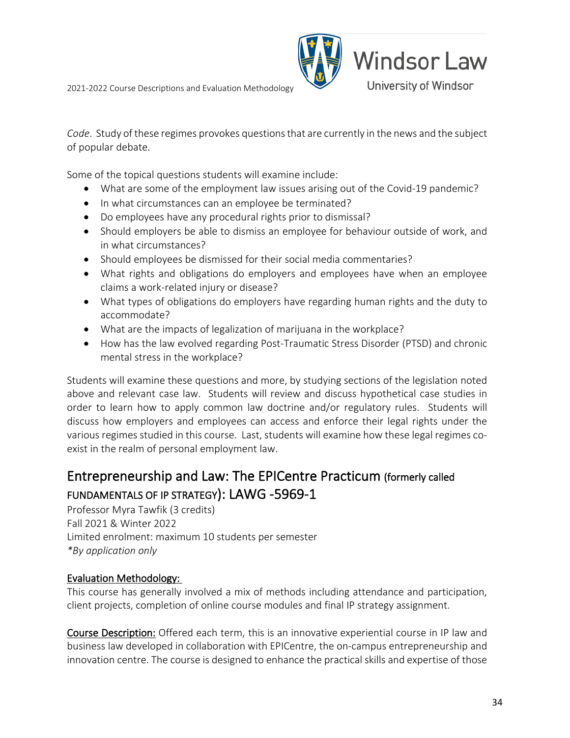

*Code*. Study of these regimes provokes questions that are currently in the news and the subject of popular debate.

Some of the topical questions students will examine include:

- What are some of the employment law issues arising out of the Covid-19 pandemic?
- In what circumstances can an employee be terminated?
- Do employees have any procedural rights prior to dismissal?
- Should employers be able to dismiss an employee for behaviour outside of work, and in what circumstances?
- Should employees be dismissed for their social media commentaries?
- What rights and obligations do employers and employees have when an employee claims a work-related injury or disease?
- What types of obligations do employers have regarding human rights and the duty to accommodate?
- What are the impacts of legalization of marijuana in the workplace?
- How has the law evolved regarding Post-Traumatic Stress Disorder (PTSD) and chronic mental stress in the workplace?

Students will examine these questions and more, by studying sections of the legislation noted above and relevant case law. Students will review and discuss hypothetical case studies in order to learn how to apply common law doctrine and/or regulatory rules. Students will discuss how employers and employees can access and enforce their legal rights under the various regimes studied in this course. Last, students will examine how these legal regimes coexist in the realm of personal employment law.

### <span id="page-33-0"></span>Entrepreneurship and Law: The EPICentre Practicum (formerly called FUNDAMENTALS OF IP STRATEGY): LAWG -5969-1<br>Professor Myra Tawfik (3 credits)

Fall 2021 & Winter 2022 Limited enrolment: maximum 10 students per semester *\*By application only*

### Evaluation Methodology:

This course has generally involved a mix of methods including attendance and participation, client projects, completion of online course modules and final IP strategy assignment.

Course Description: Offered each term, this is an innovative experiential course in IP law and business law developed in collaboration with EPICentre, the on-campus entrepreneurship and innovation centre. The course is designed to enhance the practical skills and expertise of those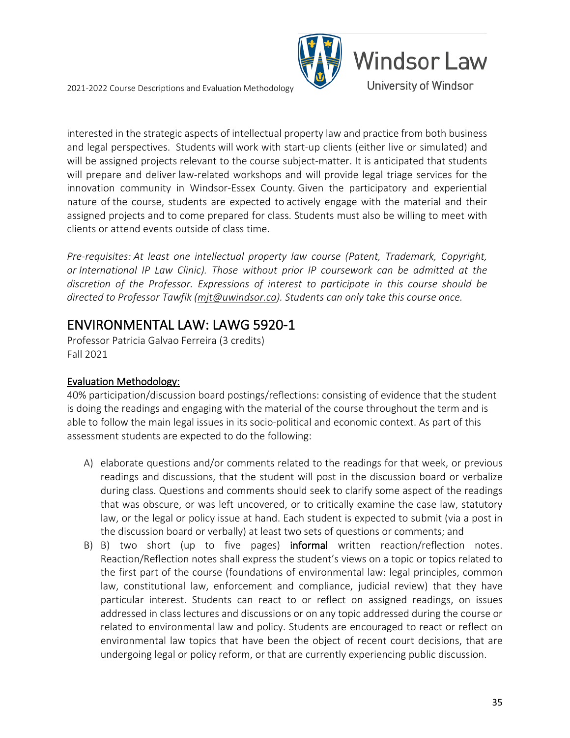

interested in the strategic aspects of intellectual property law and practice from both business and legal perspectives. Students will work with start-up clients (either live or simulated) and will be assigned projects relevant to the course subject-matter. It is anticipated that students will prepare and deliver law-related workshops and will provide legal triage services for the innovation community in Windsor-Essex County. Given the participatory and experiential nature of the course, students are expected to actively engage with the material and their assigned projects and to come prepared for class. Students must also be willing to meet with clients or attend events outside of class time.

*Pre-requisites: At least one intellectual property law course (Patent, Trademark, Copyright, or International IP Law Clinic). Those without prior IP coursework can be admitted at the discretion of the Professor. Expressions of interest to participate in this course should be directed to Professor Tawfik [\(mjt@uwindsor.ca\)](mailto:mjt@uwindsor.ca). Students can only take this course once.*

### <span id="page-34-0"></span>ENVIRONMENTAL LAW: LAWG 5920-1 Professor Patricia Galvao Ferreira (3 credits)

Fall 2021

### Evaluation Methodology:

40% participation/discussion board postings/reflections: consisting of evidence that the student is doing the readings and engaging with the material of the course throughout the term and is able to follow the main legal issues in its socio-political and economic context. As part of this assessment students are expected to do the following:

- A) elaborate questions and/or comments related to the readings for that week, or previous readings and discussions, that the student will post in the discussion board or verbalize during class. Questions and comments should seek to clarify some aspect of the readings that was obscure, or was left uncovered, or to critically examine the case law, statutory law, or the legal or policy issue at hand. Each student is expected to submit (via a post in the discussion board or verbally) at least two sets of questions or comments; and
- B) B) two short (up to five pages) informal written reaction/reflection notes. Reaction/Reflection notes shall express the student's views on a topic or topics related to the first part of the course (foundations of environmental law: legal principles, common law, constitutional law, enforcement and compliance, judicial review) that they have particular interest. Students can react to or reflect on assigned readings, on issues addressed in class lectures and discussions or on any topic addressed during the course or related to environmental law and policy. Students are encouraged to react or reflect on environmental law topics that have been the object of recent court decisions, that are undergoing legal or policy reform, or that are currently experiencing public discussion.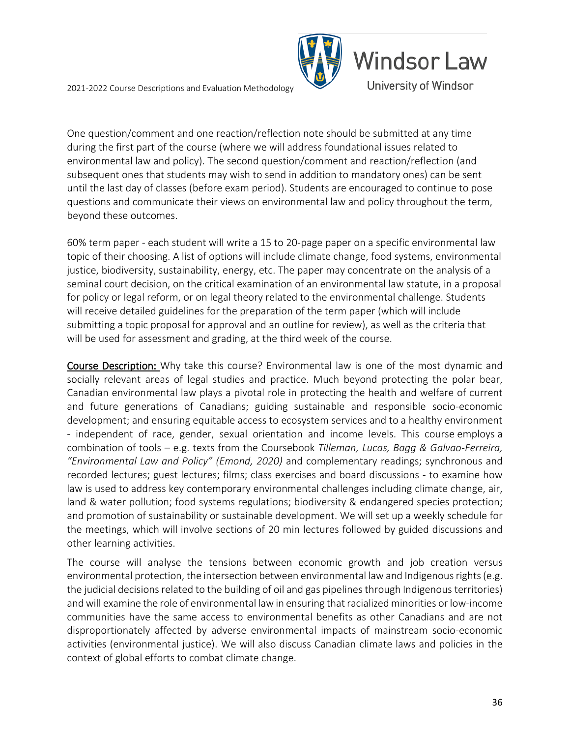

One question/comment and one reaction/reflection note should be submitted at any time during the first part of the course (where we will address foundational issues related to environmental law and policy). The second question/comment and reaction/reflection (and subsequent ones that students may wish to send in addition to mandatory ones) can be sent until the last day of classes (before exam period). Students are encouraged to continue to pose questions and communicate their views on environmental law and policy throughout the term, beyond these outcomes.

60% term paper - each student will write a 15 to 20-page paper on a specific environmental law topic of their choosing. A list of options will include climate change, food systems, environmental justice, biodiversity, sustainability, energy, etc. The paper may concentrate on the analysis of a seminal court decision, on the critical examination of an environmental law statute, in a proposal for policy or legal reform, or on legal theory related to the environmental challenge. Students will receive detailed guidelines for the preparation of the term paper (which will include submitting a topic proposal for approval and an outline for review), as well as the criteria that will be used for assessment and grading, at the third week of the course.

Course Description: Why take this course? Environmental law is one of the most dynamic and socially relevant areas of legal studies and practice. Much beyond protecting the polar bear, Canadian environmental law plays a pivotal role in protecting the health and welfare of current and future generations of Canadians; guiding sustainable and responsible socio-economic development; and ensuring equitable access to ecosystem services and to a healthy environment - independent of race, gender, sexual orientation and income levels. This course employs a combination of tools – e.g. texts from the Coursebook *Tilleman, Lucas, Bagg & Galvao-Ferreira, "Environmental Law and Policy" (Emond, 2020)* and complementary readings; synchronous and recorded lectures; guest lectures; films; class exercises and board discussions - to examine how law is used to address key contemporary environmental challenges including climate change, air, land & water pollution; food systems regulations; biodiversity & endangered species protection; and promotion of sustainability or sustainable development. We will set up a weekly schedule for the meetings, which will involve sections of 20 min lectures followed by guided discussions and other learning activities.

The course will analyse the tensions between economic growth and job creation versus environmental protection, the intersection between environmental law and Indigenous rights (e.g. the judicial decisions related to the building of oil and gas pipelines through Indigenous territories) and will examine the role of environmental law in ensuring that racialized minorities or low-income communities have the same access to environmental benefits as other Canadians and are not disproportionately affected by adverse environmental impacts of mainstream socio-economic activities (environmental justice). We will also discuss Canadian climate laws and policies in the context of global efforts to combat climate change.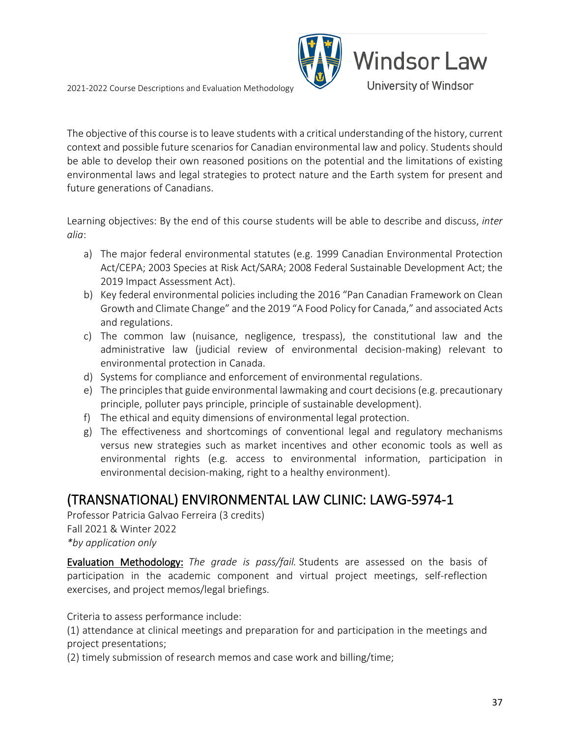

The objective of this course is to leave students with a critical understanding of the history, current context and possible future scenarios for Canadian environmental law and policy. Students should be able to develop their own reasoned positions on the potential and the limitations of existing environmental laws and legal strategies to protect nature and the Earth system for present and future generations of Canadians.

Learning objectives: By the end of this course students will be able to describe and discuss, *inter alia*:

- a) The major federal environmental statutes (e.g. 1999 Canadian Environmental Protection Act/CEPA; 2003 Species at Risk Act/SARA; 2008 Federal Sustainable Development Act; the 2019 Impact Assessment Act).
- b) Key federal environmental policies including the 2016 "Pan Canadian Framework on Clean Growth and Climate Change" and the 2019 "A Food Policy for Canada," and associated Acts and regulations.
- c) The common law (nuisance, negligence, trespass), the constitutional law and the administrative law (judicial review of environmental decision-making) relevant to environmental protection in Canada.
- d) Systems for compliance and enforcement of environmental regulations.
- e) The principles that guide environmental lawmaking and court decisions (e.g. precautionary principle, polluter pays principle, principle of sustainable development).
- f) The ethical and equity dimensions of environmental legal protection.
- g) The effectiveness and shortcomings of conventional legal and regulatory mechanisms versus new strategies such as market incentives and other economic tools as well as environmental rights (e.g. access to environmental information, participation in environmental decision-making, right to a healthy environment).

# (TRANSNATIONAL) ENVIRONMENTAL LAW CLINIC: LAWG-5974-1 Professor Patricia Galvao Ferreira (3 credits)

Fall 2021 & Winter 2022 *\*by application only*

Evaluation Methodology: *The grade is pass/fail.* Students are assessed on the basis of participation in the academic component and virtual project meetings, self-reflection exercises, and project memos/legal briefings.

Criteria to assess performance include:

(1) attendance at clinical meetings and preparation for and participation in the meetings and project presentations;

(2) timely submission of research memos and case work and billing/time;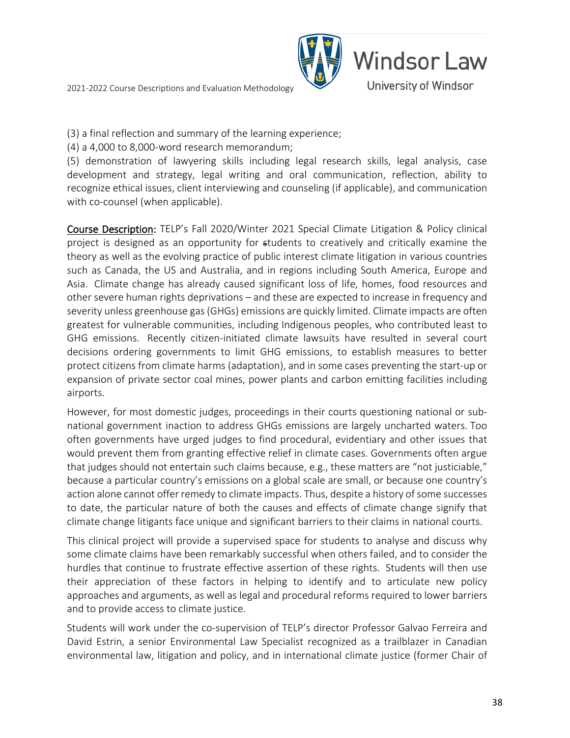

(3) a final reflection and summary of the learning experience;

(4) a 4,000 to 8,000-word research memorandum;

(5) demonstration of lawyering skills including legal research skills, legal analysis, case development and strategy, legal writing and oral communication, reflection, ability to recognize ethical issues, client interviewing and counseling (if applicable), and communication with co-counsel (when applicable).

Course Description: TELP's Fall 2020/Winter 2021 Special Climate Litigation & Policy clinical project is designed as an opportunity for students to creatively and critically examine the theory as well as the evolving practice of public interest climate litigation in various countries such as Canada, the US and Australia, and in regions including South America, Europe and Asia. Climate change has already caused significant loss of life, homes, food resources and other severe human rights deprivations – and these are expected to increase in frequency and severity unless greenhouse gas (GHGs) emissions are quickly limited. Climate impacts are often greatest for vulnerable communities, including Indigenous peoples, who contributed least to GHG emissions. Recently citizen-initiated climate lawsuits have resulted in several court decisions ordering governments to limit GHG emissions, to establish measures to better protect citizens from climate harms (adaptation), and in some cases preventing the start-up or expansion of private sector coal mines, power plants and carbon emitting facilities including airports.

However, for most domestic judges, proceedings in their courts questioning national or subnational government inaction to address GHGs emissions are largely uncharted waters. Too often governments have urged judges to find procedural, evidentiary and other issues that would prevent them from granting effective relief in climate cases. Governments often argue that judges should not entertain such claims because, e.g., these matters are "not justiciable," because a particular country's emissions on a global scale are small, or because one country's action alone cannot offer remedy to climate impacts. Thus, despite a history of some successes to date, the particular nature of both the causes and effects of climate change signify that climate change litigants face unique and significant barriers to their claims in national courts.

This clinical project will provide a supervised space for students to analyse and discuss why some climate claims have been remarkably successful when others failed, and to consider the hurdles that continue to frustrate effective assertion of these rights. Students will then use their appreciation of these factors in helping to identify and to articulate new policy approaches and arguments, as well as legal and procedural reforms required to lower barriers and to provide access to climate justice.

Students will work under the co-supervision of TELP's director Professor Galvao Ferreira and David Estrin, a senior Environmental Law Specialist recognized as a trailblazer in Canadian environmental law, litigation and policy, and in international climate justice (former Chair of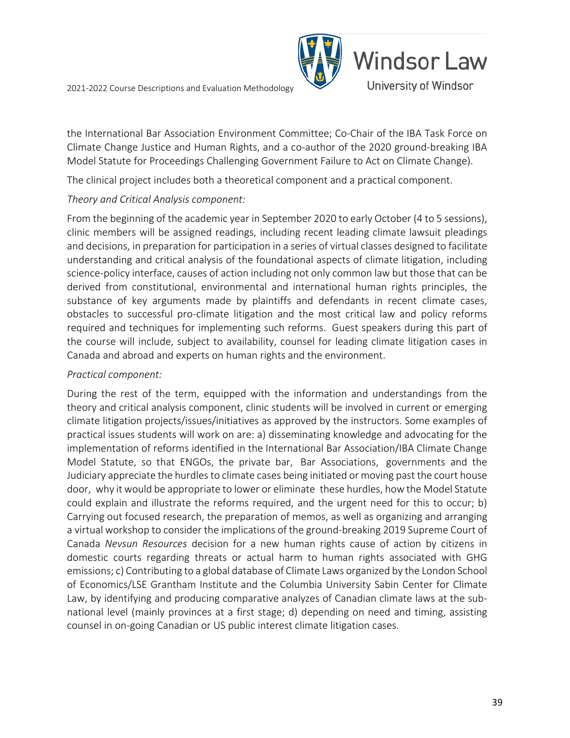

the International Bar Association Environment Committee; Co-Chair of the IBA Task Force on Climate Change Justice and Human Rights, and a co-author of the 2020 ground-breaking IBA Model Statute for Proceedings Challenging Government Failure to Act on Climate Change).

The clinical project includes both a theoretical component and a practical component.

#### *Theory and Critical Analysis component:*

From the beginning of the academic year in September 2020 to early October (4 to 5 sessions), clinic members will be assigned readings, including recent leading climate lawsuit pleadings and decisions, in preparation for participation in a series of virtual classes designed to facilitate understanding and critical analysis of the foundational aspects of climate litigation, including science-policy interface, causes of action including not only common law but those that can be derived from constitutional, environmental and international human rights principles, the substance of key arguments made by plaintiffs and defendants in recent climate cases, obstacles to successful pro-climate litigation and the most critical law and policy reforms required and techniques for implementing such reforms. Guest speakers during this part of the course will include, subject to availability, counsel for leading climate litigation cases in Canada and abroad and experts on human rights and the environment.

#### *Practical component:*

During the rest of the term, equipped with the information and understandings from the theory and critical analysis component, clinic students will be involved in current or emerging climate litigation projects/issues/initiatives as approved by the instructors. Some examples of practical issues students will work on are: a) disseminating knowledge and advocating for the implementation of reforms identified in the International Bar Association/IBA Climate Change Model Statute, so that ENGOs, the private bar, Bar Associations, governments and the Judiciary appreciate the hurdles to climate cases being initiated or moving past the court house door, why it would be appropriate to lower or eliminate these hurdles, how the Model Statute could explain and illustrate the reforms required, and the urgent need for this to occur; b) Carrying out focused research, the preparation of memos, as well as organizing and arranging a virtual workshop to consider the implications of the ground-breaking 2019 Supreme Court of Canada *Nevsun Resources* decision for a new human rights cause of action by citizens in domestic courts regarding threats or actual harm to human rights associated with GHG emissions; c) Contributing to a global database of Climate Laws organized by the London School of Economics/LSE Grantham Institute and the Columbia University Sabin Center for Climate Law, by identifying and producing comparative analyzes of Canadian climate laws at the subnational level (mainly provinces at a first stage; d) depending on need and timing, assisting counsel in on-going Canadian or US public interest climate litigation cases.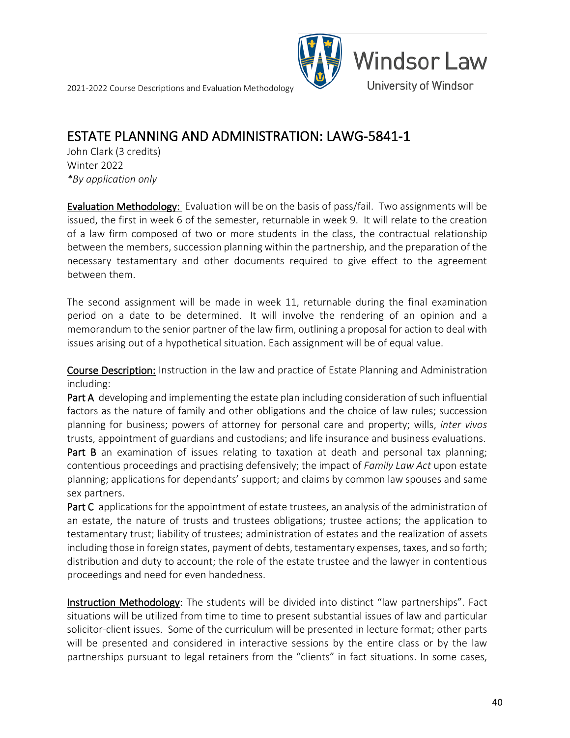

### **ESTATE PLANNING AND ADMINISTRATION: LAWG-5841-1**<br>John Clark (3 credits)

Winter 2022 *\*By application only*

Evaluation Methodology: Evaluation will be on the basis of pass/fail. Two assignments will be issued, the first in week 6 of the semester, returnable in week 9. It will relate to the creation of a law firm composed of two or more students in the class, the contractual relationship between the members, succession planning within the partnership, and the preparation of the necessary testamentary and other documents required to give effect to the agreement between them.

The second assignment will be made in week 11, returnable during the final examination period on a date to be determined. It will involve the rendering of an opinion and a memorandum to the senior partner of the law firm, outlining a proposal for action to deal with issues arising out of a hypothetical situation. Each assignment will be of equal value.

Course Description: Instruction in the law and practice of Estate Planning and Administration including:

Part A developing and implementing the estate plan including consideration of such influential factors as the nature of family and other obligations and the choice of law rules; succession planning for business; powers of attorney for personal care and property; wills, *inter vivos*  trusts, appointment of guardians and custodians; and life insurance and business evaluations.

Part B an examination of issues relating to taxation at death and personal tax planning; contentious proceedings and practising defensively; the impact of *Family Law Act* upon estate planning; applications for dependants' support; and claims by common law spouses and same sex partners.

Part C applications for the appointment of estate trustees, an analysis of the administration of an estate, the nature of trusts and trustees obligations; trustee actions; the application to testamentary trust; liability of trustees; administration of estates and the realization of assets including those in foreign states, payment of debts, testamentary expenses, taxes, and so forth; distribution and duty to account; the role of the estate trustee and the lawyer in contentious proceedings and need for even handedness.

Instruction Methodology: The students will be divided into distinct "law partnerships". Fact situations will be utilized from time to time to present substantial issues of law and particular solicitor-client issues. Some of the curriculum will be presented in lecture format; other parts will be presented and considered in interactive sessions by the entire class or by the law partnerships pursuant to legal retainers from the "clients" in fact situations. In some cases,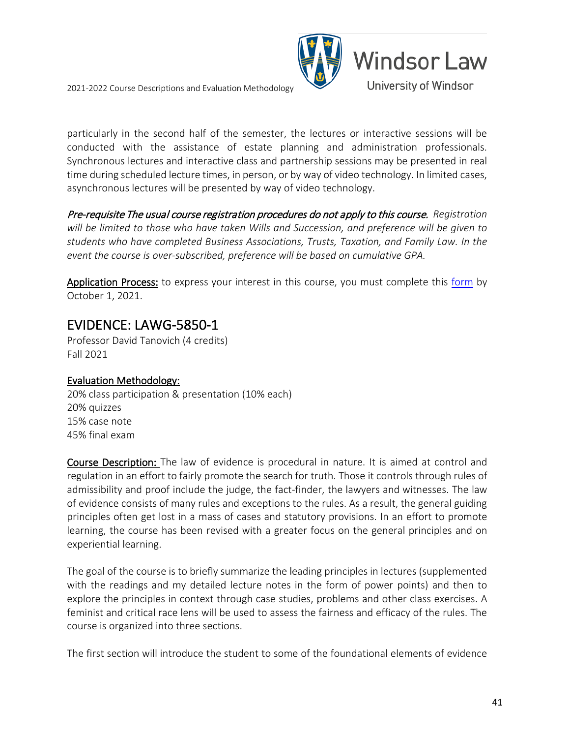

particularly in the second half of the semester, the lectures or interactive sessions will be conducted with the assistance of estate planning and administration professionals. Synchronous lectures and interactive class and partnership sessions may be presented in real time during scheduled lecture times, in person, or by way of video technology. In limited cases, asynchronous lectures will be presented by way of video technology.

Pre-requisite The usual course registration procedures do not apply to this course. *Registration will be limited to those who have taken Wills and Succession, and preference will be given to students who have completed Business Associations, Trusts, Taxation, and Family Law. In the event the course is over-subscribed, preference will be based on cumulative GPA.* 

Application Process: to express your interest in this course, you must complete this [form](https://uwindsor.ca1.qualtrics.com/jfe/form/SV_5vGRNH4xLVaWdoi) by October 1, 2021.

### **EVIDENCE: LAWG-5850-1**<br>Professor David Tanovich (4 credits)

Fall 2021

### Evaluation Methodology:

20% class participation & presentation (10% each) 20% quizzes 15% case note 45% final exam

Course Description: The law of evidence is procedural in nature. It is aimed at control and regulation in an effort to fairly promote the search for truth. Those it controls through rules of admissibility and proof include the judge, the fact-finder, the lawyers and witnesses. The law of evidence consists of many rules and exceptions to the rules. As a result, the general guiding principles often get lost in a mass of cases and statutory provisions. In an effort to promote learning, the course has been revised with a greater focus on the general principles and on experiential learning.

The goal of the course is to briefly summarize the leading principles in lectures (supplemented with the readings and my detailed lecture notes in the form of power points) and then to explore the principles in context through case studies, problems and other class exercises. A feminist and critical race lens will be used to assess the fairness and efficacy of the rules. The course is organized into three sections.

The first section will introduce the student to some of the foundational elements of evidence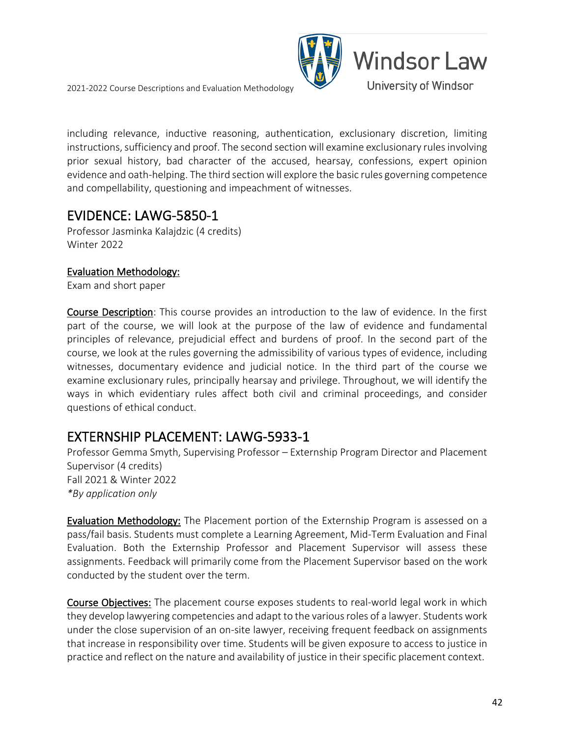

including relevance, inductive reasoning, authentication, exclusionary discretion, limiting instructions, sufficiency and proof. The second section will examine exclusionary rules involving prior sexual history, bad character of the accused, hearsay, confessions, expert opinion evidence and oath-helping. The third section will explore the basic rules governing competence and compellability, questioning and impeachment of witnesses.

### **EVIDENCE: LAWG-5850-1**<br>Professor Jasminka Kalajdzic (4 credits)

Winter 2022

### Evaluation Methodology:

Exam and short paper

Course Description: This course provides an introduction to the law of evidence. In the first part of the course, we will look at the purpose of the law of evidence and fundamental principles of relevance, prejudicial effect and burdens of proof. In the second part of the course, we look at the rules governing the admissibility of various types of evidence, including witnesses, documentary evidence and judicial notice. In the third part of the course we examine exclusionary rules, principally hearsay and privilege. Throughout, we will identify the ways in which evidentiary rules affect both civil and criminal proceedings, and consider questions of ethical conduct.

**EXTERNSHIP PLACEMENT: LAWG-5933-1**<br>Professor Gemma Smyth, Supervising Professor – Externship Program Director and Placement Supervisor (4 credits) Fall 2021 & Winter 2022 *\*By application only*

Evaluation Methodology: The Placement portion of the Externship Program is assessed on a pass/fail basis. Students must complete a Learning Agreement, Mid-Term Evaluation and Final Evaluation. Both the Externship Professor and Placement Supervisor will assess these assignments. Feedback will primarily come from the Placement Supervisor based on the work conducted by the student over the term.

Course Objectives: The placement course exposes students to real-world legal work in which they develop lawyering competencies and adapt to the various roles of a lawyer. Students work under the close supervision of an on-site lawyer, receiving frequent feedback on assignments that increase in responsibility over time. Students will be given exposure to access to justice in practice and reflect on the nature and availability of justice in their specific placement context.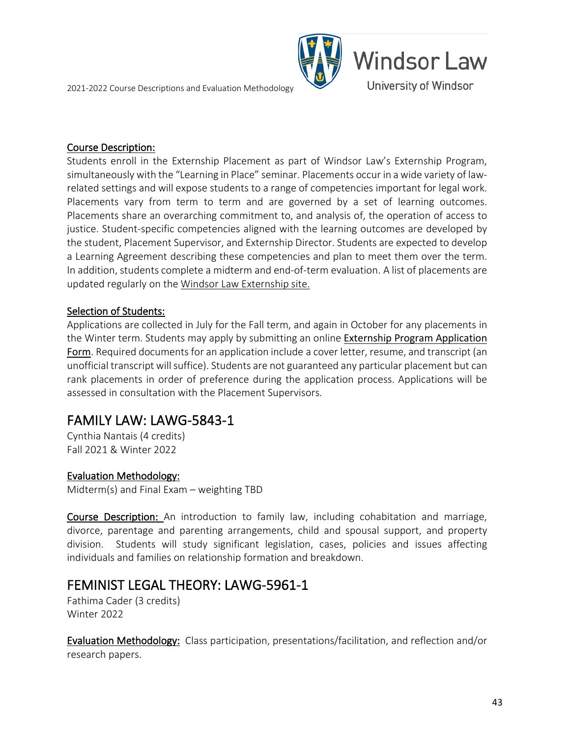

#### Course Description:

Students enroll in the Externship Placement as part of Windsor Law's Externship Program, simultaneously with the "Learning in Place" seminar. Placements occur in a wide variety of lawrelated settings and will expose students to a range of competencies important for legal work. Placements vary from term to term and are governed by a set of learning outcomes. Placements share an overarching commitment to, and analysis of, the operation of access to justice. Student-specific competencies aligned with the learning outcomes are developed by the student, Placement Supervisor, and Externship Director. Students are expected to develop a Learning Agreement describing these competencies and plan to meet them over the term. In addition, students complete a midterm and end-of-term evaluation. A list of placements are updated regularly on the [Windsor Law Externship site.](https://www.uwindsor.ca/law/1283/externships)

#### Selection of Students:

Applications are collected in July for the Fall term, and again in October for any placements in the Winter term. Students may apply by submitting an online [Externship Program Application](https://uwindsor.ca1.qualtrics.com/jfe/form/SV_6QZigFjtXuvCvAN)  [Form](https://uwindsor.ca1.qualtrics.com/jfe/form/SV_6QZigFjtXuvCvAN). Required documents for an application include a cover letter, resume, and transcript (an unofficial transcript will suffice). Students are not guaranteed any particular placement but can rank placements in order of preference during the application process. Applications will be assessed in consultation with the Placement Supervisors.

### **FAMILY LAW: LAWG-5843-1**<br>Cynthia Nantais (4 credits)

Fall 2021 & Winter 2022

### Evaluation Methodology:

Midterm(s) and Final Exam – weighting TBD

Course Description: An introduction to family law, including cohabitation and marriage, divorce, parentage and parenting arrangements, child and spousal support, and property division. Students will study significant legislation, cases, policies and issues affecting individuals and families on relationship formation and breakdown.

### FEMINIST LEGAL THEORY: LAWG-5961-1<br>Fathima Cader (3 credits)

Winter 2022

Evaluation Methodology: Class participation, presentations/facilitation, and reflection and/or research papers.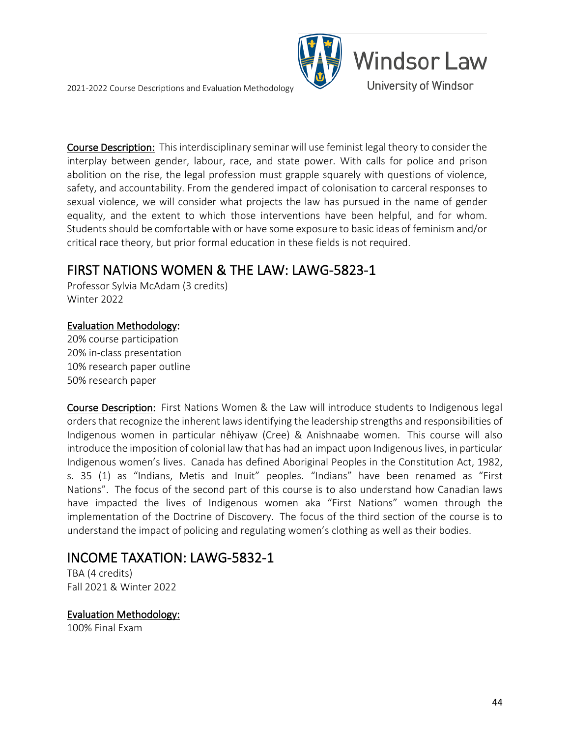

Course Description: This interdisciplinary seminar will use feminist legal theory to consider the interplay between gender, labour, race, and state power. With calls for police and prison abolition on the rise, the legal profession must grapple squarely with questions of violence, safety, and accountability. From the gendered impact of colonisation to carceral responses to sexual violence, we will consider what projects the law has pursued in the name of gender equality, and the extent to which those interventions have been helpful, and for whom. Students should be comfortable with or have some exposure to basic ideas of feminism and/or critical race theory, but prior formal education in these fields is not required.

# FIRST NATIONS WOMEN & THE LAW: LAWG-5823-1<br>Professor Sylvia McAdam (3 credits)

Winter 2022

#### Evaluation Methodology:

20% course participation 20% in-class presentation 10% research paper outline 50% research paper

Course Description: First Nations Women & the Law will introduce students to Indigenous legal orders that recognize the inherent laws identifying the leadership strengths and responsibilities of Indigenous women in particular nêhiyaw (Cree) & Anishnaabe women. This course will also introduce the imposition of colonial law that has had an impact upon Indigenouslives, in particular Indigenous women's lives. Canada has defined Aboriginal Peoples in the Constitution Act, 1982, s. 35 (1) as "Indians, Metis and Inuit" peoples. "Indians" have been renamed as "First Nations". The focus of the second part of this course is to also understand how Canadian laws have impacted the lives of Indigenous women aka "First Nations" women through the implementation of the Doctrine of Discovery. The focus of the third section of the course is to understand the impact of policing and regulating women's clothing as well as their bodies.

### **INCOME TAXATION: LAWG-5832-1**<br>TBA (4 credits)

Fall 2021 & Winter 2022

Evaluation Methodology:

100% Final Exam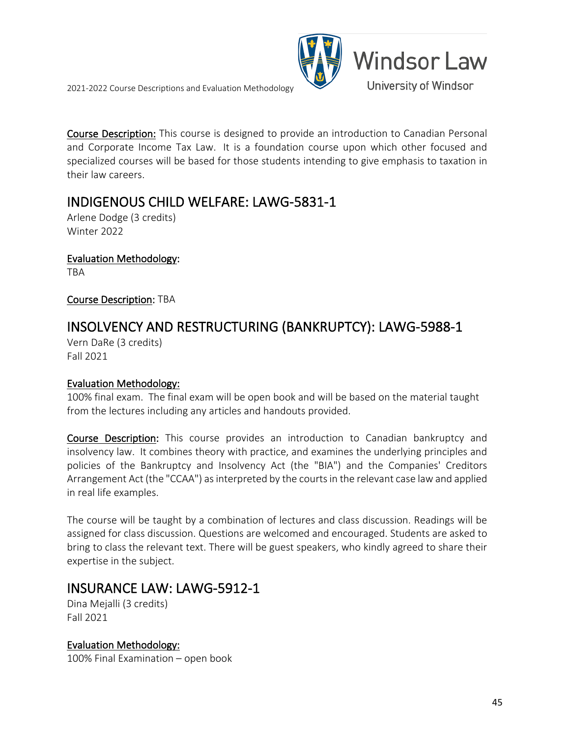**Windsor Law** University of Windsor

Course Description: This course is designed to provide an introduction to Canadian Personal and Corporate Income Tax Law. It is a foundation course upon which other focused and specialized courses will be based for those students intending to give emphasis to taxation in their law careers.

### INDIGENOUS CHILD WELFARE: LAWG-5831-1<br>Arlene Dodge (3 credits)

Winter 2022

Evaluation Methodology: TBA

Course Description: TBA

### INSOLVENCY AND RESTRUCTURING (BANKRUPTCY): LAWG-5988-1 Vern DaRe (3 credits)

Fall 2021

### Evaluation Methodology:

100% final exam. The final exam will be open book and will be based on the material taught from the lectures including any articles and handouts provided.

Course Description: This course provides an introduction to Canadian bankruptcy and insolvency law. It combines theory with practice, and examines the underlying principles and policies of the Bankruptcy and Insolvency Act (the "BIA") and the Companies' Creditors Arrangement Act (the "CCAA") as interpreted by the courts in the relevant case law and applied in real life examples.

The course will be taught by a combination of lectures and class discussion. Readings will be assigned for class discussion. Questions are welcomed and encouraged. Students are asked to bring to class the relevant text. There will be guest speakers, who kindly agreed to share their expertise in the subject.

## INSURANCE LAW: LAWG-5912-1<br>Dina Mejalli (3 credits)

Fall 2021

Evaluation Methodology: 100% Final Examination – open book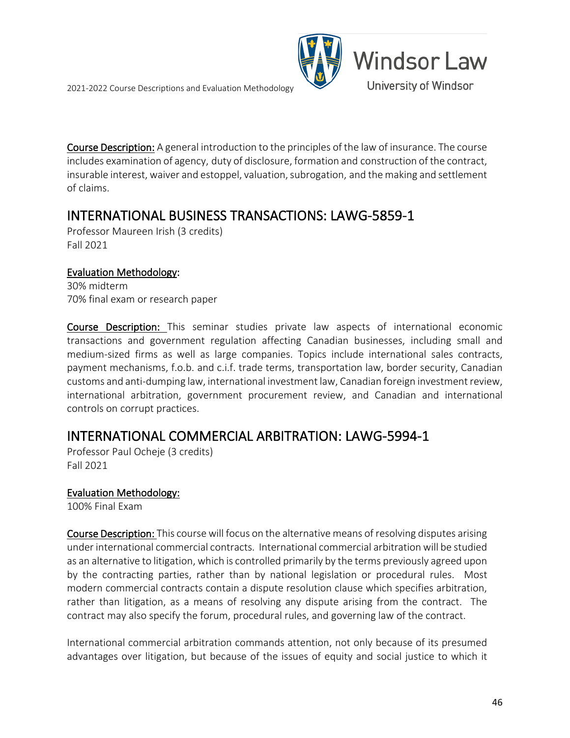



Course Description: A general introduction to the principles of the law of insurance. The course includes examination of agency, duty of disclosure, formation and construction of the contract, insurable interest, waiver and estoppel, valuation, subrogation, and the making and settlement of claims.

### INTERNATIONAL BUSINESS TRANSACTIONS: LAWG-5859-1<br>Professor Maureen Irish (3 credits)

Fall 2021

### Evaluation Methodology:

30% midterm 70% final exam or research paper

Course Description: This seminar studies private law aspects of international economic transactions and government regulation affecting Canadian businesses, including small and medium-sized firms as well as large companies. Topics include international sales contracts, payment mechanisms, f.o.b. and c.i.f. trade terms, transportation law, border security, Canadian customs and anti-dumping law, international investment law, Canadian foreign investment review, international arbitration, government procurement review, and Canadian and international controls on corrupt practices.

### INTERNATIONAL COMMERCIAL ARBITRATION: LAWG-5994-1 Professor Paul Ocheje (3 credits)

Fall 2021

### Evaluation Methodology:

100% Final Exam

Course Description: This course will focus on the alternative means of resolving disputes arising under international commercial contracts. International commercial arbitration will be studied as an alternative to litigation, which is controlled primarily by the terms previously agreed upon by the contracting parties, rather than by national legislation or procedural rules. Most modern commercial contracts contain a dispute resolution clause which specifies arbitration, rather than litigation, as a means of resolving any dispute arising from the contract. The contract may also specify the forum, procedural rules, and governing law of the contract.

International commercial arbitration commands attention, not only because of its presumed advantages over litigation, but because of the issues of equity and social justice to which it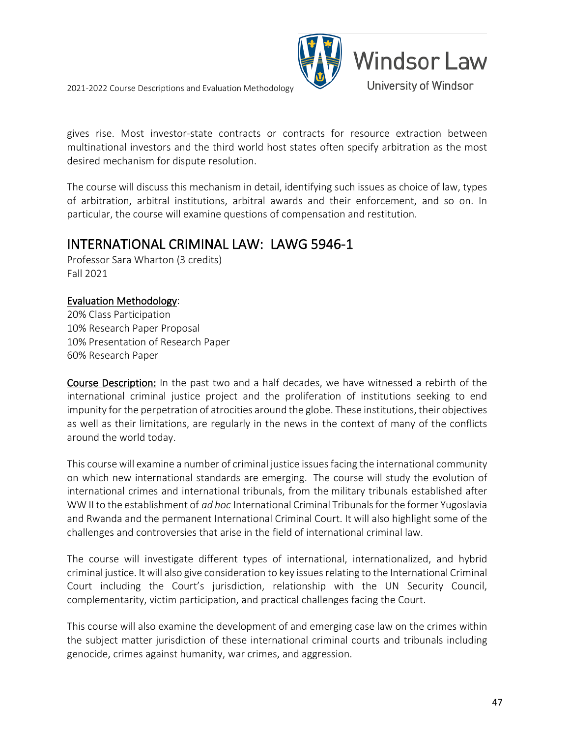

gives rise. Most investor-state contracts or contracts for resource extraction between multinational investors and the third world host states often specify arbitration as the most desired mechanism for dispute resolution.

The course will discuss this mechanism in detail, identifying such issues as choice of law, types of arbitration, arbitral institutions, arbitral awards and their enforcement, and so on. In particular, the course will examine questions of compensation and restitution.

### INTERNATIONAL CRIMINAL LAW: LAWG 5946-1

Professor Sara Wharton (3 credits) Fall 2021

### Evaluation Methodology:

20% Class Participation 10% Research Paper Proposal 10% Presentation of Research Paper 60% Research Paper

Course Description: In the past two and a half decades, we have witnessed a rebirth of the international criminal justice project and the proliferation of institutions seeking to end impunity for the perpetration of atrocities around the globe. These institutions, their objectives as well as their limitations, are regularly in the news in the context of many of the conflicts around the world today.

This course will examine a number of criminal justice issues facing the international community on which new international standards are emerging. The course will study the evolution of international crimes and international tribunals, from the military tribunals established after WW II to the establishment of *ad hoc* International Criminal Tribunals for the former Yugoslavia and Rwanda and the permanent International Criminal Court. It will also highlight some of the challenges and controversies that arise in the field of international criminal law.

The course will investigate different types of international, internationalized, and hybrid criminal justice. It will also give consideration to key issues relating to the International Criminal Court including the Court's jurisdiction, relationship with the UN Security Council, complementarity, victim participation, and practical challenges facing the Court.

This course will also examine the development of and emerging case law on the crimes within the subject matter jurisdiction of these international criminal courts and tribunals including genocide, crimes against humanity, war crimes, and aggression.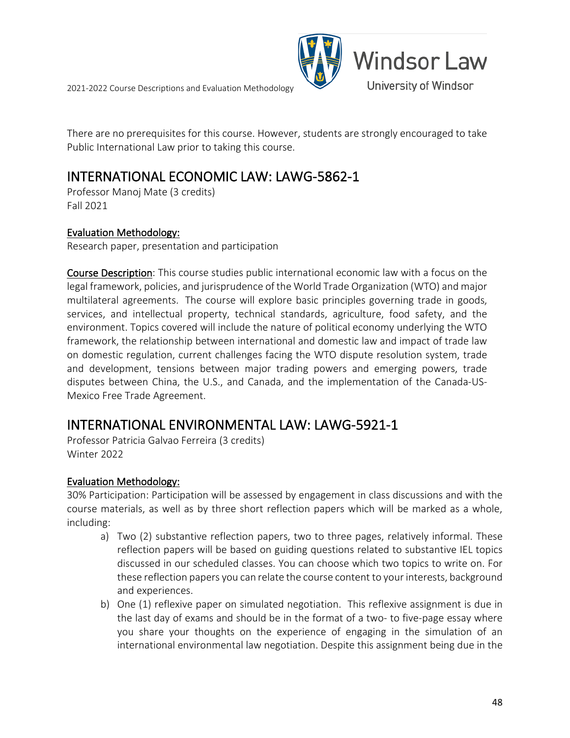

There are no prerequisites for this course. However, students are strongly encouraged to take Public International Law prior to taking this course.

### INTERNATIONAL ECONOMIC LAW: LAWG-5862-1

Professor Manoj Mate (3 credits) Fall 2021

#### Evaluation Methodology:

Research paper, presentation and participation

Course Description: This course studies public international economic law with a focus on the legal framework, policies, and jurisprudence of the World Trade Organization (WTO) and major multilateral agreements. The course will explore basic principles governing trade in goods, services, and intellectual property, technical standards, agriculture, food safety, and the environment. Topics covered will include the nature of political economy underlying the WTO framework, the relationship between international and domestic law and impact of trade law on domestic regulation, current challenges facing the WTO dispute resolution system, trade and development, tensions between major trading powers and emerging powers, trade disputes between China, the U.S., and Canada, and the implementation of the Canada-US-Mexico Free Trade Agreement.

### INTERNATIONAL ENVIRONMENTAL LAW: LAWG-5921-1 Professor Patricia Galvao Ferreira (3 credits)

Winter 2022

#### Evaluation Methodology:

30% Participation: Participation will be assessed by engagement in class discussions and with the course materials, as well as by three short reflection papers which will be marked as a whole, including:

- a) Two (2) substantive reflection papers, two to three pages, relatively informal. These reflection papers will be based on guiding questions related to substantive IEL topics discussed in our scheduled classes. You can choose which two topics to write on. For these reflection papers you can relate the course content to your interests, background and experiences.
- b) One (1) reflexive paper on simulated negotiation. This reflexive assignment is due in the last day of exams and should be in the format of a two- to five-page essay where you share your thoughts on the experience of engaging in the simulation of an international environmental law negotiation. Despite this assignment being due in the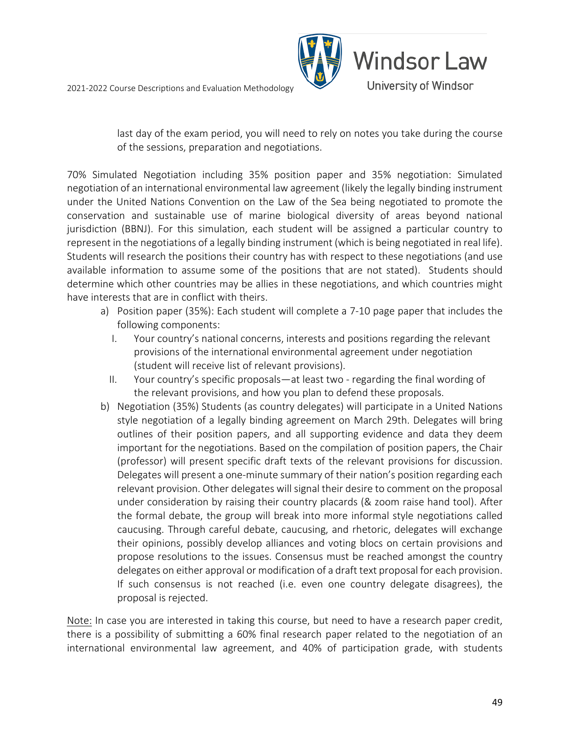

last day of the exam period, you will need to rely on notes you take during the course of the sessions, preparation and negotiations.

70% Simulated Negotiation including 35% position paper and 35% negotiation: Simulated negotiation of an international environmental law agreement (likely the legally binding instrument under the United Nations Convention on the Law of the Sea being negotiated to promote the conservation and sustainable use of marine biological diversity of areas beyond national jurisdiction (BBNJ). For this simulation, each student will be assigned a particular country to represent in the negotiations of a legally binding instrument (which is being negotiated in real life). Students will research the positions their country has with respect to these negotiations (and use available information to assume some of the positions that are not stated). Students should determine which other countries may be allies in these negotiations, and which countries might have interests that are in conflict with theirs.

- a) Position paper (35%): Each student will complete a 7-10 page paper that includes the following components:
	- I. Your country's national concerns, interests and positions regarding the relevant provisions of the international environmental agreement under negotiation (student will receive list of relevant provisions).
	- II. Your country's specific proposals—at least two regarding the final wording of the relevant provisions, and how you plan to defend these proposals.
- b) Negotiation (35%) Students (as country delegates) will participate in a United Nations style negotiation of a legally binding agreement on March 29th. Delegates will bring outlines of their position papers, and all supporting evidence and data they deem important for the negotiations. Based on the compilation of position papers, the Chair (professor) will present specific draft texts of the relevant provisions for discussion. Delegates will present a one-minute summary of their nation's position regarding each relevant provision. Other delegates will signal their desire to comment on the proposal under consideration by raising their country placards (& zoom raise hand tool). After the formal debate, the group will break into more informal style negotiations called caucusing. Through careful debate, caucusing, and rhetoric, delegates will exchange their opinions, possibly develop alliances and voting blocs on certain provisions and propose resolutions to the issues. Consensus must be reached amongst the country delegates on either approval or modification of a draft text proposal for each provision. If such consensus is not reached (i.e. even one country delegate disagrees), the proposal is rejected.

Note: In case you are interested in taking this course, but need to have a research paper credit, there is a possibility of submitting a 60% final research paper related to the negotiation of an international environmental law agreement, and 40% of participation grade, with students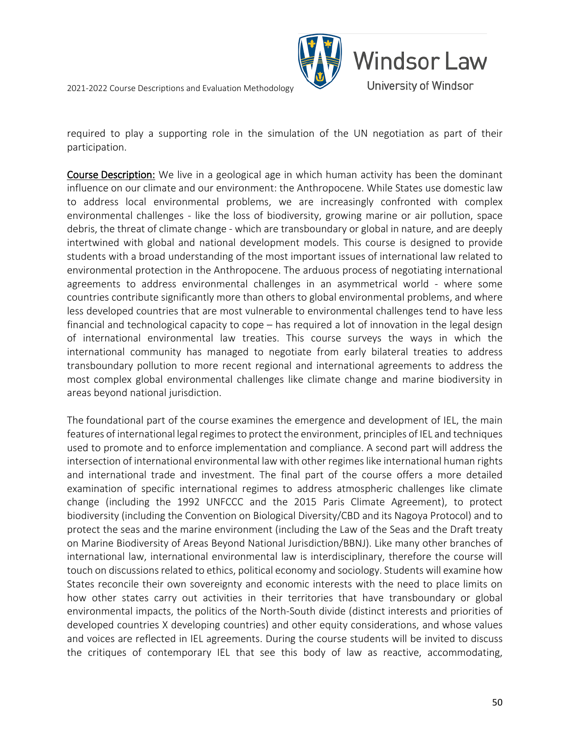

required to play a supporting role in the simulation of the UN negotiation as part of their participation.

Course Description: We live in a geological age in which human activity has been the dominant influence on our climate and our environment: the Anthropocene. While States use domestic law to address local environmental problems, we are increasingly confronted with complex environmental challenges - like the loss of biodiversity, growing marine or air pollution, space debris, the threat of climate change - which are transboundary or global in nature, and are deeply intertwined with global and national development models. This course is designed to provide students with a broad understanding of the most important issues of international law related to environmental protection in the Anthropocene. The arduous process of negotiating international agreements to address environmental challenges in an asymmetrical world - where some countries contribute significantly more than others to global environmental problems, and where less developed countries that are most vulnerable to environmental challenges tend to have less financial and technological capacity to cope – has required a lot of innovation in the legal design of international environmental law treaties. This course surveys the ways in which the international community has managed to negotiate from early bilateral treaties to address transboundary pollution to more recent regional and international agreements to address the most complex global environmental challenges like climate change and marine biodiversity in areas beyond national jurisdiction.

The foundational part of the course examines the emergence and development of IEL, the main features of international legal regimes to protect the environment, principles of IEL and techniques used to promote and to enforce implementation and compliance. A second part will address the intersection of international environmental law with other regimes like international human rights and international trade and investment. The final part of the course offers a more detailed examination of specific international regimes to address atmospheric challenges like climate change (including the 1992 UNFCCC and the 2015 Paris Climate Agreement), to protect biodiversity (including the Convention on Biological Diversity/CBD and its Nagoya Protocol) and to protect the seas and the marine environment (including the Law of the Seas and the Draft treaty on Marine Biodiversity of Areas Beyond National Jurisdiction/BBNJ). Like many other branches of international law, international environmental law is interdisciplinary, therefore the course will touch on discussions related to ethics, political economy and sociology. Students will examine how States reconcile their own sovereignty and economic interests with the need to place limits on how other states carry out activities in their territories that have transboundary or global environmental impacts, the politics of the North-South divide (distinct interests and priorities of developed countries X developing countries) and other equity considerations, and whose values and voices are reflected in IEL agreements. During the course students will be invited to discuss the critiques of contemporary IEL that see this body of law as reactive, accommodating,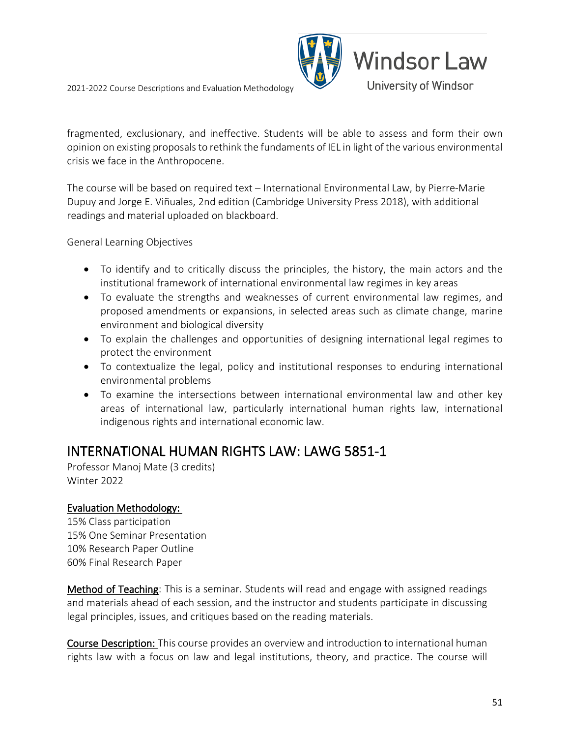

fragmented, exclusionary, and ineffective. Students will be able to assess and form their own opinion on existing proposals to rethink the fundaments of IEL in light of the various environmental crisis we face in the Anthropocene.

The course will be based on required text – International Environmental Law, by Pierre-Marie Dupuy and Jorge E. Viñuales, 2nd edition (Cambridge University Press 2018), with additional readings and material uploaded on blackboard.

General Learning Objectives

- To identify and to critically discuss the principles, the history, the main actors and the institutional framework of international environmental law regimes in key areas
- To evaluate the strengths and weaknesses of current environmental law regimes, and proposed amendments or expansions, in selected areas such as climate change, marine environment and biological diversity
- To explain the challenges and opportunities of designing international legal regimes to protect the environment
- To contextualize the legal, policy and institutional responses to enduring international environmental problems
- To examine the intersections between international environmental law and other key areas of international law, particularly international human rights law, international indigenous rights and international economic law.

### INTERNATIONAL HUMAN RIGHTS LAW: LAWG 5851-1<br>Professor Manoj Mate (3 credits)

Winter 2022

### Evaluation Methodology:

15% Class participation 15% One Seminar Presentation 10% Research Paper Outline 60% Final Research Paper

Method of Teaching: This is a seminar. Students will read and engage with assigned readings and materials ahead of each session, and the instructor and students participate in discussing legal principles, issues, and critiques based on the reading materials.

Course Description: This course provides an overview and introduction to international human rights law with a focus on law and legal institutions, theory, and practice. The course will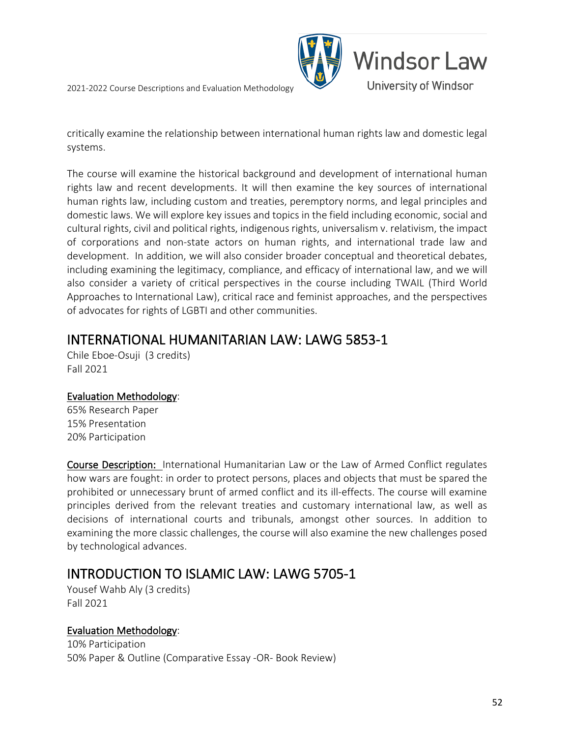

critically examine the relationship between international human rights law and domestic legal systems.

The course will examine the historical background and development of international human rights law and recent developments. It will then examine the key sources of international human rights law, including custom and treaties, peremptory norms, and legal principles and domestic laws. We will explore key issues and topics in the field including economic, social and cultural rights, civil and political rights, indigenous rights, universalism v. relativism, the impact of corporations and non-state actors on human rights, and international trade law and development. In addition, we will also consider broader conceptual and theoretical debates, including examining the legitimacy, compliance, and efficacy of international law, and we will also consider a variety of critical perspectives in the course including TWAIL (Third World Approaches to International Law), critical race and feminist approaches, and the perspectives of advocates for rights of LGBTI and other communities.

### INTERNATIONAL HUMANITARIAN LAW: LAWG 5853-1<br>Chile Eboe-Osuji (3 credits)

Fall 2021

### Evaluation Methodology:

65% Research Paper 15% Presentation 20% Participation

Course Description: International Humanitarian Law or the Law of Armed Conflict regulates how wars are fought: in order to protect persons, places and objects that must be spared the prohibited or unnecessary brunt of armed conflict and its ill-effects. The course will examine principles derived from the relevant treaties and customary international law, as well as decisions of international courts and tribunals, amongst other sources. In addition to examining the more classic challenges, the course will also examine the new challenges posed by technological advances.

## INTRODUCTION TO ISLAMIC LAW: LAWG 5705-1<br>Yousef Wahb Aly (3 credits)

Fall 2021

### Evaluation Methodology:

10% Participation 50% Paper & Outline (Comparative Essay -OR- Book Review)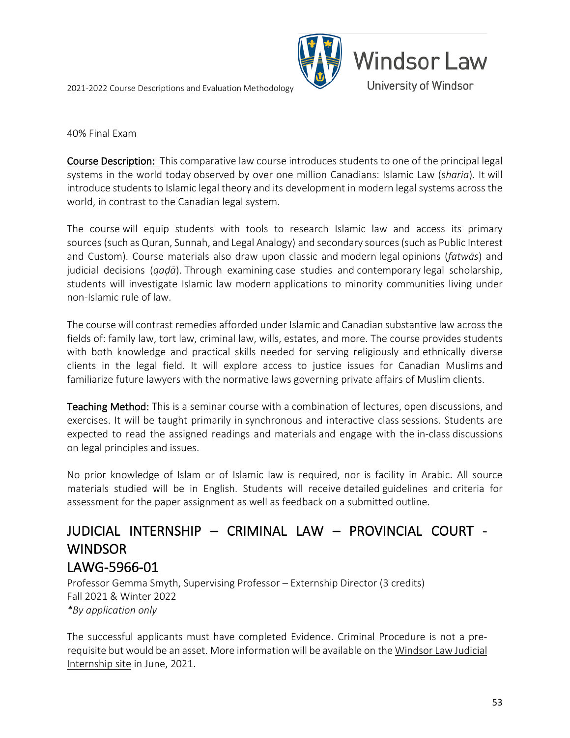

#### 40% Final Exam

Course Description: This comparative law course introduces students to one of the principal legal systems in the world today observed by over one million Canadians: Islamic Law (s*haria*). It will introduce students to Islamic legal theory and its development in modern legal systems across the world, in contrast to the Canadian legal system.

The course will equip students with tools to research Islamic law and access its primary sources (such as Quran, Sunnah, and Legal Analogy) and secondary sources (such as Public Interest and Custom). Course materials also draw upon classic and modern legal opinions (*fatwās*) and judicial decisions (*qaḍā*). Through examining case studies and contemporary legal scholarship, students will investigate Islamic law modern applications to minority communities living under non-Islamic rule of law.

The course will contrast remedies afforded under Islamic and Canadian substantive law across the fields of: family law, tort law, criminal law, wills, estates, and more. The course provides students with both knowledge and practical skills needed for serving religiously and ethnically diverse clients in the legal field. It will explore access to justice issues for Canadian Muslims and familiarize future lawyers with the normative laws governing private affairs of Muslim clients.

Teaching Method: This is a seminar course with a combination of lectures, open discussions, and exercises. It will be taught primarily in synchronous and interactive class sessions. Students are expected to read the assigned readings and materials and engage with the in-class discussions on legal principles and issues.

No prior knowledge of Islam or of Islamic law is required, nor is facility in Arabic. All source materials studied will be in English. Students will receive detailed guidelines and criteria for assessment for the paper assignment as well as feedback on a submitted outline.

### JUDICIAL INTERNSHIP – CRIMINAL LAW – PROVINCIAL COURT - **WINDSOR**

LAWG-5966-01<br>Professor Gemma Smyth, Supervising Professor – Externship Director (3 credits) Fall 2021 & Winter 2022 *\*By application only*

The successful applicants must have completed Evidence. Criminal Procedure is not a prerequisite but would be an asset. More information will be available on th[e Windsor Law Judicial](https://www.uwindsor.ca/law/1254/judicial-internships)  [Internship site](https://www.uwindsor.ca/law/1254/judicial-internships) in June, 2021.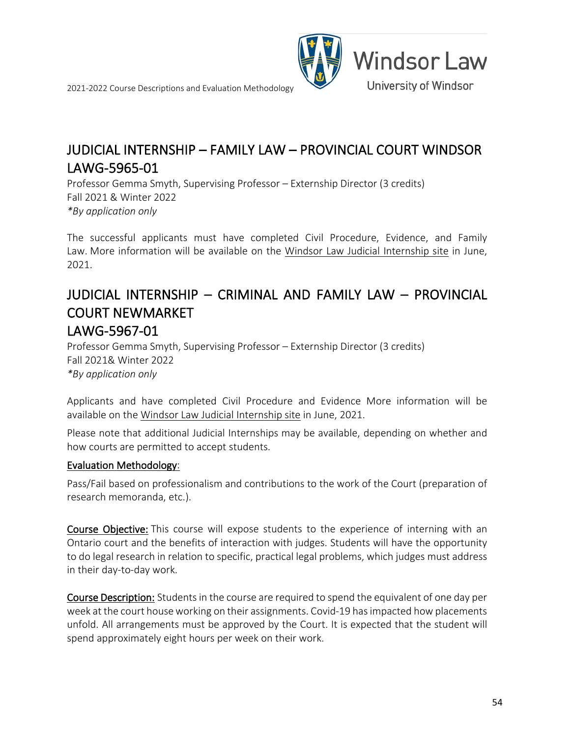



### JUDICIAL INTERNSHIP – FAMILY LAW – PROVINCIAL COURT WINDSOR LAWG-5965-01<br>Professor Gemma Smyth, Supervising Professor – Externship Director (3 credits)

Fall 2021 & Winter 2022 *\*By application only*

The successful applicants must have completed Civil Procedure, Evidence, and Family Law. More information will be available on the [Windsor Law Judicial Internship site](https://www.uwindsor.ca/law/1254/judicial-internships) in June, 2021.

### JUDICIAL INTERNSHIP – CRIMINAL AND FAMILY LAW – PROVINCIAL COURT NEWMARKET LAWG-5967-01<br>Professor Gemma Smyth, Supervising Professor – Externship Director (3 credits)

Fall 2021& Winter 2022 *\*By application only*

Applicants and have completed Civil Procedure and Evidence More information will be available on the [Windsor Law Judicial Internship site](https://www.uwindsor.ca/law/1254/judicial-internships) in June, 2021.

Please note that additional Judicial Internships may be available, depending on whether and how courts are permitted to accept students.

### Evaluation Methodology:

Pass/Fail based on professionalism and contributions to the work of the Court (preparation of research memoranda, etc.).

Course Objective: This course will expose students to the experience of interning with an Ontario court and the benefits of interaction with judges. Students will have the opportunity to do legal research in relation to specific, practical legal problems, which judges must address in their day-to-day work.

Course Description: Students in the course are required to spend the equivalent of one day per week at the court house working on their assignments. Covid-19 has impacted how placements unfold. All arrangements must be approved by the Court. It is expected that the student will spend approximately eight hours per week on their work.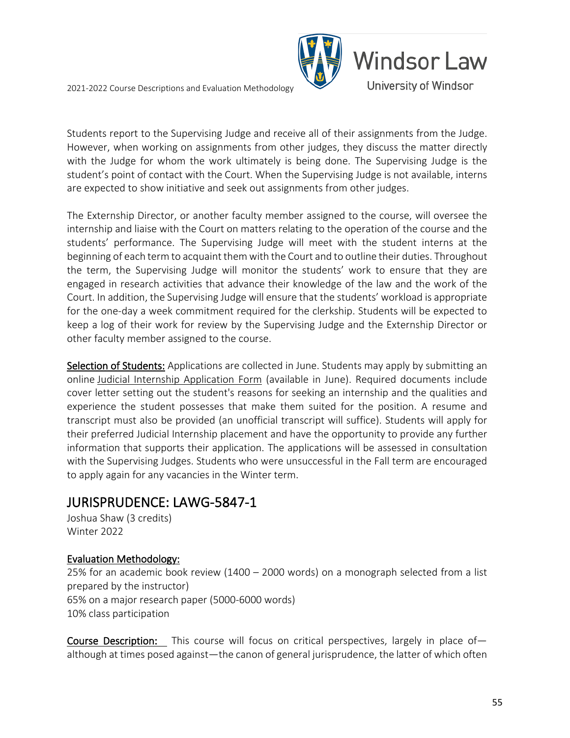

Students report to the Supervising Judge and receive all of their assignments from the Judge. However, when working on assignments from other judges, they discuss the matter directly with the Judge for whom the work ultimately is being done. The Supervising Judge is the student's point of contact with the Court. When the Supervising Judge is not available, interns are expected to show initiative and seek out assignments from other judges.

The Externship Director, or another faculty member assigned to the course, will oversee the internship and liaise with the Court on matters relating to the operation of the course and the students' performance. The Supervising Judge will meet with the student interns at the beginning of each term to acquaint them with the Court and to outline their duties. Throughout the term, the Supervising Judge will monitor the students' work to ensure that they are engaged in research activities that advance their knowledge of the law and the work of the Court. In addition, the Supervising Judge will ensure that the students' workload is appropriate for the one-day a week commitment required for the clerkship. Students will be expected to keep a log of their work for review by the Supervising Judge and the Externship Director or other faculty member assigned to the course.

Selection of Students: Applications are collected in June. Students may apply by submitting an online [Judicial Internship Application Form](https://uwindsor.ca1.qualtrics.com/jfe/form/SV_6swbrPZFLlTbgI5) (available in June). Required documents include cover letter setting out the student's reasons for seeking an internship and the qualities and experience the student possesses that make them suited for the position. A resume and transcript must also be provided (an unofficial transcript will suffice). Students will apply for their preferred Judicial Internship placement and have the opportunity to provide any further information that supports their application. The applications will be assessed in consultation with the Supervising Judges. Students who were unsuccessful in the Fall term are encouraged to apply again for any vacancies in the Winter term.

# JURISPRUDENCE: LAWG-5847-1 Joshua Shaw (3 credits)

Winter 2022

### Evaluation Methodology:

25% for an academic book review (1400 – 2000 words) on a monograph selected from a list prepared by the instructor) 65% on a major research paper (5000-6000 words) 10% class participation

Course Description: This course will focus on critical perspectives, largely in place ofalthough at times posed against—the canon of general jurisprudence, the latter of which often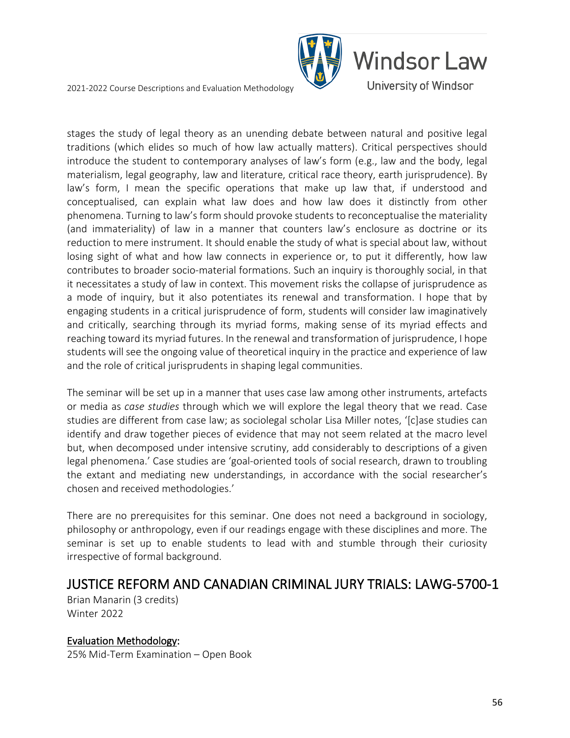

stages the study of legal theory as an unending debate between natural and positive legal traditions (which elides so much of how law actually matters). Critical perspectives should introduce the student to contemporary analyses of law's form (e.g., law and the body, legal materialism, legal geography, law and literature, critical race theory, earth jurisprudence). By law's form, I mean the specific operations that make up law that, if understood and conceptualised, can explain what law does and how law does it distinctly from other phenomena. Turning to law's form should provoke students to reconceptualise the materiality (and immateriality) of law in a manner that counters law's enclosure as doctrine or its reduction to mere instrument. It should enable the study of what is special about law, without losing sight of what and how law connects in experience or, to put it differently, how law contributes to broader socio-material formations. Such an inquiry is thoroughly social, in that it necessitates a study of law in context. This movement risks the collapse of jurisprudence as a mode of inquiry, but it also potentiates its renewal and transformation. I hope that by engaging students in a critical jurisprudence of form, students will consider law imaginatively and critically, searching through its myriad forms, making sense of its myriad effects and reaching toward its myriad futures. In the renewal and transformation of jurisprudence, I hope students will see the ongoing value of theoretical inquiry in the practice and experience of law and the role of critical jurisprudents in shaping legal communities.

The seminar will be set up in a manner that uses case law among other instruments, artefacts or media as *case studies* through which we will explore the legal theory that we read. Case studies are different from case law; as sociolegal scholar Lisa Miller notes, '[c]ase studies can identify and draw together pieces of evidence that may not seem related at the macro level but, when decomposed under intensive scrutiny, add considerably to descriptions of a given legal phenomena.' Case studies are 'goal-oriented tools of social research, drawn to troubling the extant and mediating new understandings, in accordance with the social researcher's chosen and received methodologies.'

There are no prerequisites for this seminar. One does not need a background in sociology, philosophy or anthropology, even if our readings engage with these disciplines and more. The seminar is set up to enable students to lead with and stumble through their curiosity irrespective of formal background.

### JUSTICE REFORM AND CANADIAN CRIMINAL JURY TRIALS: LAWG-5700-1 Brian Manarin (3 credits)

Winter 2022

Evaluation Methodology: 25% Mid-Term Examination – Open Book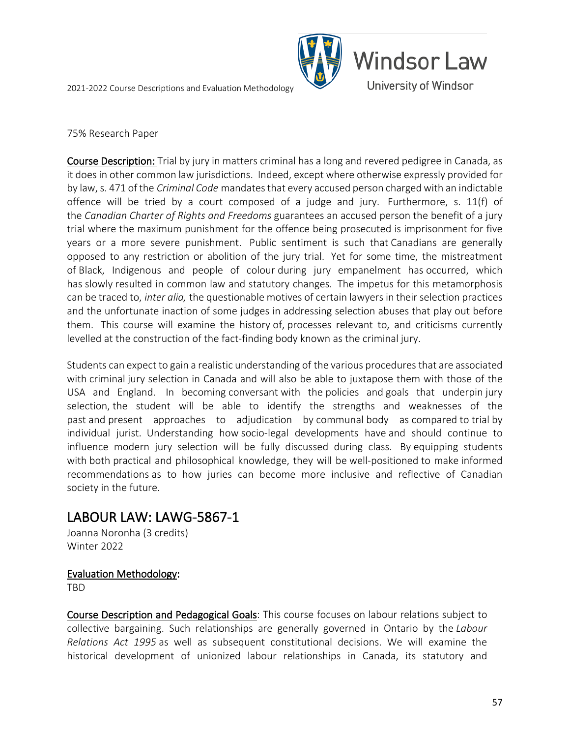

#### 75% Research Paper

Course Description: Trial by jury in matters criminal has a long and revered pedigree in Canada, as it does in other common law jurisdictions. Indeed, except where otherwise expressly provided for by law, s. 471 of the *Criminal Code* mandates that every accused person charged with an indictable offence will be tried by a court composed of a judge and jury. Furthermore, s. 11(f) of the *Canadian Charter of Rights and Freedoms* guarantees an accused person the benefit of a jury trial where the maximum punishment for the offence being prosecuted is imprisonment for five years or a more severe punishment. Public sentiment is such that Canadians are generally opposed to any restriction or abolition of the jury trial. Yet for some time, the mistreatment of Black, Indigenous and people of colour during jury empanelment has occurred, which has slowly resulted in common law and statutory changes. The impetus for this metamorphosis can be traced to, *inter alia,* the questionable motives of certain lawyers in their selection practices and the unfortunate inaction of some judges in addressing selection abuses that play out before them. This course will examine the history of, processes relevant to, and criticisms currently levelled at the construction of the fact-finding body known as the criminal jury.

Students can expect to gain a realistic understanding of the various procedures that are associated with criminal jury selection in Canada and will also be able to juxtapose them with those of the USA and England. In becoming conversant with the policies and goals that underpin jury selection, the student will be able to identify the strengths and weaknesses of the past and present approaches to adjudication by communal body as compared to trial by individual jurist. Understanding how socio-legal developments have and should continue to influence modern jury selection will be fully discussed during class. By equipping students with both practical and philosophical knowledge, they will be well-positioned to make informed recommendations as to how juries can become more inclusive and reflective of Canadian society in the future.

## LABOUR LAW: LAWG-5867-1<br>Joanna Noronha (3 credits)

Winter 2022

### Evaluation Methodology:

TBD

Course Description and Pedagogical Goals: This course focuses on labour relations subject to collective bargaining. Such relationships are generally governed in Ontario by the *Labour Relations Act 1995* as well as subsequent constitutional decisions. We will examine the historical development of unionized labour relationships in Canada, its statutory and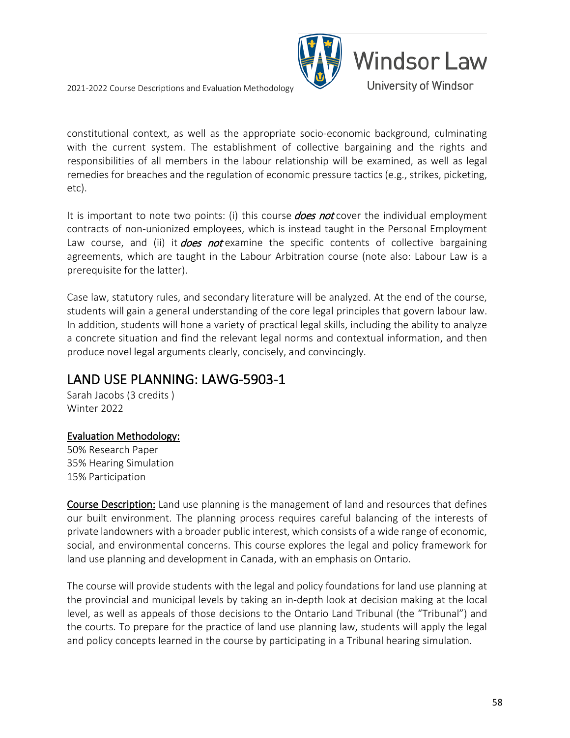

constitutional context, as well as the appropriate socio-economic background, culminating with the current system. The establishment of collective bargaining and the rights and responsibilities of all members in the labour relationship will be examined, as well as legal remedies for breaches and the regulation of economic pressure tactics (e.g., strikes, picketing, etc).

It is important to note two points: (i) this course **does not** cover the individual employment contracts of non-unionized employees, which is instead taught in the Personal Employment Law course, and (ii) it *does not* examine the specific contents of collective bargaining agreements, which are taught in the Labour Arbitration course (note also: Labour Law is a prerequisite for the latter).

Case law, statutory rules, and secondary literature will be analyzed. At the end of the course, students will gain a general understanding of the core legal principles that govern labour law. In addition, students will hone a variety of practical legal skills, including the ability to analyze a concrete situation and find the relevant legal norms and contextual information, and then produce novel legal arguments clearly, concisely, and convincingly.

### LAND USE PLANNING: LAWG-5903-1

Sarah Jacobs (3 credits ) Winter 2022

### Evaluation Methodology:

50% Research Paper 35% Hearing Simulation 15% Participation

Course Description: Land use planning is the management of land and resources that defines our built environment. The planning process requires careful balancing of the interests of private landowners with a broader public interest, which consists of a wide range of economic, social, and environmental concerns. This course explores the legal and policy framework for land use planning and development in Canada, with an emphasis on Ontario.

The course will provide students with the legal and policy foundations for land use planning at the provincial and municipal levels by taking an in-depth look at decision making at the local level, as well as appeals of those decisions to the Ontario Land Tribunal (the "Tribunal") and the courts. To prepare for the practice of land use planning law, students will apply the legal and policy concepts learned in the course by participating in a Tribunal hearing simulation.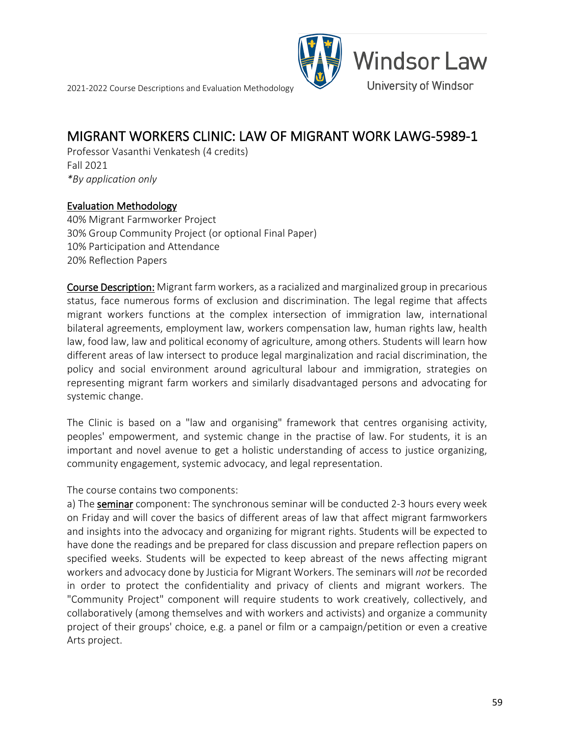

### **MIGRANT WORKERS CLINIC: LAW OF MIGRANT WORK LAWG-5989-1**<br>Professor Vasanthi Venkatesh (4 credits)

Fall 2021 *\*By application only*

#### Evaluation Methodology

40% Migrant Farmworker Project 30% Group Community Project (or optional Final Paper) 10% Participation and Attendance 20% Reflection Papers

Course Description: Migrant farm workers, as a racialized and marginalized group in precarious status, face numerous forms of exclusion and discrimination. The legal regime that affects migrant workers functions at the complex intersection of immigration law, international bilateral agreements, employment law, workers compensation law, human rights law, health law, food law, law and political economy of agriculture, among others. Students will learn how different areas of law intersect to produce legal marginalization and racial discrimination, the policy and social environment around agricultural labour and immigration, strategies on representing migrant farm workers and similarly disadvantaged persons and advocating for systemic change.

The Clinic is based on a "law and organising" framework that centres organising activity, peoples' empowerment, and systemic change in the practise of law. For students, it is an important and novel avenue to get a holistic understanding of access to justice organizing, community engagement, systemic advocacy, and legal representation.

The course contains two components:

a) The seminar component: The synchronous seminar will be conducted 2-3 hours every week on Friday and will cover the basics of different areas of law that affect migrant farmworkers and insights into the advocacy and organizing for migrant rights. Students will be expected to have done the readings and be prepared for class discussion and prepare reflection papers on specified weeks. Students will be expected to keep abreast of the news affecting migrant workers and advocacy done by Justicia for Migrant Workers. The seminars will *not* be recorded in order to protect the confidentiality and privacy of clients and migrant workers. The "Community Project" component will require students to work creatively, collectively, and collaboratively (among themselves and with workers and activists) and organize a community project of their groups' choice, e.g. a panel or film or a campaign/petition or even a creative Arts project.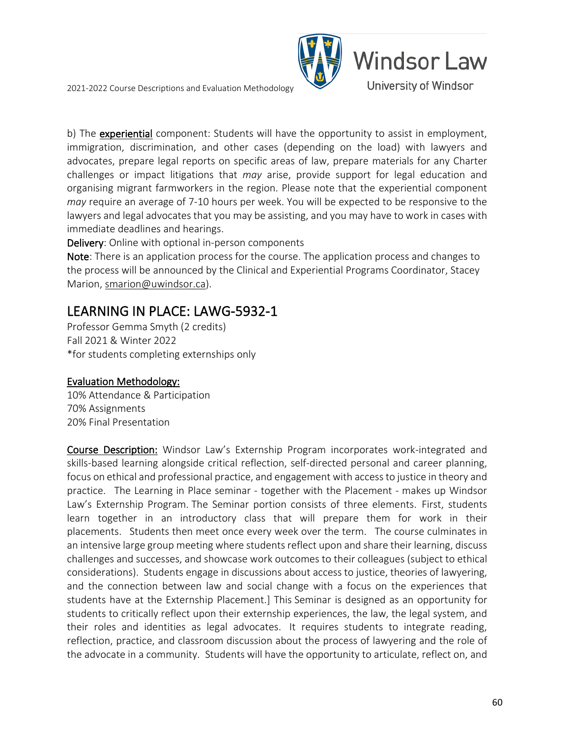

b) The experiential component: Students will have the opportunity to assist in employment, immigration, discrimination, and other cases (depending on the load) with lawyers and advocates, prepare legal reports on specific areas of law, prepare materials for any Charter challenges or impact litigations that *may* arise, provide support for legal education and organising migrant farmworkers in the region. Please note that the experiential component *may* require an average of 7-10 hours per week. You will be expected to be responsive to the lawyers and legal advocates that you may be assisting, and you may have to work in cases with immediate deadlines and hearings.

Delivery: Online with optional in-person components

Note: There is an application process for the course. The application process and changes to the process will be announced by the Clinical and Experiential Programs Coordinator, Stacey Marion[, smarion@uwindsor.ca\)](mailto:smarion@uwindsor.ca).

# LEARNING IN PLACE: LAWG-5932-1 Professor Gemma Smyth (2 credits)

Fall 2021 & Winter 2022 \*for students completing externships only

### Evaluation Methodology:

10% Attendance & Participation 70% Assignments 20% Final Presentation

Course Description: Windsor Law's Externship Program incorporates work-integrated and skills-based learning alongside critical reflection, self-directed personal and career planning, focus on ethical and professional practice, and engagement with access to justice in theory and practice. The Learning in Place seminar - together with the Placement - makes up Windsor Law's Externship Program. The Seminar portion consists of three elements. First, students learn together in an introductory class that will prepare them for work in their placements. Students then meet once every week over the term. The course culminates in an intensive large group meeting where students reflect upon and share their learning, discuss challenges and successes, and showcase work outcomes to their colleagues (subject to ethical considerations). Students engage in discussions about access to justice, theories of lawyering, and the connection between law and social change with a focus on the experiences that students have at the Externship Placement.] This Seminar is designed as an opportunity for students to critically reflect upon their externship experiences, the law, the legal system, and their roles and identities as legal advocates. It requires students to integrate reading, reflection, practice, and classroom discussion about the process of lawyering and the role of the advocate in a community. Students will have the opportunity to articulate, reflect on, and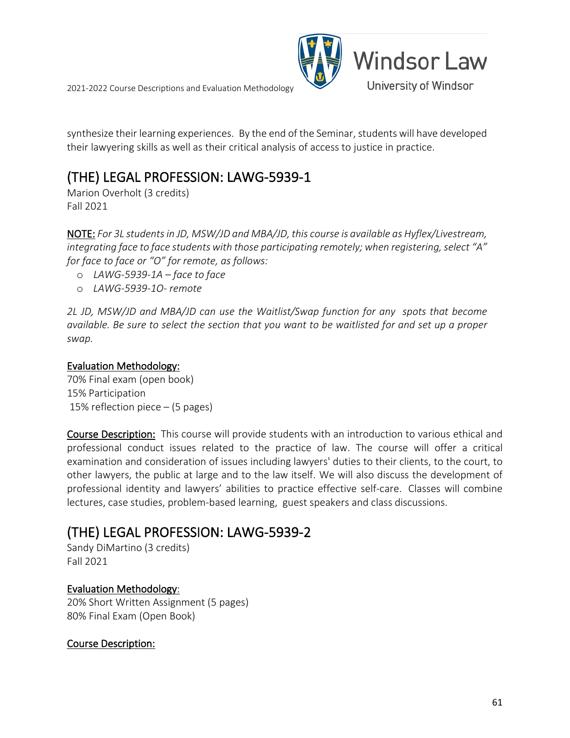



synthesize their learning experiences. By the end of the Seminar, students will have developed their lawyering skills as well as their critical analysis of access to justice in practice.

### (THE) LEGAL PROFESSION: LAWG-5939-1

Marion Overholt (3 credits) Fall 2021

NOTE: *For 3L students in JD, MSW/JD and MBA/JD, this course is available as Hyflex/Livestream, integrating face to face students with those participating remotely; when registering, select "A" for face to face or "O" for remote, as follows:*

- o *LAWG-5939-1A – face to face*
- o *LAWG-5939-1O- remote*

*2L JD, MSW/JD and MBA/JD can use the Waitlist/Swap function for any spots that become available. Be sure to select the section that you want to be waitlisted for and set up a proper swap.*

#### Evaluation Methodology:

70% Final exam (open book) 15% Participation 15% reflection piece – (5 pages)

Course Description: This course will provide students with an introduction to various ethical and professional conduct issues related to the practice of law. The course will offer a critical examination and consideration of issues including lawyers' duties to their clients, to the court, to other lawyers, the public at large and to the law itself. We will also discuss the development of professional identity and lawyers' abilities to practice effective self-care. Classes will combine lectures, case studies, problem-based learning, guest speakers and class discussions.

### (THE) LEGAL PROFESSION: LAWG-5939-2 Sandy DiMartino (3 credits)

Fall 2021

### Evaluation Methodology:

20% Short Written Assignment (5 pages) 80% Final Exam (Open Book)

### Course Description: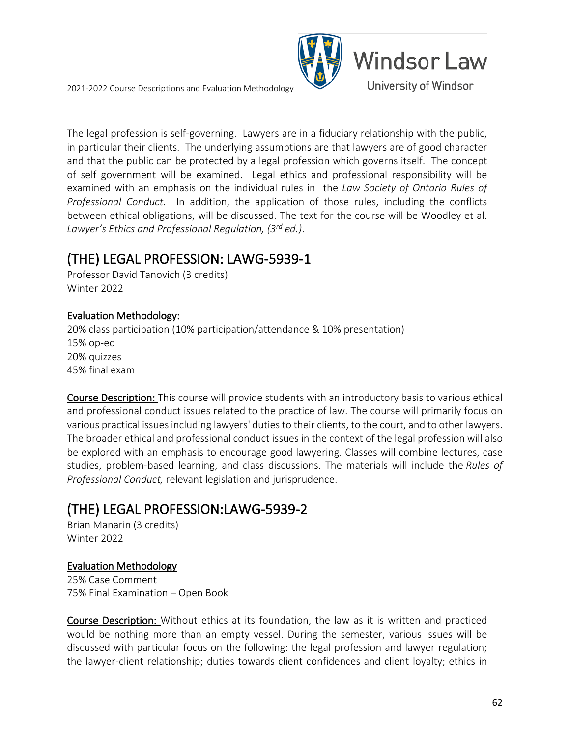

The legal profession is self-governing. Lawyers are in a fiduciary relationship with the public, in particular their clients. The underlying assumptions are that lawyers are of good character and that the public can be protected by a legal profession which governs itself. The concept of self government will be examined. Legal ethics and professional responsibility will be examined with an emphasis on the individual rules in the *Law Society of Ontario Rules of Professional Conduct.* In addition, the application of those rules, including the conflicts between ethical obligations, will be discussed. The text for the course will be Woodley et al. *Lawyer's Ethics and Professional Regulation, (3rd ed.)*.

## (THE) LEGAL PROFESSION: LAWG-5939-1 Professor David Tanovich (3 credits)

Winter 2022

#### Evaluation Methodology:

20% class participation (10% participation/attendance & 10% presentation) 15% op-ed 20% quizzes 45% final exam

Course Description: This course will provide students with an introductory basis to various ethical and professional conduct issues related to the practice of law. The course will primarily focus on various practical issues including lawyers' duties to their clients, to the court, and to other lawyers. The broader ethical and professional conduct issues in the context of the legal profession will also be explored with an emphasis to encourage good lawyering. Classes will combine lectures, case studies, problem-based learning, and class discussions. The materials will include the *Rules of Professional Conduct,* relevant legislation and jurisprudence.

### (THE) LEGAL PROFESSION:LAWG-5939-2

Brian Manarin (3 credits) Winter 2022

### Evaluation Methodology

25% Case Comment 75% Final Examination – Open Book

Course Description: Without ethics at its foundation, the law as it is written and practiced would be nothing more than an empty vessel. During the semester, various issues will be discussed with particular focus on the following: the legal profession and lawyer regulation; the lawyer-client relationship; duties towards client confidences and client loyalty; ethics in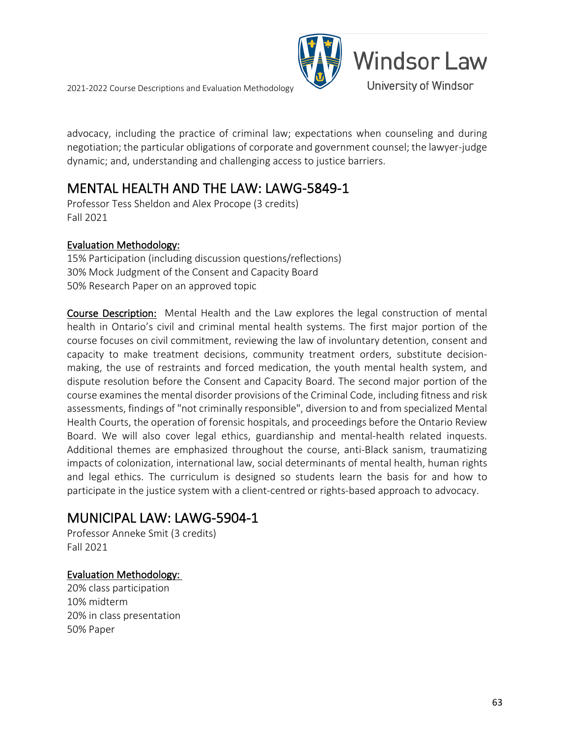

advocacy, including the practice of criminal law; expectations when counseling and during negotiation; the particular obligations of corporate and government counsel; the lawyer-judge dynamic; and, understanding and challenging access to justice barriers.

### **MENTAL HEALTH AND THE LAW: LAWG-5849-1**<br>Professor Tess Sheldon and Alex Procope (3 credits)

Fall 2021

#### Evaluation Methodology:

15% Participation (including discussion questions/reflections) 30% Mock Judgment of the Consent and Capacity Board 50% Research Paper on an approved topic

Course Description: Mental Health and the Law explores the legal construction of mental health in Ontario's civil and criminal mental health systems. The first major portion of the course focuses on civil commitment, reviewing the law of involuntary detention, consent and capacity to make treatment decisions, community treatment orders, substitute decisionmaking, the use of restraints and forced medication, the youth mental health system, and dispute resolution before the Consent and Capacity Board. The second major portion of the course examines the mental disorder provisions of the Criminal Code, including fitness and risk assessments, findings of "not criminally responsible", diversion to and from specialized Mental Health Courts, the operation of forensic hospitals, and proceedings before the Ontario Review Board. We will also cover legal ethics, guardianship and mental-health related inquests. Additional themes are emphasized throughout the course, anti-Black sanism, traumatizing impacts of colonization, international law, social determinants of mental health, human rights and legal ethics. The curriculum is designed so students learn the basis for and how to participate in the justice system with a client-centred or rights-based approach to advocacy.

### MUNICIPAL LAW: LAWG-5904-1

Professor Anneke Smit (3 credits) Fall 2021

### Evaluation Methodology:

20% class participation 10% midterm 20% in class presentation 50% Paper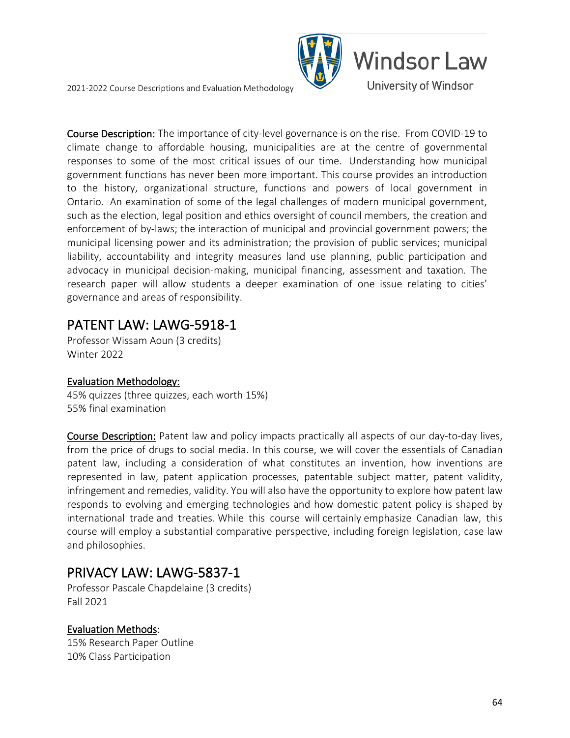

Course Description: The importance of city-level governance is on the rise. From COVID-19 to climate change to affordable housing, municipalities are at the centre of governmental responses to some of the most critical issues of our time. Understanding how municipal government functions has never been more important. This course provides an introduction to the history, organizational structure, functions and powers of local government in Ontario. An examination of some of the legal challenges of modern municipal government, such as the election, legal position and ethics oversight of council members, the creation and enforcement of by-laws; the interaction of municipal and provincial government powers; the municipal licensing power and its administration; the provision of public services; municipal liability, accountability and integrity measures land use planning, public participation and advocacy in municipal decision-making, municipal financing, assessment and taxation. The research paper will allow students a deeper examination of one issue relating to cities' governance and areas of responsibility.

### PATENT LAW: LAWG-5918-1<br>Professor Wissam Aoun (3 credits)

Winter 2022

### Evaluation Methodology:

45% quizzes (three quizzes, each worth 15%) 55% final examination

Course Description: Patent law and policy impacts practically all aspects of our day-to-day lives, from the price of drugs to social media. In this course, we will cover the essentials of Canadian patent law, including a consideration of what constitutes an invention, how inventions are represented in law, patent application processes, patentable subject matter, patent validity, infringement and remedies, validity. You will also have the opportunity to explore how patent law responds to evolving and emerging technologies and how domestic patent policy is shaped by international trade and treaties. While this course will certainly emphasize Canadian law, this course will employ a substantial comparative perspective, including foreign legislation, case law and philosophies.

# PRIVACY LAW: LAWG-5837-1<br>Professor Pascale Chapdelaine (3 credits)

Fall 2021

### Evaluation Methods:

15% Research Paper Outline 10% Class Participation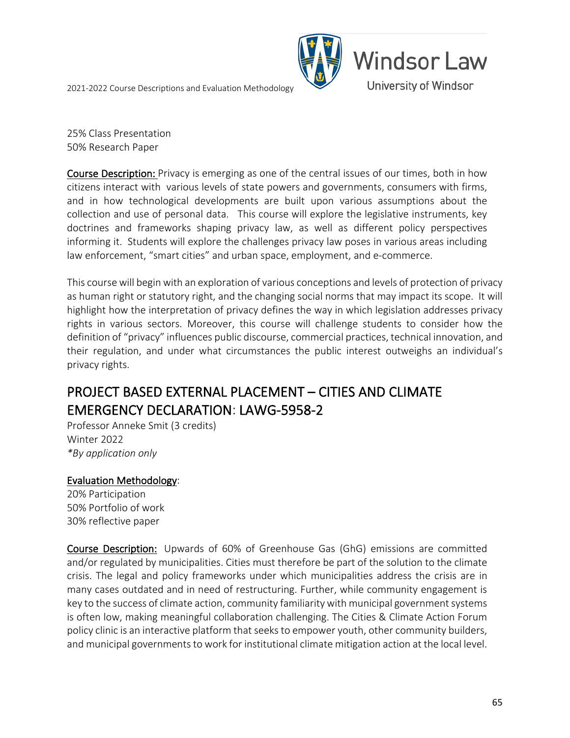

25% Class Presentation 50% Research Paper

Course Description: Privacy is emerging as one of the central issues of our times, both in how citizens interact with various levels of state powers and governments, consumers with firms, and in how technological developments are built upon various assumptions about the collection and use of personal data. This course will explore the legislative instruments, key doctrines and frameworks shaping privacy law, as well as different policy perspectives informing it. Students will explore the challenges privacy law poses in various areas including law enforcement, "smart cities" and urban space, employment, and e-commerce.

This course will begin with an exploration of various conceptions and levels of protection of privacy as human right or statutory right, and the changing social norms that may impact its scope. It will highlight how the interpretation of privacy defines the way in which legislation addresses privacy rights in various sectors. Moreover, this course will challenge students to consider how the definition of "privacy" influences public discourse, commercial practices, technical innovation, and their regulation, and under what circumstances the public interest outweighs an individual's privacy rights.

### PROJECT BASED EXTERNAL PLACEMENT – CITIES AND CLIMATE EMERGENCY DECLARATION: LAWG-5958-2 Professor Anneke Smit (3 credits)

Winter 2022 *\*By application only*

### Evaluation Methodology:

20% Participation 50% Portfolio of work 30% reflective paper

Course Description: Upwards of 60% of Greenhouse Gas (GhG) emissions are committed and/or regulated by municipalities. Cities must therefore be part of the solution to the climate crisis. The legal and policy frameworks under which municipalities address the crisis are in many cases outdated and in need of restructuring. Further, while community engagement is key to the success of climate action, community familiarity with municipal government systems is often low, making meaningful collaboration challenging. The Cities & Climate Action Forum policy clinic is an interactive platform that seeks to empower youth, other community builders, and municipal governments to work for institutional climate mitigation action at the local level.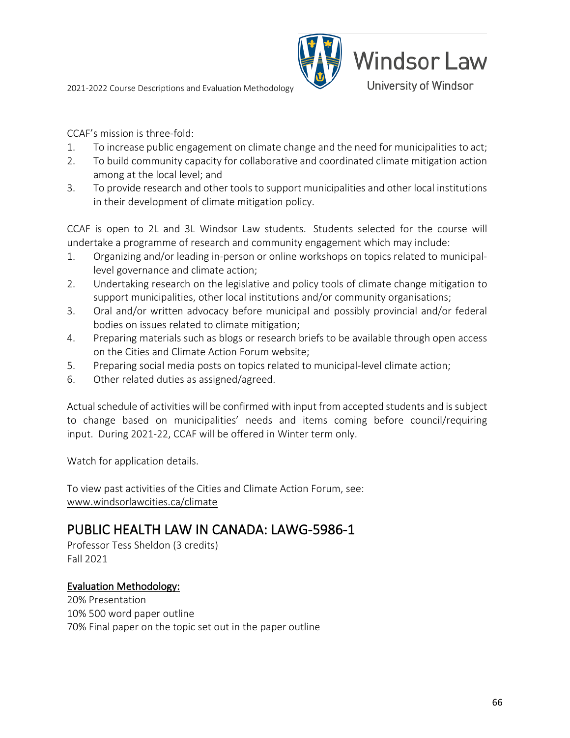

CCAF's mission is three-fold:

- 1. To increase public engagement on climate change and the need for municipalities to act;
- 2. To build community capacity for collaborative and coordinated climate mitigation action among at the local level; and
- 3. To provide research and other tools to support municipalities and other local institutions in their development of climate mitigation policy.

CCAF is open to 2L and 3L Windsor Law students. Students selected for the course will undertake a programme of research and community engagement which may include:

- 1. Organizing and/or leading in-person or online workshops on topics related to municipallevel governance and climate action;
- 2. Undertaking research on the legislative and policy tools of climate change mitigation to support municipalities, other local institutions and/or community organisations;
- 3. Oral and/or written advocacy before municipal and possibly provincial and/or federal bodies on issues related to climate mitigation;
- 4. Preparing materials such as blogs or research briefs to be available through open access on the Cities and Climate Action Forum website;
- 5. Preparing social media posts on topics related to municipal-level climate action;
- 6. Other related duties as assigned/agreed.

Actual schedule of activities will be confirmed with input from accepted students and is subject to change based on municipalities' needs and items coming before council/requiring input. During 2021-22, CCAF will be offered in Winter term only.

Watch for application details.

To view past activities of the Cities and Climate Action Forum, see: [www.windsorlawcities.ca/climate](http://www.windsorlawcities.ca/climate)

### PUBLIC HEALTH LAW IN CANADA: LAWG-5986-1<br>Professor Tess Sheldon (3 credits)

Fall 2021

### Evaluation Methodology:

20% Presentation 10% 500 word paper outline 70% Final paper on the topic set out in the paper outline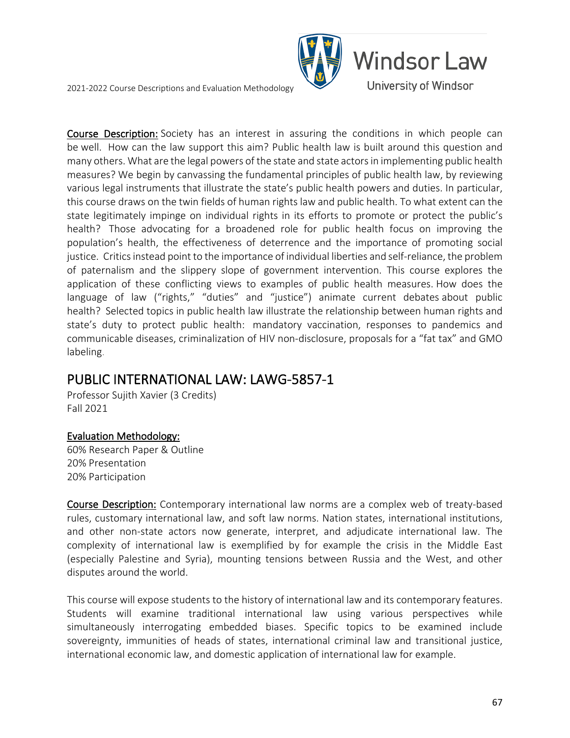

Course Description: Society has an interest in assuring the conditions in which people can be well. How can the law support this aim? Public health law is built around this question and many others. What are the legal powers of the state and state actors in implementing public health measures? We begin by canvassing the fundamental principles of public health law, by reviewing various legal instruments that illustrate the state's public health powers and duties. In particular, this course draws on the twin fields of human rights law and public health. To what extent can the state legitimately impinge on individual rights in its efforts to promote or protect the public's health? Those advocating for a broadened role for public health focus on improving the population's health, the effectiveness of deterrence and the importance of promoting social justice. Critics instead point to the importance of individual liberties and self-reliance, the problem of paternalism and the slippery slope of government intervention. This course explores the application of these conflicting views to examples of public health measures. How does the language of law ("rights," "duties" and "justice") animate current debates about public health? Selected topics in public health law illustrate the relationship between human rights and state's duty to protect public health: mandatory vaccination, responses to pandemics and communicable diseases, criminalization of HIV non-disclosure, proposals for a "fat tax" and GMO labeling.

### PUBLIC INTERNATIONAL LAW: LAWG-5857-1<br>Professor Sujith Xavier (3 Credits)

Fall 2021

### Evaluation Methodology:

60% Research Paper & Outline 20% Presentation 20% Participation

Course Description: Contemporary international law norms are a complex web of treaty-based rules, customary international law, and soft law norms. Nation states, international institutions, and other non-state actors now generate, interpret, and adjudicate international law. The complexity of international law is exemplified by for example the crisis in the Middle East (especially Palestine and Syria), mounting tensions between Russia and the West, and other disputes around the world.

This course will expose students to the history of international law and its contemporary features. Students will examine traditional international law using various perspectives while simultaneously interrogating embedded biases. Specific topics to be examined include sovereignty, immunities of heads of states, international criminal law and transitional justice, international economic law, and domestic application of international law for example.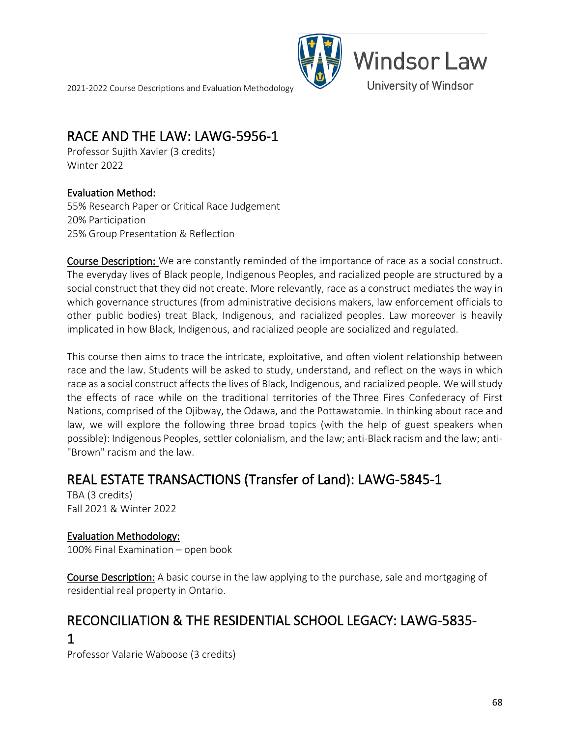

### RACE AND THE LAW: LAWG-5956-1<br>Professor Sujith Xavier (3 credits)

Winter 2022

### Evaluation Method:

55% Research Paper or Critical Race Judgement 20% Participation 25% Group Presentation & Reflection

Course Description: We are constantly reminded of the importance of race as a social construct. The everyday lives of Black people, Indigenous Peoples, and racialized people are structured by a social construct that they did not create. More relevantly, race as a construct mediates the way in which governance structures (from administrative decisions makers, law enforcement officials to other public bodies) treat Black, Indigenous, and racialized peoples. Law moreover is heavily implicated in how Black, Indigenous, and racialized people are socialized and regulated.

This course then aims to trace the intricate, exploitative, and often violent relationship between race and the law. Students will be asked to study, understand, and reflect on the ways in which race as a social construct affects the lives of Black, Indigenous, and racialized people. We will study the effects of race while on the traditional territories of the Three Fires Confederacy of First Nations, comprised of the Ojibway, the Odawa, and the Pottawatomie. In thinking about race and law, we will explore the following three broad topics (with the help of guest speakers when possible): Indigenous Peoples, settler colonialism, and the law; anti-Black racism and the law; anti- "Brown" racism and the law.

### REAL ESTATE TRANSACTIONS (Transfer of Land): LAWG-5845-1 TBA (3 credits)

Fall 2021 & Winter 2022

### Evaluation Methodology:

100% Final Examination – open book

Course Description: A basic course in the law applying to the purchase, sale and mortgaging of residential real property in Ontario.

### RECONCILIATION & THE RESIDENTIAL SCHOOL LEGACY: LAWG-5835- 1

Professor Valarie Waboose (3 credits)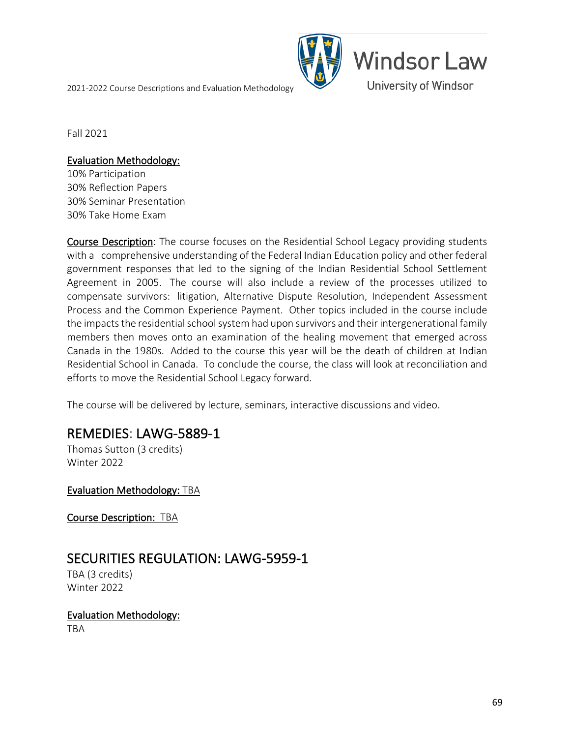

Fall 2021

#### Evaluation Methodology:

10% Participation 30% Reflection Papers 30% Seminar Presentation 30% Take Home Exam

Course Description: The course focuses on the Residential School Legacy providing students with a comprehensive understanding of the Federal Indian Education policy and other federal government responses that led to the signing of the Indian Residential School Settlement Agreement in 2005. The course will also include a review of the processes utilized to compensate survivors: litigation, Alternative Dispute Resolution, Independent Assessment Process and the Common Experience Payment. Other topics included in the course include the impacts the residential school system had upon survivors and their intergenerational family members then moves onto an examination of the healing movement that emerged across Canada in the 1980s. Added to the course this year will be the death of children at Indian Residential School in Canada. To conclude the course, the class will look at reconciliation and efforts to move the Residential School Legacy forward.

The course will be delivered by lecture, seminars, interactive discussions and video.

### **REMEDIES: LAWG-5889-1**<br>Thomas Sutton (3 credits)

Winter 2022

Evaluation Methodology: TBA

Course Description: TBA

### SECURITIES REGULATION: LAWG-5959-1<br>TBA (3 credits)

Winter 2022

### Evaluation Methodology:

TBA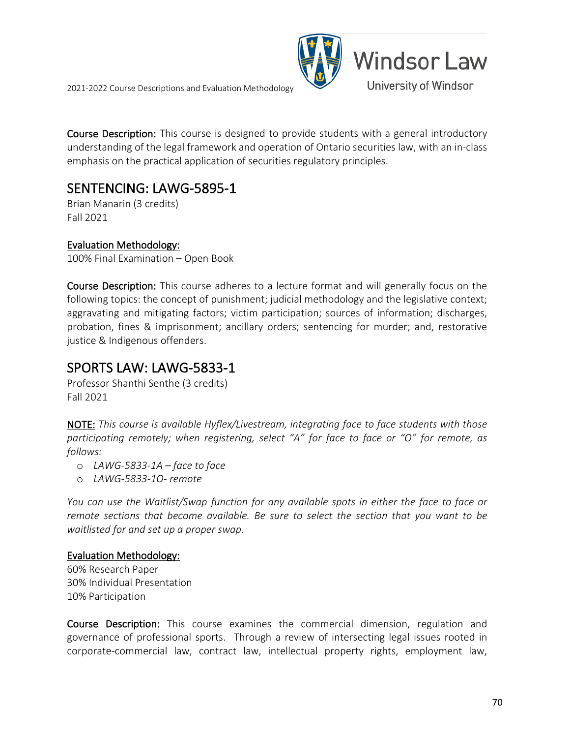

Course Description: This course is designed to provide students with a general introductory understanding of the legal framework and operation of Ontario securities law, with an in-class emphasis on the practical application of securities regulatory principles.

### SENTENCING: LAWG-5895-1<br>Brian Manarin (3 credits)

Fall 2021

### Evaluation Methodology:

100% Final Examination – Open Book

Course Description: This course adheres to a lecture format and will generally focus on the following topics: the concept of punishment; judicial methodology and the legislative context; aggravating and mitigating factors; victim participation; sources of information; discharges, probation, fines & imprisonment; ancillary orders; sentencing for murder; and, restorative justice & Indigenous offenders.

# SPORTS LAW: LAWG-5833-1<br>Professor Shanthi Senthe (3 credits)

Fall 2021

NOTE: *This course is available Hyflex/Livestream, integrating face to face students with those participating remotely; when registering, select "A" for face to face or "O" for remote, as follows:*

- o *LAWG-5833-1A – face to face*
- o *LAWG-5833-1O- remote*

*You can use the Waitlist/Swap function for any available spots in either the face to face or remote sections that become available. Be sure to select the section that you want to be waitlisted for and set up a proper swap.*

### Evaluation Methodology:

60% Research Paper 30% Individual Presentation 10% Participation

**Course Description:** This course examines the commercial dimension, regulation and governance of professional sports. Through a review of intersecting legal issues rooted in corporate-commercial law, contract law, intellectual property rights, employment law,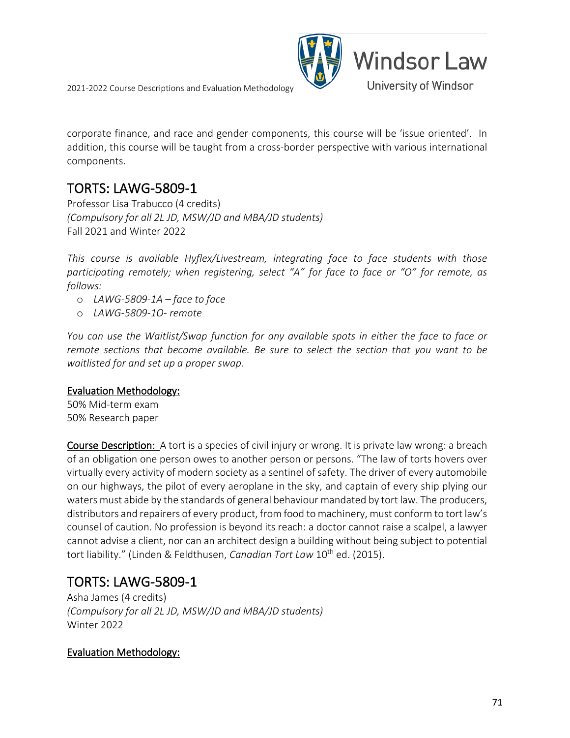

corporate finance, and race and gender components, this course will be 'issue oriented'. In addition, this course will be taught from a cross-border perspective with various international components.

TORTS: LAWG-5809-1<br>Professor Lisa Trabucco (4 credits) *(Compulsory for all 2L JD, MSW/JD and MBA/JD students)* Fall 2021 and Winter 2022

*This course is available Hyflex/Livestream, integrating face to face students with those participating remotely; when registering, select "A" for face to face or "O" for remote, as follows:*

- o *LAWG-5809-1A – face to face*
- o *LAWG-5809-1O- remote*

*You can use the Waitlist/Swap function for any available spots in either the face to face or remote sections that become available. Be sure to select the section that you want to be waitlisted for and set up a proper swap.*

### Evaluation Methodology:

50% Mid-term exam 50% Research paper

Course Description: A tort is a species of civil injury or wrong. It is private law wrong: a breach of an obligation one person owes to another person or persons. "The law of torts hovers over virtually every activity of modern society as a sentinel of safety. The driver of every automobile on our highways, the pilot of every aeroplane in the sky, and captain of every ship plying our waters must abide by the standards of general behaviour mandated by tort law. The producers, distributors and repairers of every product, from food to machinery, must conform to tort law's counsel of caution. No profession is beyond its reach: a doctor cannot raise a scalpel, a lawyer cannot advise a client, nor can an architect design a building without being subject to potential tort liability." (Linden & Feldthusen, *Canadian Tort Law* 10<sup>th</sup> ed. (2015).

## **TORTS: LAWG-5809-1**<br>Asha James (4 credits)

*(Compulsory for all 2L JD, MSW/JD and MBA/JD students)* Winter 2022

### Evaluation Methodology: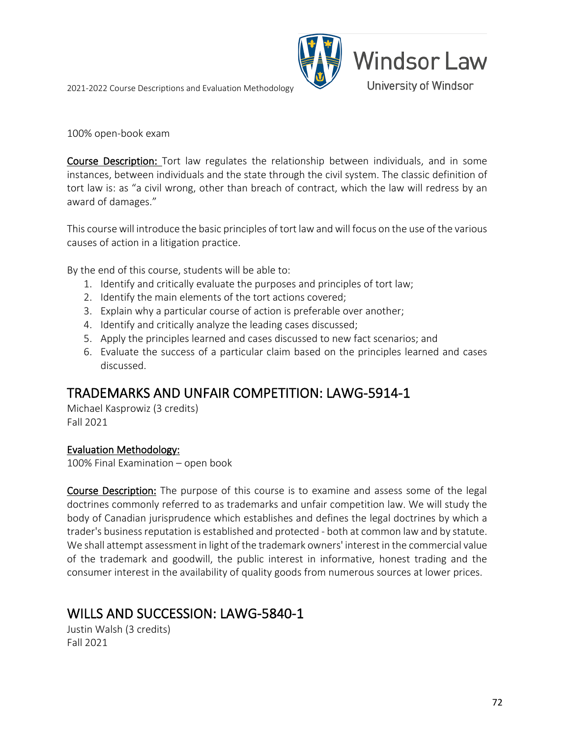

100% open-book exam

Course Description: Tort law regulates the relationship between individuals, and in some instances, between individuals and the state through the civil system. The classic definition of tort law is: as "a civil wrong, other than breach of contract, which the law will redress by an award of damages."

This course will introduce the basic principles of tort law and will focus on the use of the various causes of action in a litigation practice.

By the end of this course, students will be able to:

- 1. Identify and critically evaluate the purposes and principles of tort law;
- 2. Identify the main elements of the tort actions covered;
- 3. Explain why a particular course of action is preferable over another;
- 4. Identify and critically analyze the leading cases discussed;
- 5. Apply the principles learned and cases discussed to new fact scenarios; and
- 6. Evaluate the success of a particular claim based on the principles learned and cases discussed.

## TRADEMARKS AND UNFAIR COMPETITION: LAWG-5914-1 Michael Kasprowiz (3 credits)

Fall 2021

### Evaluation Methodology:

100% Final Examination – open book

Course Description: The purpose of this course is to examine and assess some of the legal doctrines commonly referred to as trademarks and unfair competition law. We will study the body of Canadian jurisprudence which establishes and defines the legal doctrines by which a trader's business reputation is established and protected - both at common law and by statute. We shall attempt assessment in light of the trademark owners' interest in the commercial value of the trademark and goodwill, the public interest in informative, honest trading and the consumer interest in the availability of quality goods from numerous sources at lower prices.

### WILLS AND SUCCESSION: LAWG-5840-1<br>Justin Walsh (3 credits)

Fall 2021